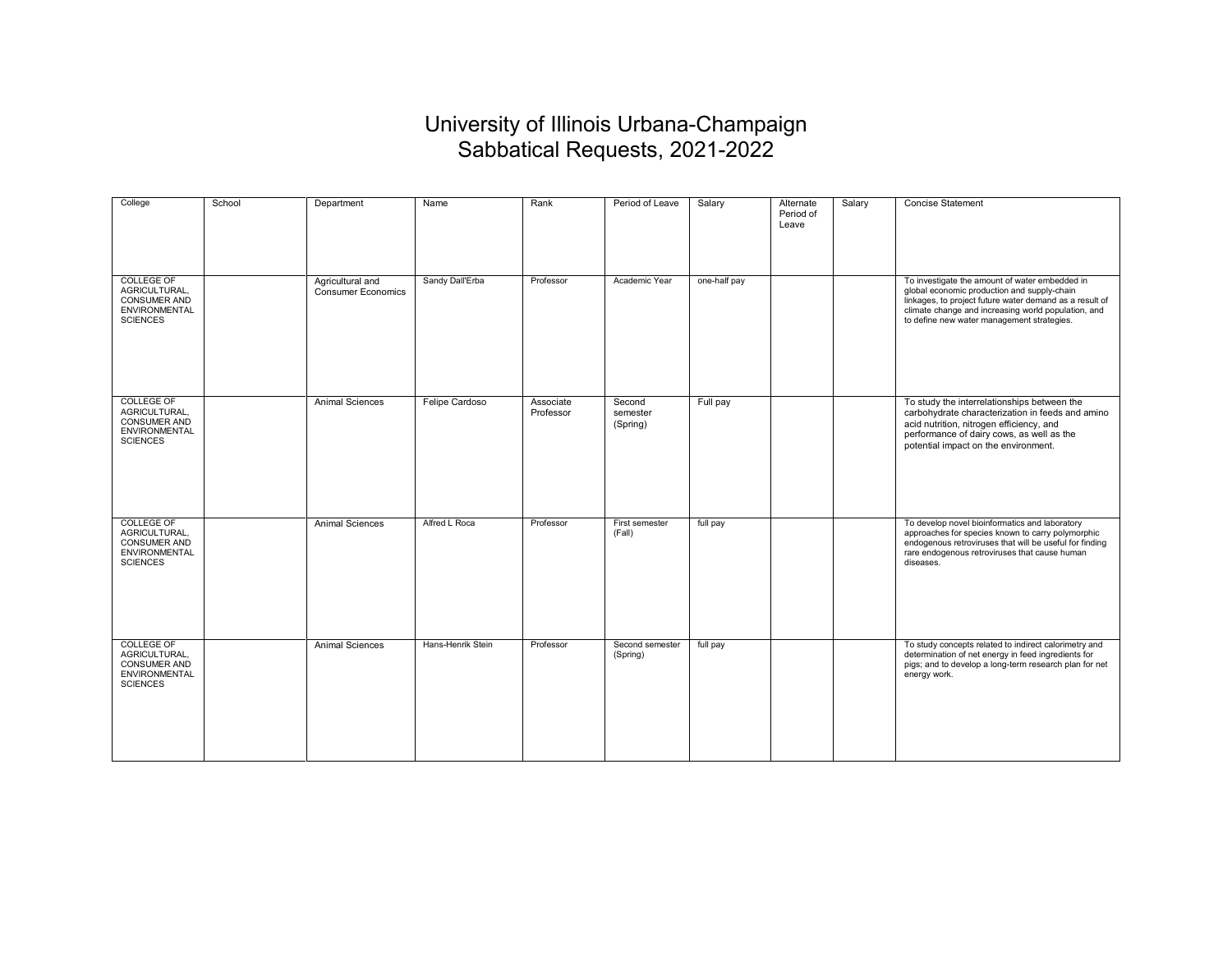## University of Illinois Urbana-Champaign Sabbatical Requests, 2021-2022

| College                                                                                              | School | Department                                    | Name              | Rank                   | Period of Leave                | Salary       | Alternate<br>Period of<br>Leave | Salary | <b>Concise Statement</b>                                                                                                                                                                                                                                      |
|------------------------------------------------------------------------------------------------------|--------|-----------------------------------------------|-------------------|------------------------|--------------------------------|--------------|---------------------------------|--------|---------------------------------------------------------------------------------------------------------------------------------------------------------------------------------------------------------------------------------------------------------------|
| <b>COLLEGE OF</b><br>AGRICULTURAL,<br><b>CONSUMER AND</b><br>ENVIRONMENTAL<br><b>SCIENCES</b>        |        | Agricultural and<br><b>Consumer Economics</b> | Sandy Dall'Erba   | Professor              | Academic Year                  | one-half pay |                                 |        | To investigate the amount of water embedded in<br>global economic production and supply-chain<br>linkages, to project future water demand as a result of<br>climate change and increasing world population, and<br>to define new water management strategies. |
| <b>COLLEGE OF</b><br>AGRICULTURAL,<br><b>CONSUMER AND</b><br><b>ENVIRONMENTAL</b><br><b>SCIENCES</b> |        | <b>Animal Sciences</b>                        | Felipe Cardoso    | Associate<br>Professor | Second<br>semester<br>(Spring) | Full pay     |                                 |        | To study the interrelationships between the<br>carbohydrate characterization in feeds and amino<br>acid nutrition, nitrogen efficiency, and<br>performance of dairy cows, as well as the<br>potential impact on the environment.                              |
| <b>COLLEGE OF</b><br>AGRICULTURAL,<br><b>CONSUMER AND</b><br><b>ENVIRONMENTAL</b><br><b>SCIENCES</b> |        | <b>Animal Sciences</b>                        | Alfred L Roca     | Professor              | First semester<br>(Fall)       | full pay     |                                 |        | To develop novel bioinformatics and laboratory<br>approaches for species known to carry polymorphic<br>endogenous retroviruses that will be useful for finding<br>rare endogenous retroviruses that cause human<br>diseases.                                  |
| <b>COLLEGE OF</b><br>AGRICULTURAL.<br><b>CONSUMER AND</b><br><b>ENVIRONMENTAL</b><br><b>SCIENCES</b> |        | <b>Animal Sciences</b>                        | Hans-Henrik Stein | Professor              | Second semester<br>(Spring)    | full pay     |                                 |        | To study concepts related to indirect calorimetry and<br>determination of net energy in feed ingredients for<br>pigs; and to develop a long-term research plan for net<br>energy work.                                                                        |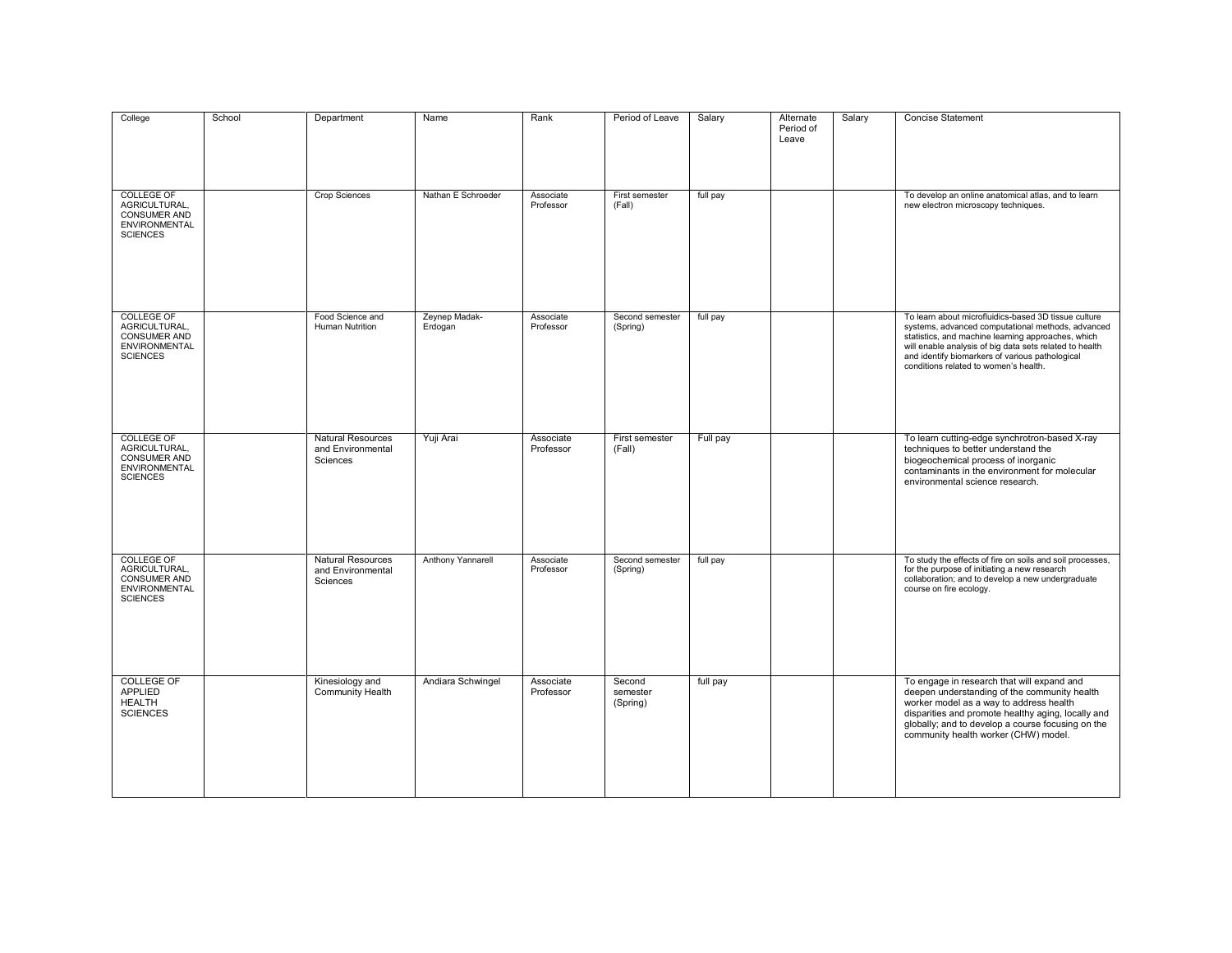| College                                                                                              | School | Department                                                | Name                     | Rank                   | Period of Leave                | Salary   | Alternate<br>Period of<br>Leave | Salary | <b>Concise Statement</b>                                                                                                                                                                                                                                                                                               |
|------------------------------------------------------------------------------------------------------|--------|-----------------------------------------------------------|--------------------------|------------------------|--------------------------------|----------|---------------------------------|--------|------------------------------------------------------------------------------------------------------------------------------------------------------------------------------------------------------------------------------------------------------------------------------------------------------------------------|
| <b>COLLEGE OF</b><br>AGRICULTURAL,<br>CONSUMER AND<br><b>ENVIRONMENTAL</b><br><b>SCIENCES</b>        |        | Crop Sciences                                             | Nathan E Schroeder       | Associate<br>Professor | First semester<br>(Fall)       | full pay |                                 |        | To develop an online anatomical atlas, and to learn<br>new electron microscopy techniques.                                                                                                                                                                                                                             |
| <b>COLLEGE OF</b><br>AGRICULTURAL,<br><b>CONSUMER AND</b><br><b>ENVIRONMENTAL</b><br><b>SCIENCES</b> |        | Food Science and<br><b>Human Nutrition</b>                | Zeynep Madak-<br>Erdogan | Associate<br>Professor | Second semester<br>(Spring)    | full pay |                                 |        | To learn about microfluidics-based 3D tissue culture<br>systems, advanced computational methods, advanced<br>statistics, and machine learning approaches, which<br>will enable analysis of big data sets related to health<br>and identify biomarkers of various pathological<br>conditions related to women's health. |
| <b>COLLEGE OF</b><br>AGRICULTURAL,<br><b>CONSUMER AND</b><br>ENVIRONMENTAL<br><b>SCIENCES</b>        |        | <b>Natural Resources</b><br>and Environmental<br>Sciences | Yuji Arai                | Associate<br>Professor | First semester<br>(Fall)       | Full pay |                                 |        | To learn cutting-edge synchrotron-based X-ray<br>techniques to better understand the<br>biogeochemical process of inorganic<br>contaminants in the environment for molecular<br>environmental science research.                                                                                                        |
| <b>COLLEGE OF</b><br>AGRICULTURAL,<br>CONSUMER AND<br>ENVIRONMENTAL<br><b>SCIENCES</b>               |        | <b>Natural Resources</b><br>and Environmental<br>Sciences | Anthony Yannarell        | Associate<br>Professor | Second semester<br>(Spring)    | full pay |                                 |        | To study the effects of fire on soils and soil processes,<br>for the purpose of initiating a new research<br>collaboration; and to develop a new undergraduate<br>course on fire ecology.                                                                                                                              |
| <b>COLLEGE OF</b><br><b>APPLIED</b><br><b>HEALTH</b><br><b>SCIENCES</b>                              |        | Kinesiology and<br><b>Community Health</b>                | Andiara Schwingel        | Associate<br>Professor | Second<br>semester<br>(Spring) | full pay |                                 |        | To engage in research that will expand and<br>deepen understanding of the community health<br>worker model as a way to address health<br>disparities and promote healthy aging, locally and<br>globally; and to develop a course focusing on the<br>community health worker (CHW) model.                               |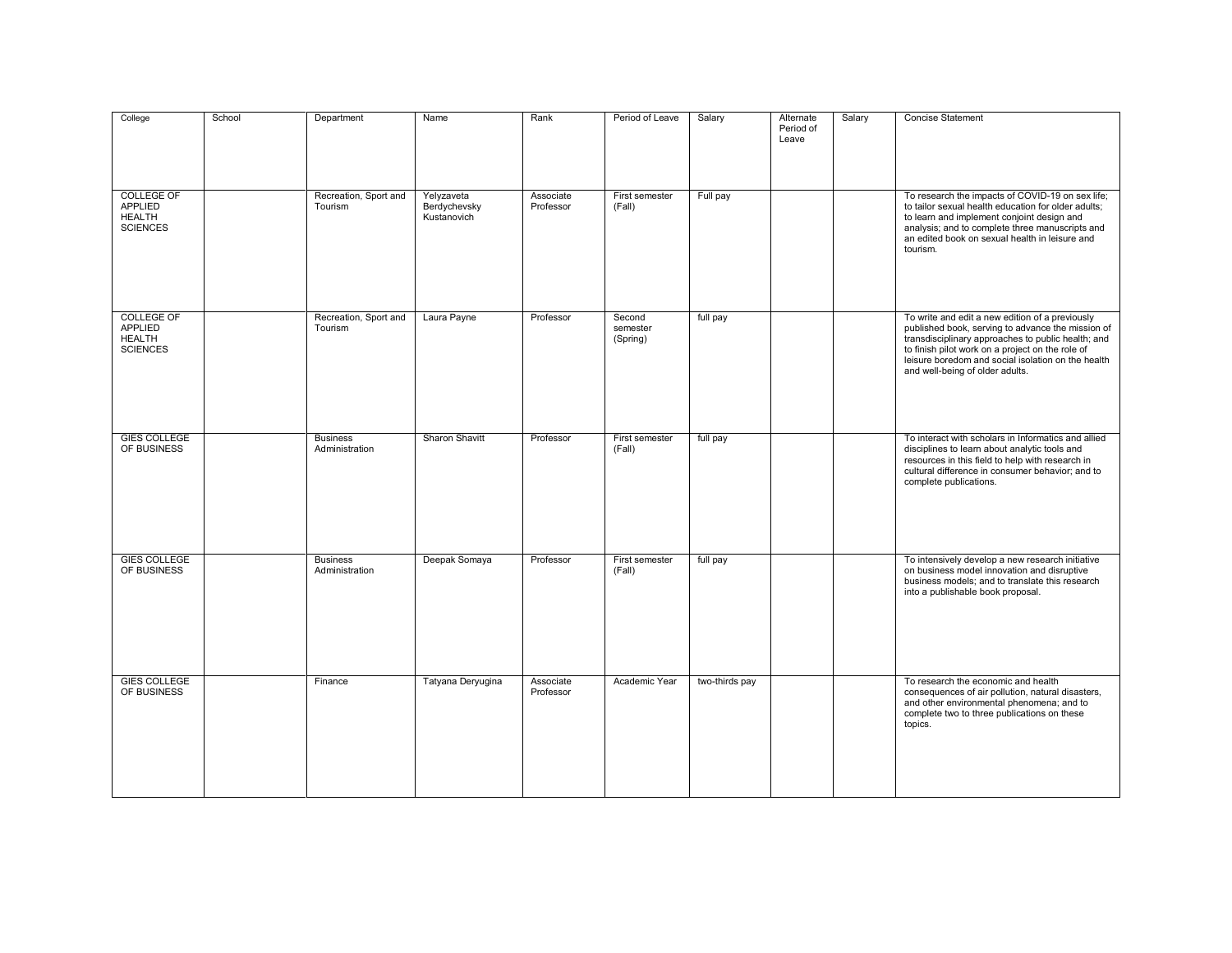| College                                                                 | School | Department                        | Name                                      | Rank                   | Period of Leave                | Salary         | Alternate<br>Period of<br>Leave | Salary | Concise Statement                                                                                                                                                                                                                                                                                       |
|-------------------------------------------------------------------------|--------|-----------------------------------|-------------------------------------------|------------------------|--------------------------------|----------------|---------------------------------|--------|---------------------------------------------------------------------------------------------------------------------------------------------------------------------------------------------------------------------------------------------------------------------------------------------------------|
| <b>COLLEGE OF</b><br><b>APPLIED</b><br><b>HEALTH</b><br><b>SCIENCES</b> |        | Recreation, Sport and<br>Tourism  | Yelyzaveta<br>Berdychevsky<br>Kustanovich | Associate<br>Professor | First semester<br>(Fall)       | Full pay       |                                 |        | To research the impacts of COVID-19 on sex life;<br>to tailor sexual health education for older adults;<br>to learn and implement conjoint design and<br>analysis; and to complete three manuscripts and<br>an edited book on sexual health in leisure and<br>tourism.                                  |
| <b>COLLEGE OF</b><br><b>APPLIED</b><br><b>HEALTH</b><br><b>SCIENCES</b> |        | Recreation, Sport and<br>Tourism  | Laura Payne                               | Professor              | Second<br>semester<br>(Spring) | full pay       |                                 |        | To write and edit a new edition of a previously<br>published book, serving to advance the mission of<br>transdisciplinary approaches to public health; and<br>to finish pilot work on a project on the role of<br>leisure boredom and social isolation on the health<br>and well-being of older adults. |
| <b>GIES COLLEGE</b><br>OF BUSINESS                                      |        | <b>Business</b><br>Administration | Sharon Shavitt                            | Professor              | First semester<br>(Fall)       | full pay       |                                 |        | To interact with scholars in Informatics and allied<br>disciplines to learn about analytic tools and<br>resources in this field to help with research in<br>cultural difference in consumer behavior; and to<br>complete publications.                                                                  |
| <b>GIES COLLEGE</b><br>OF BUSINESS                                      |        | <b>Business</b><br>Administration | Deepak Somaya                             | Professor              | First semester<br>(Fall)       | full pay       |                                 |        | To intensively develop a new research initiative<br>on business model innovation and disruptive<br>business models; and to translate this research<br>into a publishable book proposal.                                                                                                                 |
| <b>GIES COLLEGE</b><br>OF BUSINESS                                      |        | Finance                           | Tatyana Deryugina                         | Associate<br>Professor | Academic Year                  | two-thirds pay |                                 |        | To research the economic and health<br>consequences of air pollution, natural disasters,<br>and other environmental phenomena; and to<br>complete two to three publications on these<br>topics.                                                                                                         |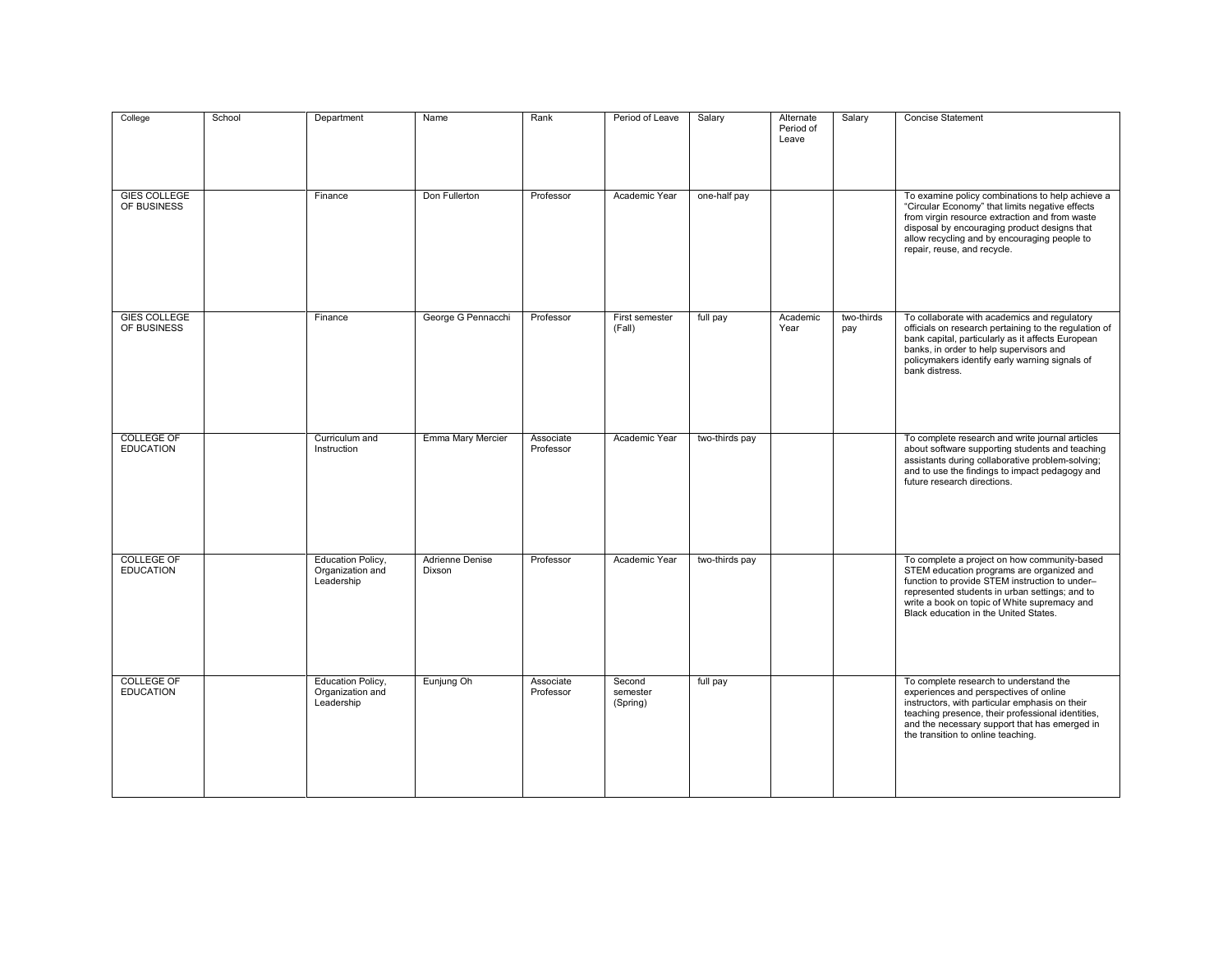| College                               | School | Department                                                 | Name                             | Rank                   | Period of Leave                | Salary         | Alternate<br>Period of<br>Leave | Salary            | Concise Statement                                                                                                                                                                                                                                                                      |
|---------------------------------------|--------|------------------------------------------------------------|----------------------------------|------------------------|--------------------------------|----------------|---------------------------------|-------------------|----------------------------------------------------------------------------------------------------------------------------------------------------------------------------------------------------------------------------------------------------------------------------------------|
| <b>GIES COLLEGE</b><br>OF BUSINESS    |        | Finance                                                    | Don Fullerton                    | Professor              | Academic Year                  | one-half pay   |                                 |                   | To examine policy combinations to help achieve a<br>"Circular Economy" that limits negative effects<br>from virgin resource extraction and from waste<br>disposal by encouraging product designs that<br>allow recycling and by encouraging people to<br>repair, reuse, and recycle.   |
| <b>GIES COLLEGE</b><br>OF BUSINESS    |        | Finance                                                    | George G Pennacchi               | Professor              | First semester<br>(Fall)       | full pay       | Academic<br>Year                | two-thirds<br>pay | To collaborate with academics and regulatory<br>officials on research pertaining to the regulation of<br>bank capital, particularly as it affects European<br>banks, in order to help supervisors and<br>policymakers identify early warning signals of<br>bank distress.              |
| <b>COLLEGE OF</b><br><b>EDUCATION</b> |        | Curriculum and<br>Instruction                              | Emma Mary Mercier                | Associate<br>Professor | Academic Year                  | two-thirds pay |                                 |                   | To complete research and write journal articles<br>about software supporting students and teaching<br>assistants during collaborative problem-solving;<br>and to use the findings to impact pedagogy and<br>future research directions.                                                |
| <b>COLLEGE OF</b><br><b>EDUCATION</b> |        | <b>Education Policy,</b><br>Organization and<br>Leadership | <b>Adrienne Denise</b><br>Dixson | Professor              | Academic Year                  | two-thirds pay |                                 |                   | To complete a project on how community-based<br>STEM education programs are organized and<br>function to provide STEM instruction to under-<br>represented students in urban settings; and to<br>write a book on topic of White supremacy and<br>Black education in the United States. |
| <b>COLLEGE OF</b><br><b>EDUCATION</b> |        | <b>Education Policy,</b><br>Organization and<br>Leadership | Eunjung Oh                       | Associate<br>Professor | Second<br>semester<br>(Spring) | full pay       |                                 |                   | To complete research to understand the<br>experiences and perspectives of online<br>instructors, with particular emphasis on their<br>teaching presence, their professional identities,<br>and the necessary support that has emerged in<br>the transition to online teaching.         |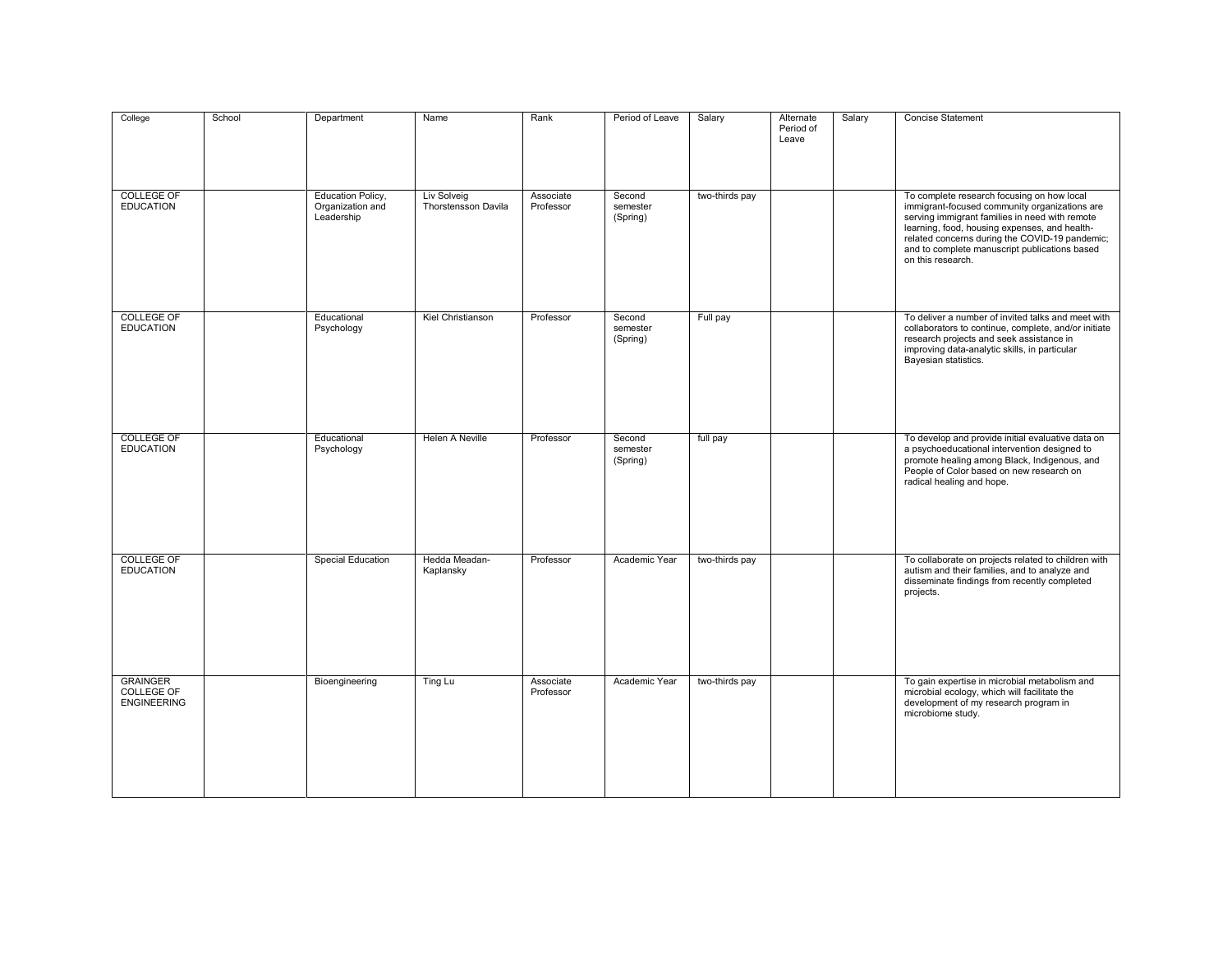| College                                             | School | Department                                                 | Name                               | Rank                   | Period of Leave                | Salary         | Alternate<br>Period of<br>Leave | Salary | <b>Concise Statement</b>                                                                                                                                                                                                                                                                                               |
|-----------------------------------------------------|--------|------------------------------------------------------------|------------------------------------|------------------------|--------------------------------|----------------|---------------------------------|--------|------------------------------------------------------------------------------------------------------------------------------------------------------------------------------------------------------------------------------------------------------------------------------------------------------------------------|
| <b>COLLEGE OF</b><br><b>EDUCATION</b>               |        | <b>Education Policy,</b><br>Organization and<br>Leadership | Liv Solveig<br>Thorstensson Davila | Associate<br>Professor | Second<br>semester<br>(Spring) | two-thirds pay |                                 |        | To complete research focusing on how local<br>immigrant-focused community organizations are<br>serving immigrant families in need with remote<br>learning, food, housing expenses, and health-<br>related concerns during the COVID-19 pandemic;<br>and to complete manuscript publications based<br>on this research. |
| <b>COLLEGE OF</b><br><b>EDUCATION</b>               |        | Educational<br>Psychology                                  | Kiel Christianson                  | Professor              | Second<br>semester<br>(Spring) | Full pay       |                                 |        | To deliver a number of invited talks and meet with<br>collaborators to continue, complete, and/or initiate<br>research projects and seek assistance in<br>improving data-analytic skills, in particular<br>Bayesian statistics.                                                                                        |
| <b>COLLEGE OF</b><br><b>EDUCATION</b>               |        | Educational<br>Psychology                                  | <b>Helen A Neville</b>             | Professor              | Second<br>semester<br>(Spring) | full pay       |                                 |        | To develop and provide initial evaluative data on<br>a psychoeducational intervention designed to<br>promote healing among Black, Indigenous, and<br>People of Color based on new research on<br>radical healing and hope.                                                                                             |
| <b>COLLEGE OF</b><br><b>EDUCATION</b>               |        | <b>Special Education</b>                                   | Hedda Meadan-<br>Kaplansky         | Professor              | Academic Year                  | two-thirds pay |                                 |        | To collaborate on projects related to children with<br>autism and their families, and to analyze and<br>disseminate findings from recently completed<br>projects.                                                                                                                                                      |
| <b>GRAINGER</b><br>COLLEGE OF<br><b>ENGINEERING</b> |        | Bioengineering                                             | Ting Lu                            | Associate<br>Professor | Academic Year                  | two-thirds pay |                                 |        | To gain expertise in microbial metabolism and<br>microbial ecology, which will facilitate the<br>development of my research program in<br>microbiome study.                                                                                                                                                            |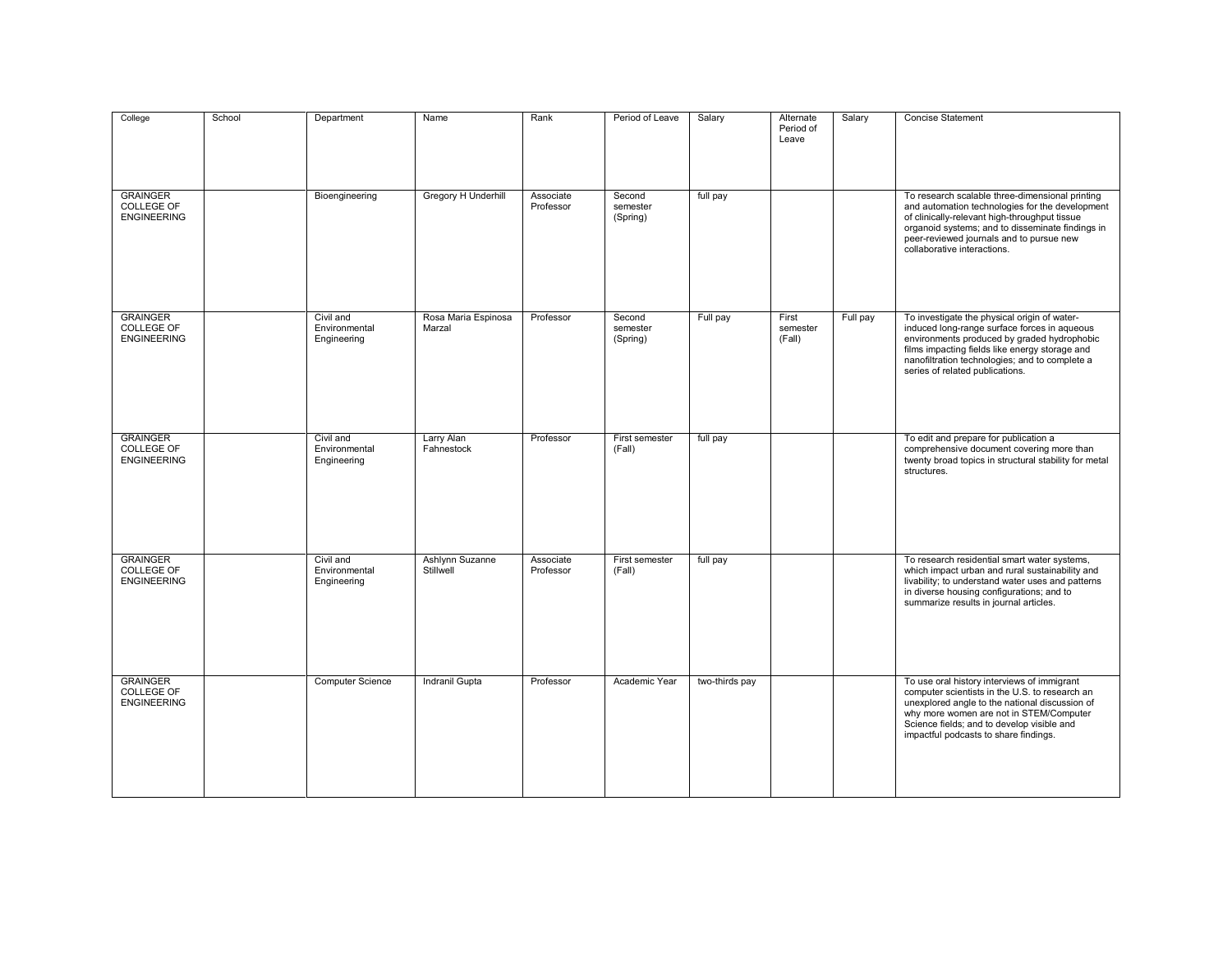| College                                                    | School | Department                                | Name                          | Rank                   | Period of Leave                | Salary         | Alternate<br>Period of<br>Leave | Salary   | Concise Statement                                                                                                                                                                                                                                                                  |
|------------------------------------------------------------|--------|-------------------------------------------|-------------------------------|------------------------|--------------------------------|----------------|---------------------------------|----------|------------------------------------------------------------------------------------------------------------------------------------------------------------------------------------------------------------------------------------------------------------------------------------|
| <b>GRAINGER</b><br>COLLEGE OF<br><b>ENGINEERING</b>        |        | Bioengineering                            | Gregory H Underhill           | Associate<br>Professor | Second<br>semester<br>(Spring) | full pay       |                                 |          | To research scalable three-dimensional printing<br>and automation technologies for the development<br>of clinically-relevant high-throughput tissue<br>organoid systems; and to disseminate findings in<br>peer-reviewed journals and to pursue new<br>collaborative interactions. |
| <b>GRAINGER</b><br><b>COLLEGE OF</b><br><b>ENGINEERING</b> |        | Civil and<br>Environmental<br>Engineering | Rosa Maria Espinosa<br>Marzal | Professor              | Second<br>semester<br>(Spring) | Full pay       | First<br>semester<br>(Fall)     | Full pay | To investigate the physical origin of water-<br>induced long-range surface forces in aqueous<br>environments produced by graded hydrophobic<br>films impacting fields like energy storage and<br>nanofiltration technologies; and to complete a<br>series of related publications. |
| <b>GRAINGER</b><br>COLLEGE OF<br><b>ENGINEERING</b>        |        | Civil and<br>Environmental<br>Engineering | Larry Alan<br>Fahnestock      | Professor              | First semester<br>(Fall)       | full pay       |                                 |          | To edit and prepare for publication a<br>comprehensive document covering more than<br>twenty broad topics in structural stability for metal<br>structures.                                                                                                                         |
| <b>GRAINGER</b><br><b>COLLEGE OF</b><br><b>ENGINEERING</b> |        | Civil and<br>Environmental<br>Engineering | Ashlynn Suzanne<br>Stillwell  | Associate<br>Professor | First semester<br>(Fall)       | full pay       |                                 |          | To research residential smart water systems,<br>which impact urban and rural sustainability and<br>livability; to understand water uses and patterns<br>in diverse housing configurations; and to<br>summarize results in journal articles.                                        |
| <b>GRAINGER</b><br>COLLEGE OF<br><b>ENGINEERING</b>        |        | Computer Science                          | Indranil Gupta                | Professor              | Academic Year                  | two-thirds pay |                                 |          | To use oral history interviews of immigrant<br>computer scientists in the U.S. to research an<br>unexplored angle to the national discussion of<br>why more women are not in STEM/Computer<br>Science fields; and to develop visible and<br>impactful podcasts to share findings.  |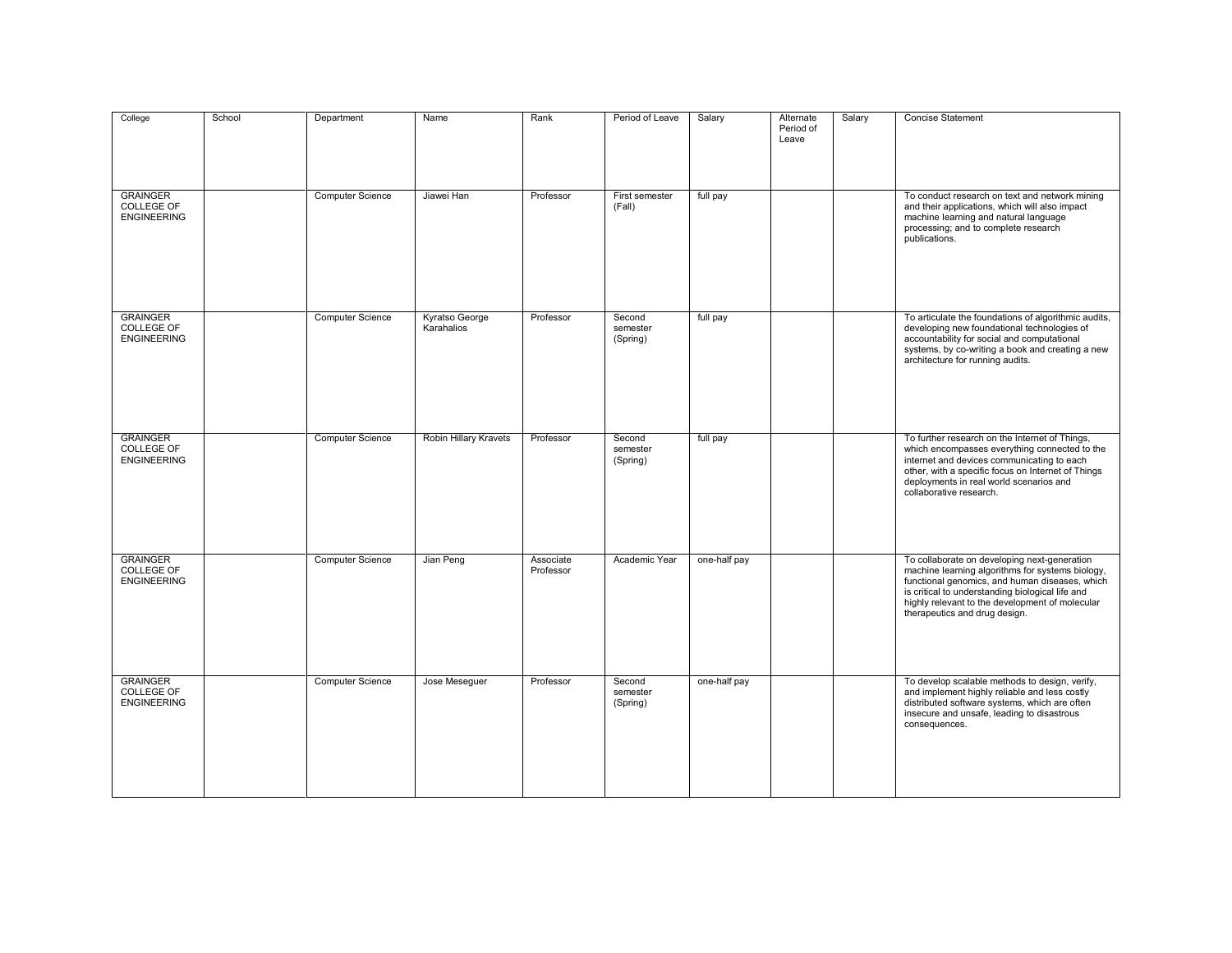| College                                                    | School | Department              | Name                         | Rank                   | Period of Leave                | Salary       | Alternate<br>Period of<br>Leave | Salary | Concise Statement                                                                                                                                                                                                                                                                          |
|------------------------------------------------------------|--------|-------------------------|------------------------------|------------------------|--------------------------------|--------------|---------------------------------|--------|--------------------------------------------------------------------------------------------------------------------------------------------------------------------------------------------------------------------------------------------------------------------------------------------|
| <b>GRAINGER</b><br>COLLEGE OF<br><b>ENGINEERING</b>        |        | <b>Computer Science</b> | Jiawei Han                   | Professor              | First semester<br>(Fall)       | full pay     |                                 |        | To conduct research on text and network mining<br>and their applications, which will also impact<br>machine learning and natural language<br>processing; and to complete research<br>publications.                                                                                         |
| <b>GRAINGER</b><br><b>COLLEGE OF</b><br><b>ENGINEERING</b> |        | <b>Computer Science</b> | Kyratso George<br>Karahalios | Professor              | Second<br>semester<br>(Spring) | full pay     |                                 |        | To articulate the foundations of algorithmic audits,<br>developing new foundational technologies of<br>accountability for social and computational<br>systems, by co-writing a book and creating a new<br>architecture for running audits.                                                 |
| <b>GRAINGER</b><br><b>COLLEGE OF</b><br><b>ENGINEERING</b> |        | <b>Computer Science</b> | <b>Robin Hillary Kravets</b> | Professor              | Second<br>semester<br>(Spring) | full pay     |                                 |        | To further research on the Internet of Things,<br>which encompasses everything connected to the<br>internet and devices communicating to each<br>other, with a specific focus on Internet of Things<br>deployments in real world scenarios and<br>collaborative research.                  |
| <b>GRAINGER</b><br><b>COLLEGE OF</b><br><b>ENGINEERING</b> |        | <b>Computer Science</b> | Jian Peng                    | Associate<br>Professor | Academic Year                  | one-half pay |                                 |        | To collaborate on developing next-generation<br>machine learning algorithms for systems biology,<br>functional genomics, and human diseases, which<br>is critical to understanding biological life and<br>highly relevant to the development of molecular<br>therapeutics and drug design. |
| <b>GRAINGER</b><br><b>COLLEGE OF</b><br><b>ENGINEERING</b> |        | <b>Computer Science</b> | Jose Meseguer                | Professor              | Second<br>semester<br>(Spring) | one-half pay |                                 |        | To develop scalable methods to design, verify,<br>and implement highly reliable and less costly<br>distributed software systems, which are often<br>insecure and unsafe, leading to disastrous<br>consequences.                                                                            |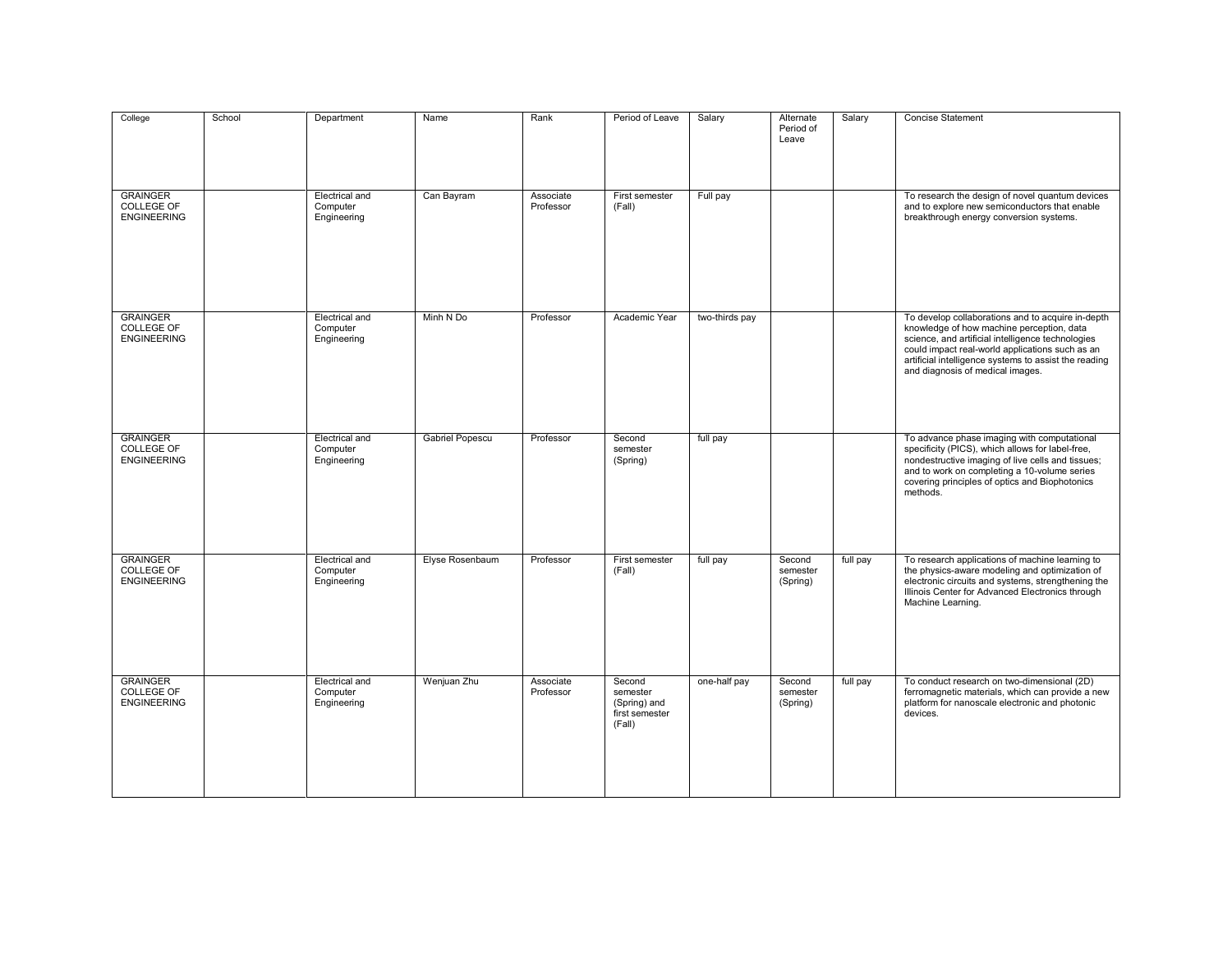| College                                                    | School | Department                                       | Name                   | Rank                   | Period of Leave                                                | Salary         | Alternate<br>Period of<br>Leave | Salary   | <b>Concise Statement</b>                                                                                                                                                                                                                                                                            |
|------------------------------------------------------------|--------|--------------------------------------------------|------------------------|------------------------|----------------------------------------------------------------|----------------|---------------------------------|----------|-----------------------------------------------------------------------------------------------------------------------------------------------------------------------------------------------------------------------------------------------------------------------------------------------------|
| <b>GRAINGER</b><br>COLLEGE OF<br><b>ENGINEERING</b>        |        | Electrical and<br>Computer<br>Engineering        | Can Bayram             | Associate<br>Professor | First semester<br>(Fall)                                       | Full pay       |                                 |          | To research the design of novel quantum devices<br>and to explore new semiconductors that enable<br>breakthrough energy conversion systems.                                                                                                                                                         |
| <b>GRAINGER</b><br><b>COLLEGE OF</b><br><b>ENGINEERING</b> |        | Electrical and<br>Computer<br>Engineering        | Minh N Do              | Professor              | Academic Year                                                  | two-thirds pay |                                 |          | To develop collaborations and to acquire in-depth<br>knowledge of how machine perception, data<br>science, and artificial intelligence technologies<br>could impact real-world applications such as an<br>artificial intelligence systems to assist the reading<br>and diagnosis of medical images. |
| <b>GRAINGER</b><br>COLLEGE OF<br><b>ENGINEERING</b>        |        | Electrical and<br>Computer<br>Engineering        | <b>Gabriel Popescu</b> | Professor              | Second<br>semester<br>(Spring)                                 | full pay       |                                 |          | To advance phase imaging with computational<br>specificity (PICS), which allows for label-free,<br>nondestructive imaging of live cells and tissues;<br>and to work on completing a 10-volume series<br>covering principles of optics and Biophotonics<br>methods.                                  |
| <b>GRAINGER</b><br><b>COLLEGE OF</b><br><b>ENGINEERING</b> |        | Electrical and<br>Computer<br>Engineering        | Elyse Rosenbaum        | Professor              | First semester<br>(Fall)                                       | full pay       | Second<br>semester<br>(Spring)  | full pay | To research applications of machine learning to<br>the physics-aware modeling and optimization of<br>electronic circuits and systems, strengthening the<br>Illinois Center for Advanced Electronics through<br>Machine Learning.                                                                    |
| <b>GRAINGER</b><br><b>COLLEGE OF</b><br><b>ENGINEERING</b> |        | <b>Electrical and</b><br>Computer<br>Engineering | Wenjuan Zhu            | Associate<br>Professor | Second<br>semester<br>(Spring) and<br>first semester<br>(Fall) | one-half pay   | Second<br>semester<br>(Spring)  | full pay | To conduct research on two-dimensional (2D)<br>ferromagnetic materials, which can provide a new<br>platform for nanoscale electronic and photonic<br>devices.                                                                                                                                       |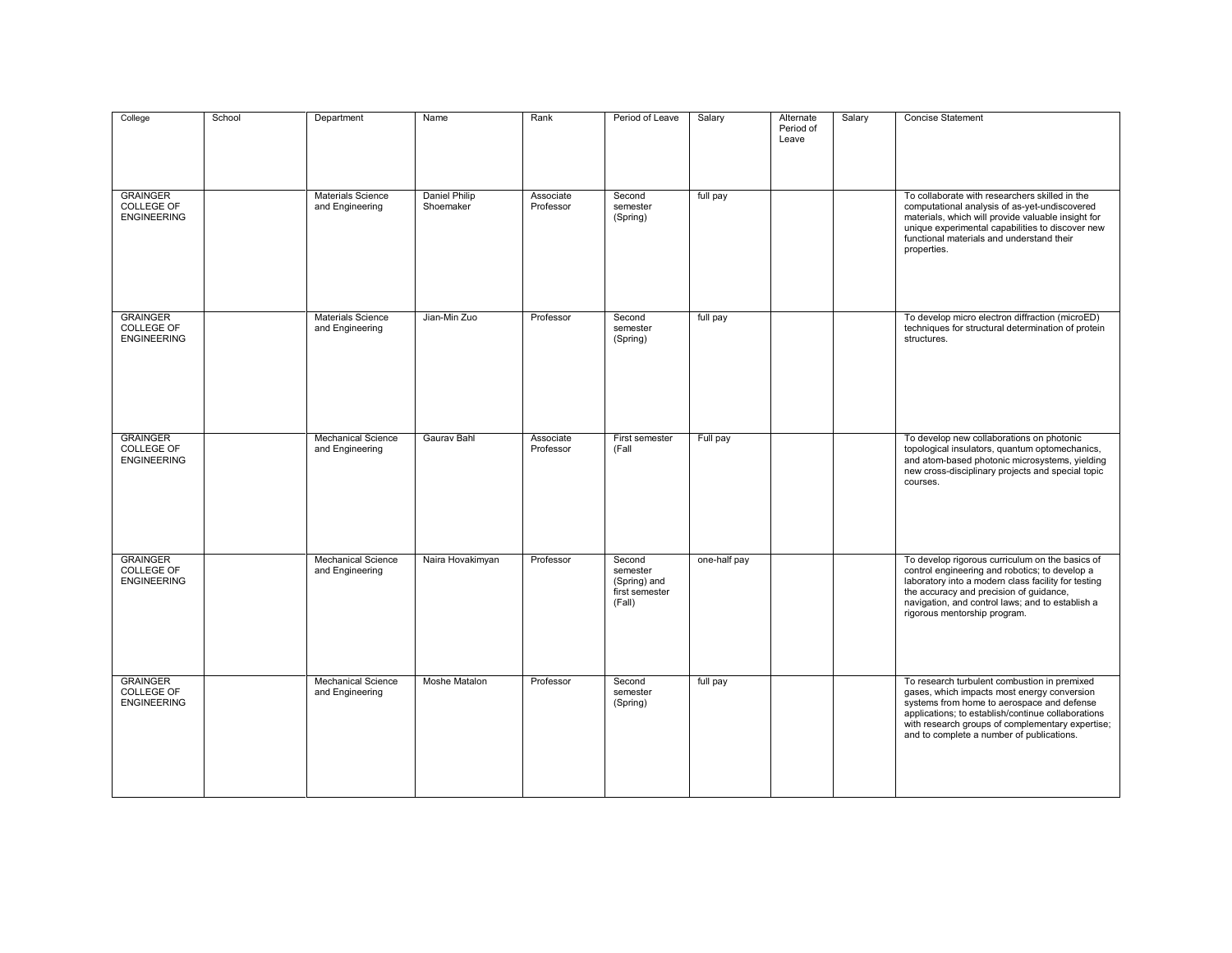| College                                             | School | Department                                   | Name                              | Rank                   | Period of Leave                                                | Salary       | Alternate<br>Period of<br>Leave | Salary | <b>Concise Statement</b>                                                                                                                                                                                                                                                                         |
|-----------------------------------------------------|--------|----------------------------------------------|-----------------------------------|------------------------|----------------------------------------------------------------|--------------|---------------------------------|--------|--------------------------------------------------------------------------------------------------------------------------------------------------------------------------------------------------------------------------------------------------------------------------------------------------|
| <b>GRAINGER</b><br>COLLEGE OF<br><b>ENGINEERING</b> |        | <b>Materials Science</b><br>and Engineering  | <b>Daniel Philip</b><br>Shoemaker | Associate<br>Professor | Second<br>semester<br>(Spring)                                 | full pay     |                                 |        | To collaborate with researchers skilled in the<br>computational analysis of as-yet-undiscovered<br>materials, which will provide valuable insight for<br>unique experimental capabilities to discover new<br>functional materials and understand their<br>properties.                            |
| <b>GRAINGER</b><br>COLLEGE OF<br><b>ENGINEERING</b> |        | <b>Materials Science</b><br>and Engineering  | Jian-Min Zuo                      | Professor              | Second<br>semester<br>(Spring)                                 | full pay     |                                 |        | To develop micro electron diffraction (microED)<br>techniques for structural determination of protein<br>structures.                                                                                                                                                                             |
| <b>GRAINGER</b><br>COLLEGE OF<br><b>ENGINEERING</b> |        | <b>Mechanical Science</b><br>and Engineering | Gaurav Bahl                       | Associate<br>Professor | First semester<br>(Fall                                        | Full pay     |                                 |        | To develop new collaborations on photonic<br>topological insulators, quantum optomechanics,<br>and atom-based photonic microsystems, yielding<br>new cross-disciplinary projects and special topic<br>courses.                                                                                   |
| <b>GRAINGER</b><br>COLLEGE OF<br><b>ENGINEERING</b> |        | <b>Mechanical Science</b><br>and Engineering | Naira Hovakimyan                  | Professor              | Second<br>semester<br>(Spring) and<br>first semester<br>(Fall) | one-half pay |                                 |        | To develop rigorous curriculum on the basics of<br>control engineering and robotics; to develop a<br>laboratory into a modern class facility for testing<br>the accuracy and precision of guidance,<br>navigation, and control laws; and to establish a<br>rigorous mentorship program.          |
| <b>GRAINGER</b><br>COLLEGE OF<br><b>ENGINEERING</b> |        | <b>Mechanical Science</b><br>and Engineering | Moshe Matalon                     | Professor              | Second<br>semester<br>(Spring)                                 | full pay     |                                 |        | To research turbulent combustion in premixed<br>gases, which impacts most energy conversion<br>systems from home to aerospace and defense<br>applications; to establish/continue collaborations<br>with research groups of complementary expertise;<br>and to complete a number of publications. |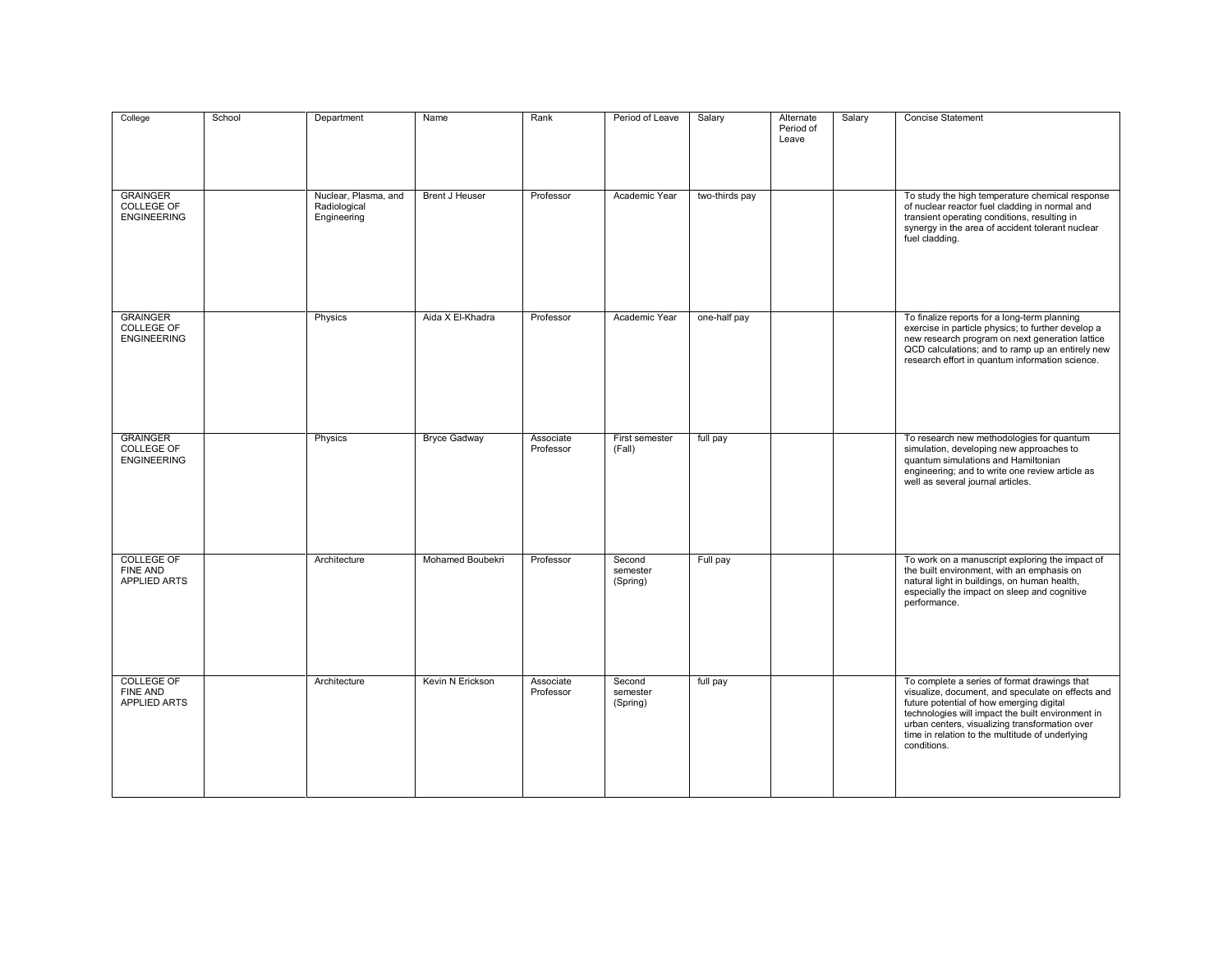| College                                                     | School | Department                                          | Name                  | Rank                   | Period of Leave                | Salary         | Alternate<br>Period of<br>Leave | Salary | <b>Concise Statement</b>                                                                                                                                                                                                                                                                                               |
|-------------------------------------------------------------|--------|-----------------------------------------------------|-----------------------|------------------------|--------------------------------|----------------|---------------------------------|--------|------------------------------------------------------------------------------------------------------------------------------------------------------------------------------------------------------------------------------------------------------------------------------------------------------------------------|
| <b>GRAINGER</b><br>COLLEGE OF<br><b>ENGINEERING</b>         |        | Nuclear, Plasma, and<br>Radiological<br>Engineering | <b>Brent J Heuser</b> | Professor              | Academic Year                  | two-thirds pay |                                 |        | To study the high temperature chemical response<br>of nuclear reactor fuel cladding in normal and<br>transient operating conditions, resulting in<br>synergy in the area of accident tolerant nuclear<br>fuel cladding.                                                                                                |
| <b>GRAINGER</b><br><b>COLLEGE OF</b><br><b>ENGINEERING</b>  |        | Physics                                             | Aida X El-Khadra      | Professor              | Academic Year                  | one-half pay   |                                 |        | To finalize reports for a long-term planning<br>exercise in particle physics; to further develop a<br>new research program on next generation lattice<br>QCD calculations; and to ramp up an entirely new<br>research effort in quantum information science.                                                           |
| <b>GRAINGER</b><br><b>COLLEGE OF</b><br><b>ENGINEERING</b>  |        | Physics                                             | <b>Bryce Gadway</b>   | Associate<br>Professor | First semester<br>(Fall)       | full pay       |                                 |        | To research new methodologies for quantum<br>simulation, developing new approaches to<br>quantum simulations and Hamiltonian<br>engineering; and to write one review article as<br>well as several journal articles.                                                                                                   |
| <b>COLLEGE OF</b><br><b>FINE AND</b><br><b>APPLIED ARTS</b> |        | Architecture                                        | Mohamed Boubekri      | Professor              | Second<br>semester<br>(Spring) | Full pay       |                                 |        | To work on a manuscript exploring the impact of<br>the built environment, with an emphasis on<br>natural light in buildings, on human health,<br>especially the impact on sleep and cognitive<br>performance.                                                                                                          |
| <b>COLLEGE OF</b><br><b>FINE AND</b><br><b>APPLIED ARTS</b> |        | Architecture                                        | Kevin N Erickson      | Associate<br>Professor | Second<br>semester<br>(Spring) | full pay       |                                 |        | To complete a series of format drawings that<br>visualize, document, and speculate on effects and<br>future potential of how emerging digital<br>technologies will impact the built environment in<br>urban centers, visualizing transformation over<br>time in relation to the multitude of underlying<br>conditions. |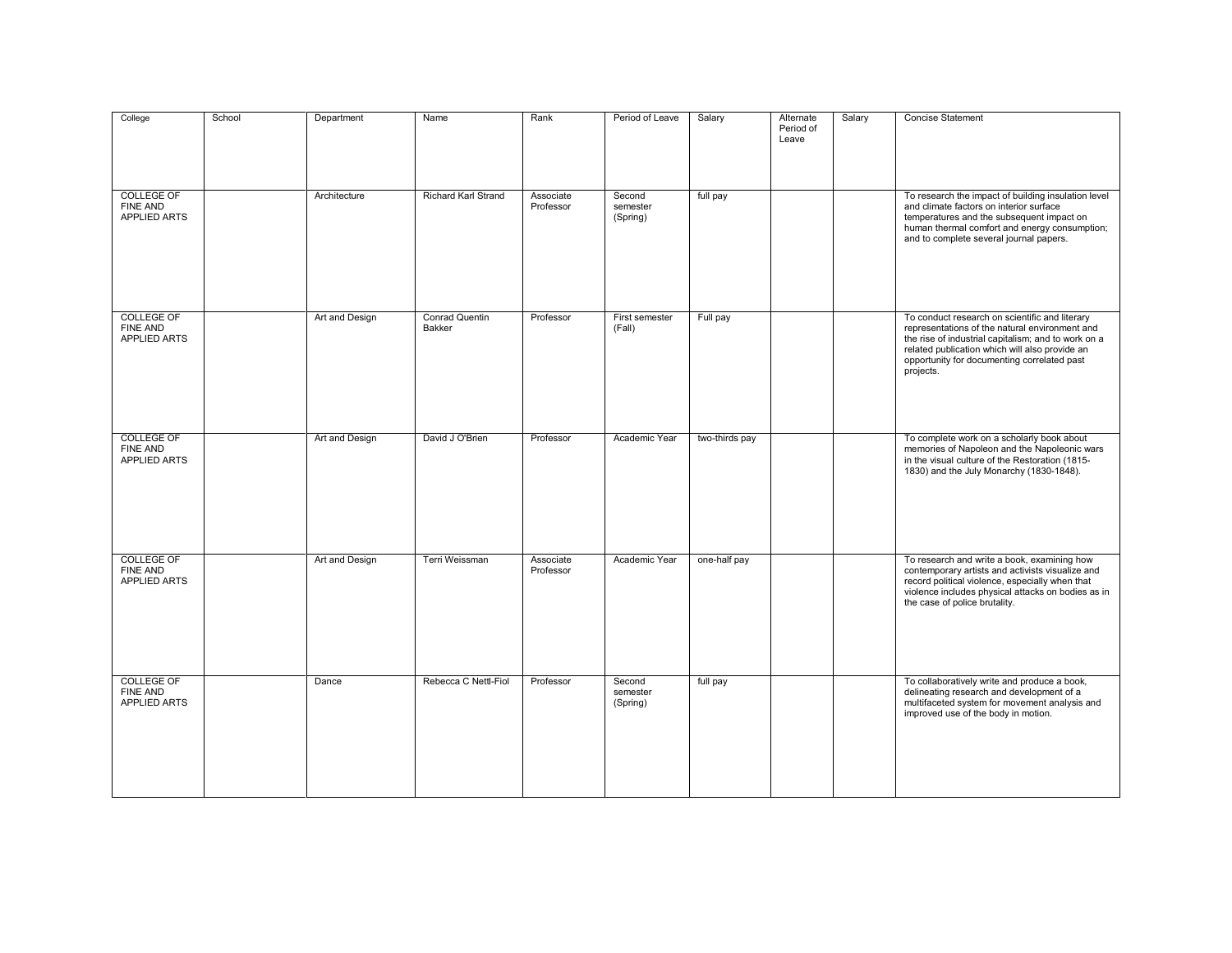| College                                                     | School | Department     | Name                            | Rank                   | Period of Leave                | Salary         | Alternate<br>Period of<br>Leave | Salary | <b>Concise Statement</b>                                                                                                                                                                                                                                              |
|-------------------------------------------------------------|--------|----------------|---------------------------------|------------------------|--------------------------------|----------------|---------------------------------|--------|-----------------------------------------------------------------------------------------------------------------------------------------------------------------------------------------------------------------------------------------------------------------------|
| <b>COLLEGE OF</b><br>FINE AND<br><b>APPLIED ARTS</b>        |        | Architecture   | <b>Richard Karl Strand</b>      | Associate<br>Professor | Second<br>semester<br>(Spring) | full pay       |                                 |        | To research the impact of building insulation level<br>and climate factors on interior surface<br>temperatures and the subsequent impact on<br>human thermal comfort and energy consumption;<br>and to complete several journal papers.                               |
| <b>COLLEGE OF</b><br><b>FINE AND</b><br><b>APPLIED ARTS</b> |        | Art and Design | <b>Conrad Quentin</b><br>Bakker | Professor              | First semester<br>(Fall)       | Full pay       |                                 |        | To conduct research on scientific and literary<br>representations of the natural environment and<br>the rise of industrial capitalism; and to work on a<br>related publication which will also provide an<br>opportunity for documenting correlated past<br>projects. |
| <b>COLLEGE OF</b><br><b>FINE AND</b><br><b>APPLIED ARTS</b> |        | Art and Design | David J O'Brien                 | Professor              | Academic Year                  | two-thirds pay |                                 |        | To complete work on a scholarly book about<br>memories of Napoleon and the Napoleonic wars<br>in the visual culture of the Restoration (1815-<br>1830) and the July Monarchy (1830-1848).                                                                             |
| <b>COLLEGE OF</b><br><b>FINE AND</b><br>APPLIED ARTS        |        | Art and Design | Terri Weissman                  | Associate<br>Professor | Academic Year                  | one-half pay   |                                 |        | To research and write a book, examining how<br>contemporary artists and activists visualize and<br>record political violence, especially when that<br>violence includes physical attacks on bodies as in<br>the case of police brutality.                             |
| <b>COLLEGE OF</b><br>FINE AND<br>APPLIED ARTS               |        | Dance          | Rebecca C Nettl-Fiol            | Professor              | Second<br>semester<br>(Spring) | full pay       |                                 |        | To collaboratively write and produce a book,<br>delineating research and development of a<br>multifaceted system for movement analysis and<br>improved use of the body in motion.                                                                                     |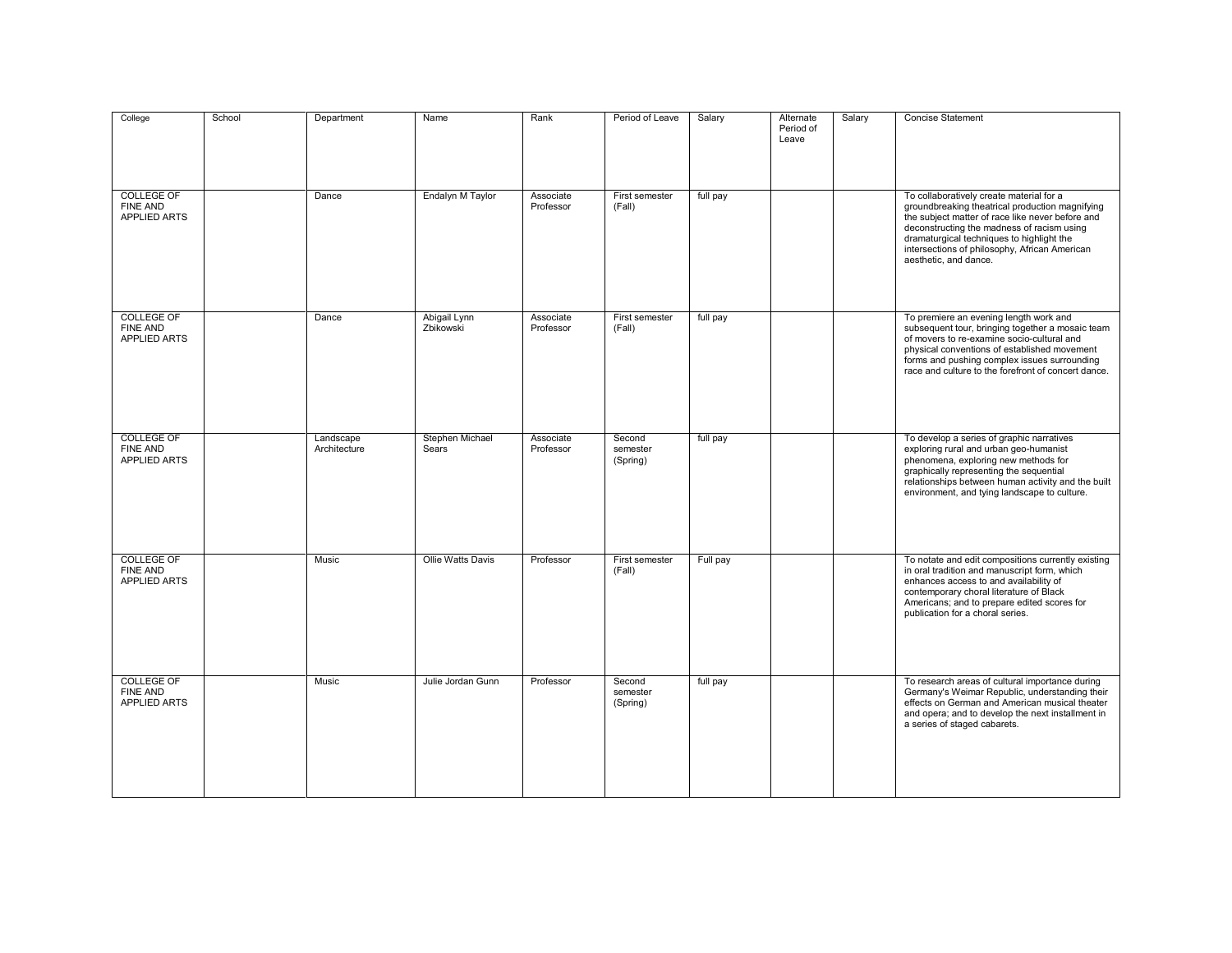| College                                                     | School | Department                | Name                      | Rank                   | Period of Leave                | Salary   | Alternate<br>Period of<br>Leave | Salary | Concise Statement                                                                                                                                                                                                                                                                                                    |
|-------------------------------------------------------------|--------|---------------------------|---------------------------|------------------------|--------------------------------|----------|---------------------------------|--------|----------------------------------------------------------------------------------------------------------------------------------------------------------------------------------------------------------------------------------------------------------------------------------------------------------------------|
| <b>COLLEGE OF</b><br><b>FINE AND</b><br><b>APPLIED ARTS</b> |        | Dance                     | Endalyn M Taylor          | Associate<br>Professor | First semester<br>(Fall)       | full pay |                                 |        | To collaboratively create material for a<br>groundbreaking theatrical production magnifying<br>the subject matter of race like never before and<br>deconstructing the madness of racism using<br>dramaturgical techniques to highlight the<br>intersections of philosophy, African American<br>aesthetic, and dance. |
| <b>COLLEGE OF</b><br><b>FINE AND</b><br><b>APPLIED ARTS</b> |        | Dance                     | Abigail Lynn<br>Zbikowski | Associate<br>Professor | First semester<br>(Fall)       | full pay |                                 |        | To premiere an evening length work and<br>subsequent tour, bringing together a mosaic team<br>of movers to re-examine socio-cultural and<br>physical conventions of established movement<br>forms and pushing complex issues surrounding<br>race and culture to the forefront of concert dance.                      |
| <b>COLLEGE OF</b><br><b>FINE AND</b><br><b>APPLIED ARTS</b> |        | Landscape<br>Architecture | Stephen Michael<br>Sears  | Associate<br>Professor | Second<br>semester<br>(Spring) | full pay |                                 |        | To develop a series of graphic narratives<br>exploring rural and urban geo-humanist<br>phenomena, exploring new methods for<br>graphically representing the sequential<br>relationships between human activity and the built<br>environment, and tying landscape to culture.                                         |
| <b>COLLEGE OF</b><br><b>FINE AND</b><br>APPLIED ARTS        |        | Music                     | Ollie Watts Davis         | Professor              | First semester<br>(Fall)       | Full pay |                                 |        | To notate and edit compositions currently existing<br>in oral tradition and manuscript form, which<br>enhances access to and availability of<br>contemporary choral literature of Black<br>Americans; and to prepare edited scores for<br>publication for a choral series.                                           |
| <b>COLLEGE OF</b><br><b>FINE AND</b><br><b>APPLIED ARTS</b> |        | Music                     | Julie Jordan Gunn         | Professor              | Second<br>semester<br>(Spring) | full pay |                                 |        | To research areas of cultural importance during<br>Germany's Weimar Republic, understanding their<br>effects on German and American musical theater<br>and opera; and to develop the next installment in<br>a series of staged cabarets.                                                                             |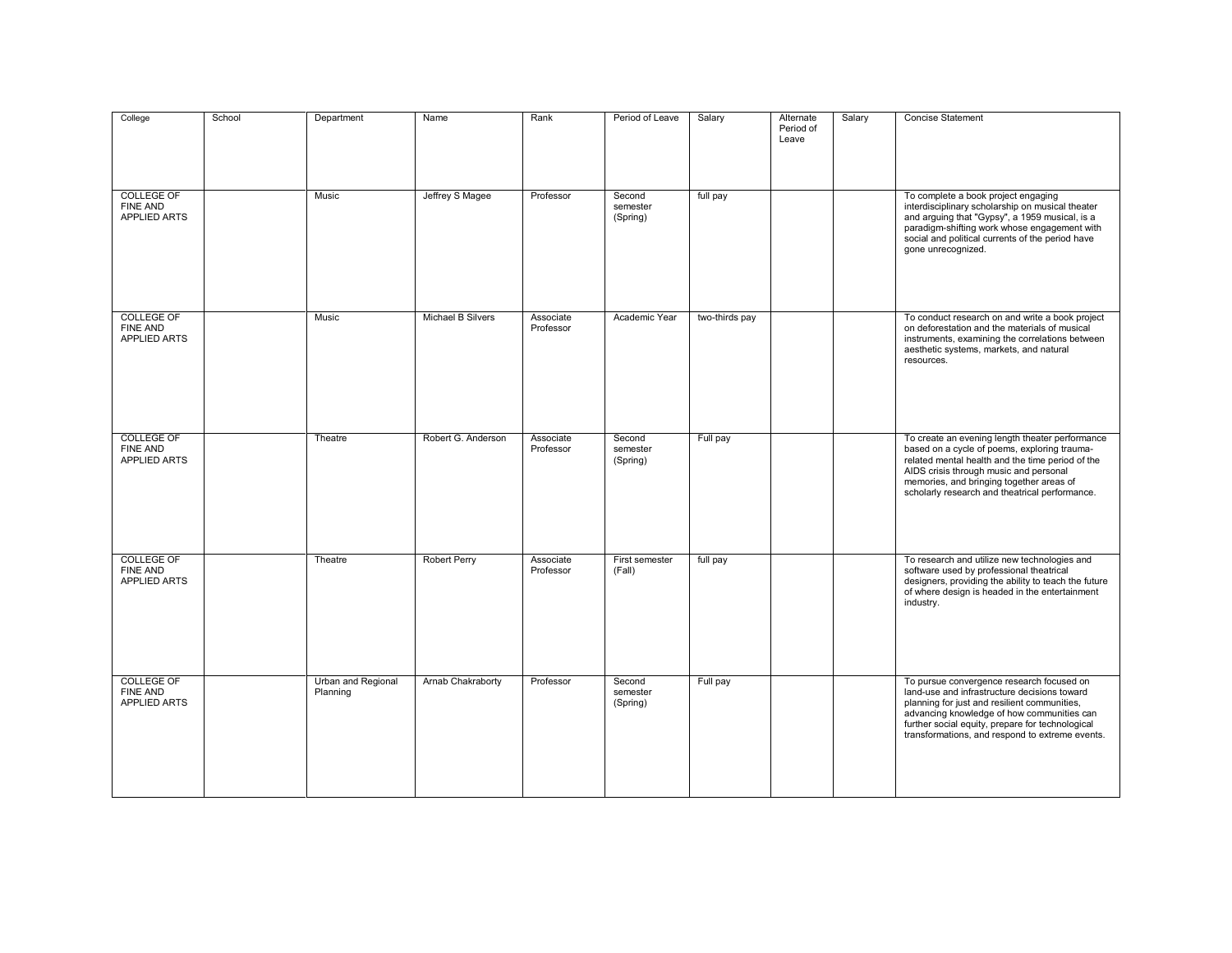| College                                                     | School | Department                     | Name                | Rank                   | Period of Leave                | Salary         | Alternate<br>Period of<br>Leave | Salary | Concise Statement                                                                                                                                                                                                                                                                              |
|-------------------------------------------------------------|--------|--------------------------------|---------------------|------------------------|--------------------------------|----------------|---------------------------------|--------|------------------------------------------------------------------------------------------------------------------------------------------------------------------------------------------------------------------------------------------------------------------------------------------------|
| <b>COLLEGE OF</b><br><b>FINE AND</b><br><b>APPLIED ARTS</b> |        | Music                          | Jeffrey S Magee     | Professor              | Second<br>semester<br>(Spring) | full pay       |                                 |        | To complete a book project engaging<br>interdisciplinary scholarship on musical theater<br>and arguing that "Gypsy", a 1959 musical, is a<br>paradigm-shifting work whose engagement with<br>social and political currents of the period have<br>gone unrecognized.                            |
| <b>COLLEGE OF</b><br><b>FINE AND</b><br><b>APPLIED ARTS</b> |        | <b>Music</b>                   | Michael B Silvers   | Associate<br>Professor | Academic Year                  | two-thirds pay |                                 |        | To conduct research on and write a book project<br>on deforestation and the materials of musical<br>instruments, examining the correlations between<br>aesthetic systems, markets, and natural<br>resources.                                                                                   |
| <b>COLLEGE OF</b><br><b>FINE AND</b><br>APPLIED ARTS        |        | Theatre                        | Robert G. Anderson  | Associate<br>Professor | Second<br>semester<br>(Spring) | Full pay       |                                 |        | To create an evening length theater performance<br>based on a cycle of poems, exploring trauma-<br>related mental health and the time period of the<br>AIDS crisis through music and personal<br>memories, and bringing together areas of<br>scholarly research and theatrical performance.    |
| <b>COLLEGE OF</b><br>FINE AND<br>APPLIED ARTS               |        | Theatre                        | <b>Robert Perry</b> | Associate<br>Professor | First semester<br>(Fall)       | full pay       |                                 |        | To research and utilize new technologies and<br>software used by professional theatrical<br>designers, providing the ability to teach the future<br>of where design is headed in the entertainment<br>industry.                                                                                |
| <b>COLLEGE OF</b><br>FINE AND<br>APPLIED ARTS               |        | Urban and Regional<br>Planning | Arnab Chakraborty   | Professor              | Second<br>semester<br>(Spring) | Full pay       |                                 |        | To pursue convergence research focused on<br>land-use and infrastructure decisions toward<br>planning for just and resilient communities,<br>advancing knowledge of how communities can<br>further social equity, prepare for technological<br>transformations, and respond to extreme events. |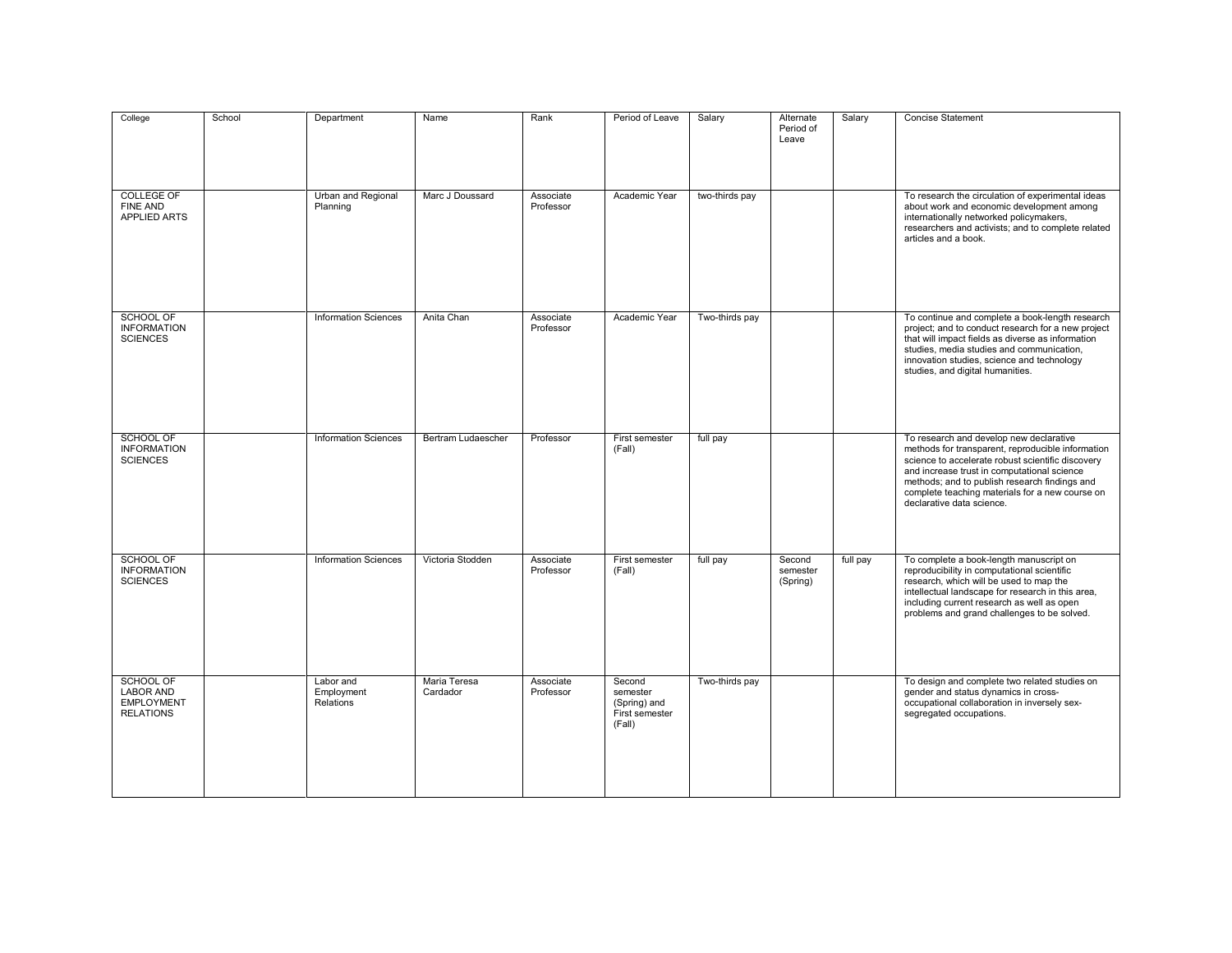| College                                                                       | School | Department                           | Name                      | Rank                   | Period of Leave                                                | Salary         | Alternate<br>Period of<br>Leave | Salary   | <b>Concise Statement</b>                                                                                                                                                                                                                                                                                                          |
|-------------------------------------------------------------------------------|--------|--------------------------------------|---------------------------|------------------------|----------------------------------------------------------------|----------------|---------------------------------|----------|-----------------------------------------------------------------------------------------------------------------------------------------------------------------------------------------------------------------------------------------------------------------------------------------------------------------------------------|
| <b>COLLEGE OF</b><br>FINE AND<br><b>APPLIED ARTS</b>                          |        | Urban and Regional<br>Planning       | Marc J Doussard           | Associate<br>Professor | Academic Year                                                  | two-thirds pay |                                 |          | To research the circulation of experimental ideas<br>about work and economic development among<br>internationally networked policymakers,<br>researchers and activists; and to complete related<br>articles and a book.                                                                                                           |
| SCHOOL OF<br><b>INFORMATION</b><br><b>SCIENCES</b>                            |        | <b>Information Sciences</b>          | Anita Chan                | Associate<br>Professor | Academic Year                                                  | Two-thirds pay |                                 |          | To continue and complete a book-length research<br>project; and to conduct research for a new project<br>that will impact fields as diverse as information<br>studies, media studies and communication,<br>innovation studies, science and technology<br>studies, and digital humanities.                                         |
| <b>SCHOOL OF</b><br><b>INFORMATION</b><br><b>SCIENCES</b>                     |        | <b>Information Sciences</b>          | <b>Bertram Ludaescher</b> | Professor              | First semester<br>(Fall)                                       | full pay       |                                 |          | To research and develop new declarative<br>methods for transparent, reproducible information<br>science to accelerate robust scientific discovery<br>and increase trust in computational science<br>methods; and to publish research findings and<br>complete teaching materials for a new course on<br>declarative data science. |
| <b>SCHOOL OF</b><br><b>INFORMATION</b><br><b>SCIENCES</b>                     |        | <b>Information Sciences</b>          | Victoria Stodden          | Associate<br>Professor | First semester<br>(Fall)                                       | full pay       | Second<br>semester<br>(Spring)  | full pay | To complete a book-length manuscript on<br>reproducibility in computational scientific<br>research, which will be used to map the<br>intellectual landscape for research in this area,<br>including current research as well as open<br>problems and grand challenges to be solved.                                               |
| <b>SCHOOL OF</b><br><b>LABOR AND</b><br><b>EMPLOYMENT</b><br><b>RELATIONS</b> |        | Labor and<br>Employment<br>Relations | Maria Teresa<br>Cardador  | Associate<br>Professor | Second<br>semester<br>(Spring) and<br>First semester<br>(Fall) | Two-thirds pay |                                 |          | To design and complete two related studies on<br>gender and status dynamics in cross-<br>occupational collaboration in inversely sex-<br>segregated occupations.                                                                                                                                                                  |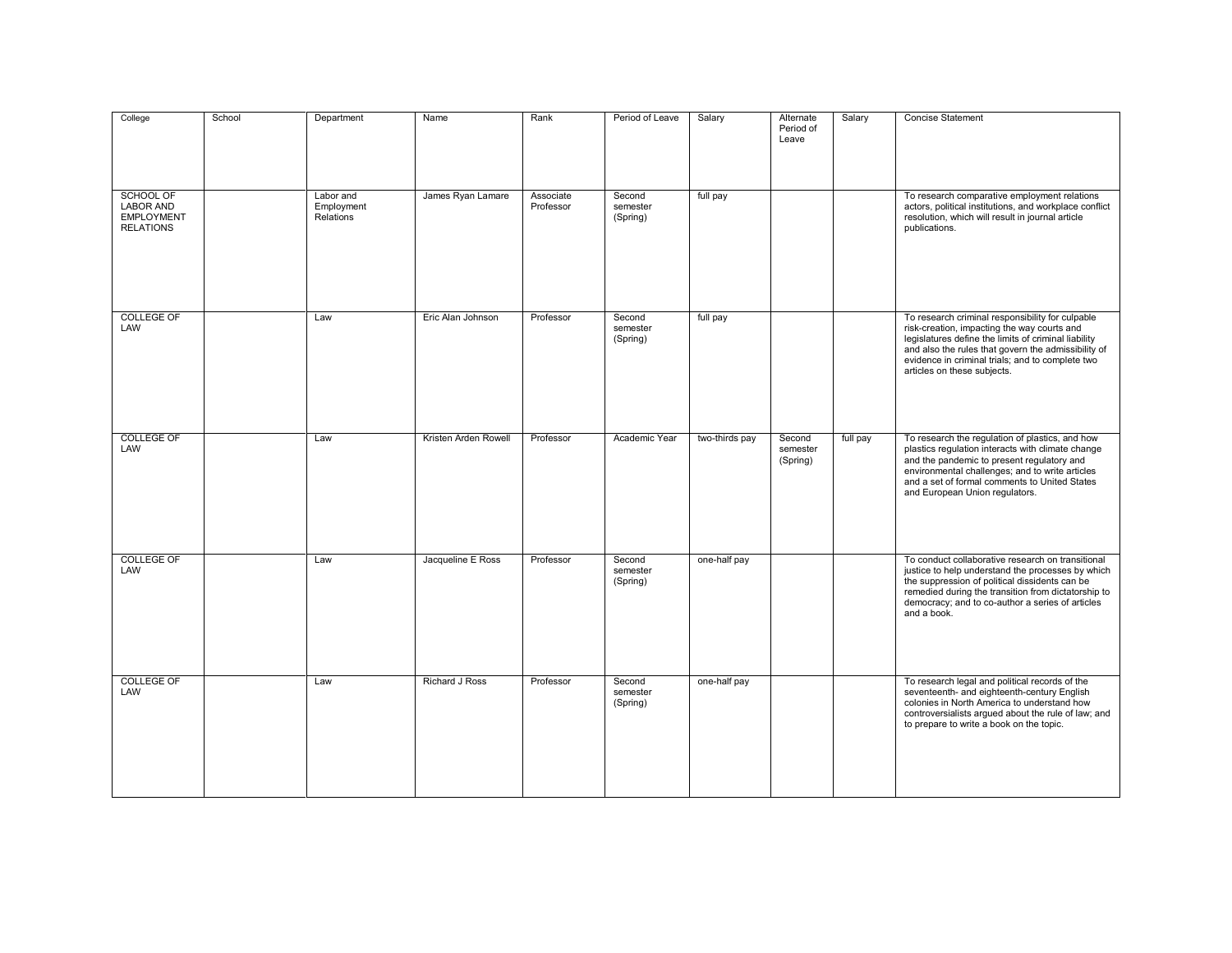| College                                                                       | School | Department                           | Name                 | Rank                   | Period of Leave                | Salary         | Alternate<br>Period of<br>Leave | Salary   | <b>Concise Statement</b>                                                                                                                                                                                                                                                                          |
|-------------------------------------------------------------------------------|--------|--------------------------------------|----------------------|------------------------|--------------------------------|----------------|---------------------------------|----------|---------------------------------------------------------------------------------------------------------------------------------------------------------------------------------------------------------------------------------------------------------------------------------------------------|
| <b>SCHOOL OF</b><br><b>LABOR AND</b><br><b>EMPLOYMENT</b><br><b>RELATIONS</b> |        | Labor and<br>Employment<br>Relations | James Ryan Lamare    | Associate<br>Professor | Second<br>semester<br>(Spring) | full pay       |                                 |          | To research comparative employment relations<br>actors, political institutions, and workplace conflict<br>resolution, which will result in journal article<br>publications.                                                                                                                       |
| <b>COLLEGE OF</b><br>LAW                                                      |        | Law                                  | Eric Alan Johnson    | Professor              | Second<br>semester<br>(Spring) | full pay       |                                 |          | To research criminal responsibility for culpable<br>risk-creation, impacting the way courts and<br>legislatures define the limits of criminal liability<br>and also the rules that govern the admissibility of<br>evidence in criminal trials; and to complete two<br>articles on these subjects. |
| <b>COLLEGE OF</b><br>LAW                                                      |        | Law                                  | Kristen Arden Rowell | Professor              | Academic Year                  | two-thirds pay | Second<br>semester<br>(Spring)  | full pay | To research the regulation of plastics, and how<br>plastics regulation interacts with climate change<br>and the pandemic to present regulatory and<br>environmental challenges; and to write articles<br>and a set of formal comments to United States<br>and European Union regulators.          |
| <b>COLLEGE OF</b><br>LAW                                                      |        | Law                                  | Jacqueline E Ross    | Professor              | Second<br>semester<br>(Spring) | one-half pay   |                                 |          | To conduct collaborative research on transitional<br>justice to help understand the processes by which<br>the suppression of political dissidents can be<br>remedied during the transition from dictatorship to<br>democracy; and to co-author a series of articles<br>and a book.                |
| <b>COLLEGE OF</b><br>LAW                                                      |        | Law                                  | Richard J Ross       | Professor              | Second<br>semester<br>(Spring) | one-half pay   |                                 |          | To research legal and political records of the<br>seventeenth- and eighteenth-century English<br>colonies in North America to understand how<br>controversialists argued about the rule of law; and<br>to prepare to write a book on the topic.                                                   |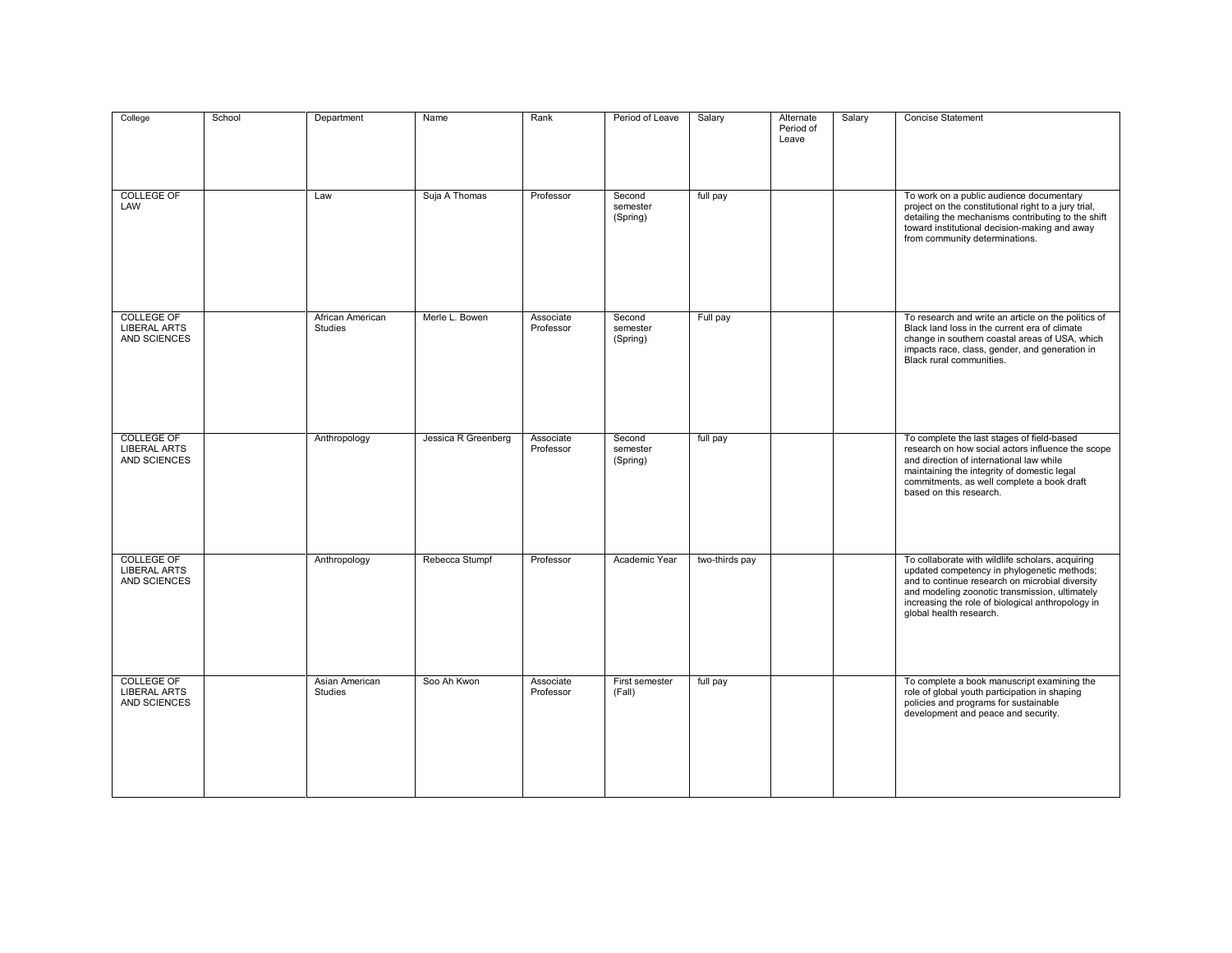| College                                                  | School | Department                         | Name                | Rank                   | Period of Leave                | Salary         | Alternate<br>Period of<br>Leave | Salary | <b>Concise Statement</b>                                                                                                                                                                                                                                                             |
|----------------------------------------------------------|--------|------------------------------------|---------------------|------------------------|--------------------------------|----------------|---------------------------------|--------|--------------------------------------------------------------------------------------------------------------------------------------------------------------------------------------------------------------------------------------------------------------------------------------|
| <b>COLLEGE OF</b><br>LAW                                 |        | Law                                | Suja A Thomas       | Professor              | Second<br>semester<br>(Spring) | full pay       |                                 |        | To work on a public audience documentary<br>project on the constitutional right to a jury trial,<br>detailing the mechanisms contributing to the shift<br>toward institutional decision-making and away<br>from community determinations.                                            |
| <b>COLLEGE OF</b><br><b>LIBERAL ARTS</b><br>AND SCIENCES |        | African American<br><b>Studies</b> | Merle L. Bowen      | Associate<br>Professor | Second<br>semester<br>(Spring) | Full pay       |                                 |        | To research and write an article on the politics of<br>Black land loss in the current era of climate<br>change in southern coastal areas of USA, which<br>impacts race, class, gender, and generation in<br>Black rural communities.                                                 |
| <b>COLLEGE OF</b><br><b>LIBERAL ARTS</b><br>AND SCIENCES |        | Anthropology                       | Jessica R Greenberg | Associate<br>Professor | Second<br>semester<br>(Spring) | full pay       |                                 |        | To complete the last stages of field-based<br>research on how social actors influence the scope<br>and direction of international law while<br>maintaining the integrity of domestic legal<br>commitments, as well complete a book draft<br>based on this research.                  |
| <b>COLLEGE OF</b><br><b>LIBERAL ARTS</b><br>AND SCIENCES |        | Anthropology                       | Rebecca Stumpf      | Professor              | Academic Year                  | two-thirds pay |                                 |        | To collaborate with wildlife scholars, acquiring<br>updated competency in phylogenetic methods;<br>and to continue research on microbial diversity<br>and modeling zoonotic transmission, ultimately<br>increasing the role of biological anthropology in<br>global health research. |
| <b>COLLEGE OF</b><br><b>LIBERAL ARTS</b><br>AND SCIENCES |        | Asian American<br>Studies          | Soo Ah Kwon         | Associate<br>Professor | First semester<br>(Fall)       | full pay       |                                 |        | To complete a book manuscript examining the<br>role of global youth participation in shaping<br>policies and programs for sustainable<br>development and peace and security.                                                                                                         |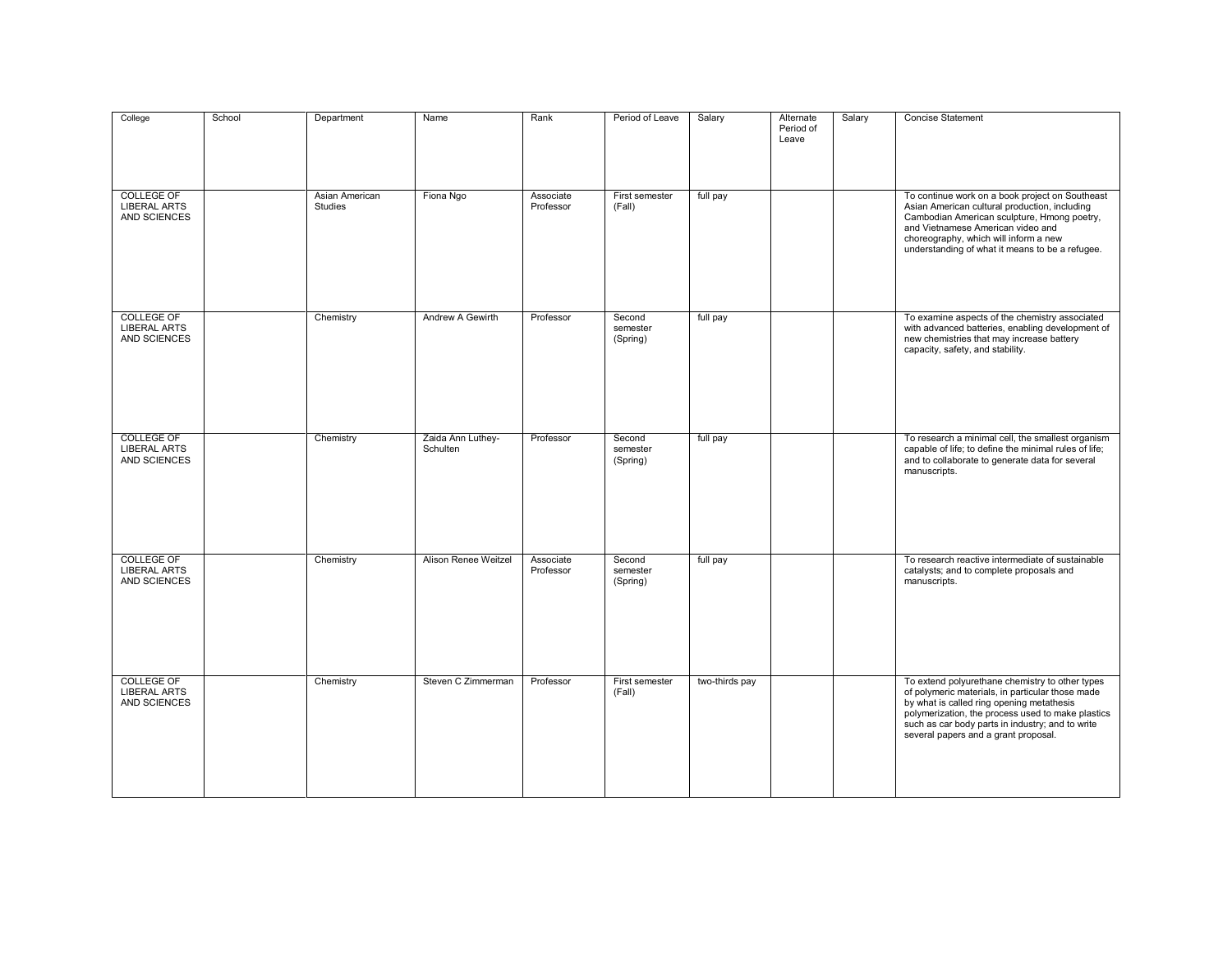| College                                                  | School | Department                       | Name                          | Rank                   | Period of Leave                | Salary         | Alternate<br>Period of<br>Leave | Salary | <b>Concise Statement</b>                                                                                                                                                                                                                                                                          |
|----------------------------------------------------------|--------|----------------------------------|-------------------------------|------------------------|--------------------------------|----------------|---------------------------------|--------|---------------------------------------------------------------------------------------------------------------------------------------------------------------------------------------------------------------------------------------------------------------------------------------------------|
| <b>COLLEGE OF</b><br><b>LIBERAL ARTS</b><br>AND SCIENCES |        | Asian American<br><b>Studies</b> | Fiona Ngo                     | Associate<br>Professor | First semester<br>(Fall)       | full pay       |                                 |        | To continue work on a book project on Southeast<br>Asian American cultural production, including<br>Cambodian American sculpture, Hmong poetry,<br>and Vietnamese American video and<br>choreography, which will inform a new<br>understanding of what it means to be a refugee.                  |
| <b>COLLEGE OF</b><br><b>LIBERAL ARTS</b><br>AND SCIENCES |        | Chemistry                        | Andrew A Gewirth              | Professor              | Second<br>semester<br>(Spring) | full pay       |                                 |        | To examine aspects of the chemistry associated<br>with advanced batteries, enabling development of<br>new chemistries that may increase battery<br>capacity, safety, and stability.                                                                                                               |
| <b>COLLEGE OF</b><br><b>LIBERAL ARTS</b><br>AND SCIENCES |        | Chemistry                        | Zaida Ann Luthey-<br>Schulten | Professor              | Second<br>semester<br>(Spring) | full pay       |                                 |        | To research a minimal cell, the smallest organism<br>capable of life; to define the minimal rules of life;<br>and to collaborate to generate data for several<br>manuscripts.                                                                                                                     |
| <b>COLLEGE OF</b><br><b>LIBERAL ARTS</b><br>AND SCIENCES |        | Chemistry                        | Alison Renee Weitzel          | Associate<br>Professor | Second<br>semester<br>(Spring) | full pay       |                                 |        | To research reactive intermediate of sustainable<br>catalysts; and to complete proposals and<br>manuscripts.                                                                                                                                                                                      |
| <b>COLLEGE OF</b><br><b>LIBERAL ARTS</b><br>AND SCIENCES |        | Chemistry                        | Steven C Zimmerman            | Professor              | First semester<br>(Fall)       | two-thirds pay |                                 |        | To extend polyurethane chemistry to other types<br>of polymeric materials, in particular those made<br>by what is called ring opening metathesis<br>polymerization, the process used to make plastics<br>such as car body parts in industry; and to write<br>several papers and a grant proposal. |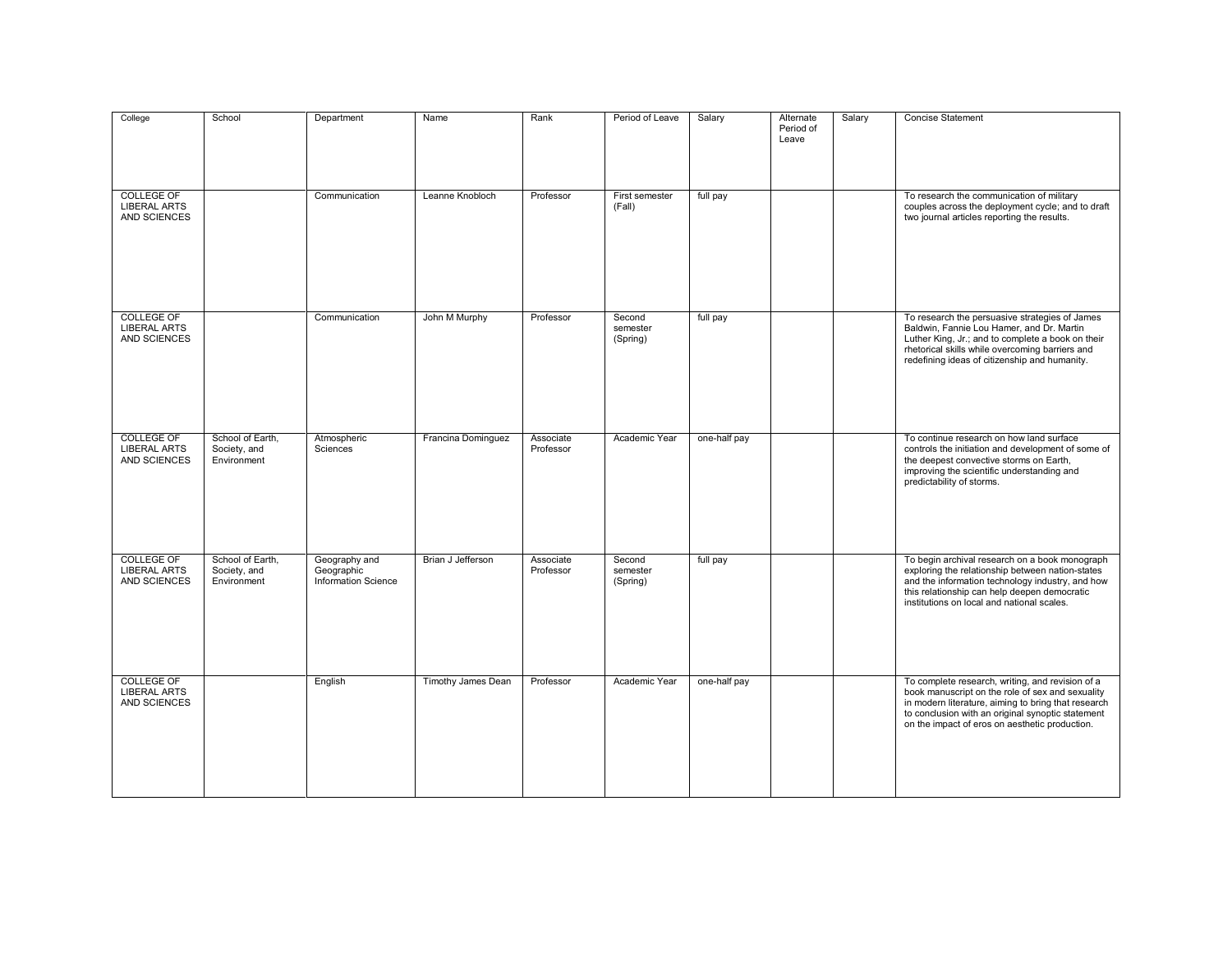| College                                                  | School                                          | Department                                                | Name               | Rank                   | Period of Leave                | Salary       | Alternate<br>Period of<br>Leave | Salary | Concise Statement                                                                                                                                                                                                                                                  |
|----------------------------------------------------------|-------------------------------------------------|-----------------------------------------------------------|--------------------|------------------------|--------------------------------|--------------|---------------------------------|--------|--------------------------------------------------------------------------------------------------------------------------------------------------------------------------------------------------------------------------------------------------------------------|
| <b>COLLEGE OF</b><br><b>LIBERAL ARTS</b><br>AND SCIENCES |                                                 | Communication                                             | Leanne Knobloch    | Professor              | First semester<br>(Fall)       | full pay     |                                 |        | To research the communication of military<br>couples across the deployment cycle; and to draft<br>two journal articles reporting the results.                                                                                                                      |
| <b>COLLEGE OF</b><br><b>LIBERAL ARTS</b><br>AND SCIENCES |                                                 | Communication                                             | John M Murphy      | Professor              | Second<br>semester<br>(Spring) | full pay     |                                 |        | To research the persuasive strategies of James<br>Baldwin, Fannie Lou Hamer, and Dr. Martin<br>Luther King, Jr.; and to complete a book on their<br>rhetorical skills while overcoming barriers and<br>redefining ideas of citizenship and humanity.               |
| <b>COLLEGE OF</b><br><b>LIBERAL ARTS</b><br>AND SCIENCES | School of Earth,<br>Society, and<br>Environment | Atmospheric<br>Sciences                                   | Francina Dominguez | Associate<br>Professor | Academic Year                  | one-half pay |                                 |        | To continue research on how land surface<br>controls the initiation and development of some of<br>the deepest convective storms on Earth,<br>improving the scientific understanding and<br>predictability of storms.                                               |
| <b>COLLEGE OF</b><br><b>LIBERAL ARTS</b><br>AND SCIENCES | School of Earth,<br>Society, and<br>Environment | Geography and<br>Geographic<br><b>Information Science</b> | Brian J Jefferson  | Associate<br>Professor | Second<br>semester<br>(Spring) | full pay     |                                 |        | To begin archival research on a book monograph<br>exploring the relationship between nation-states<br>and the information technology industry, and how<br>this relationship can help deepen democratic<br>institutions on local and national scales.               |
| <b>COLLEGE OF</b><br><b>LIBERAL ARTS</b><br>AND SCIENCES |                                                 | English                                                   | Timothy James Dean | Professor              | Academic Year                  | one-half pay |                                 |        | To complete research, writing, and revision of a<br>book manuscript on the role of sex and sexuality<br>in modern literature, aiming to bring that research<br>to conclusion with an original synoptic statement<br>on the impact of eros on aesthetic production. |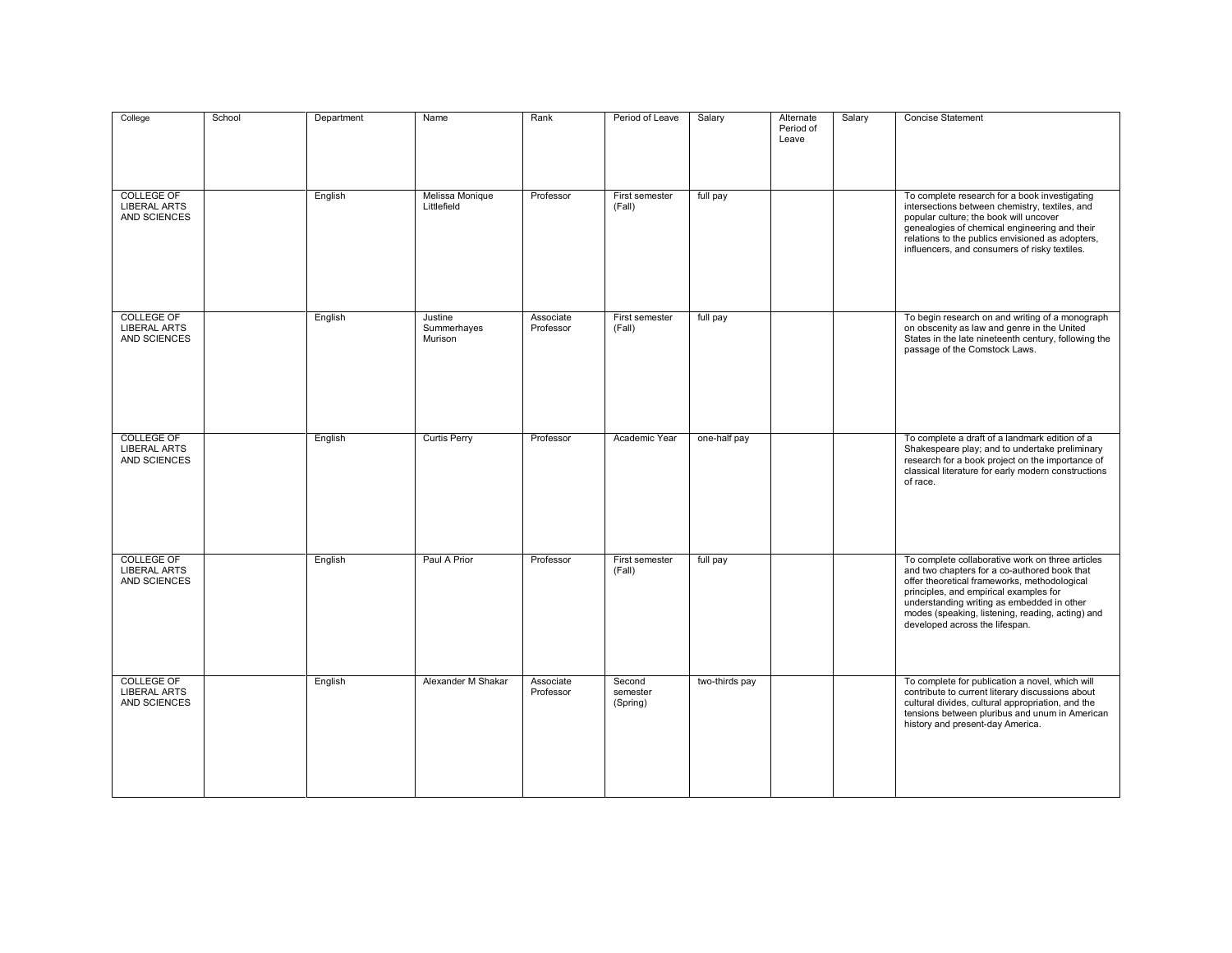| College                                                  | School | Department | Name                              | Rank                   | Period of Leave                | Salary         | Alternate<br>Period of<br>Leave | Salary | Concise Statement                                                                                                                                                                                                                                                                                                              |
|----------------------------------------------------------|--------|------------|-----------------------------------|------------------------|--------------------------------|----------------|---------------------------------|--------|--------------------------------------------------------------------------------------------------------------------------------------------------------------------------------------------------------------------------------------------------------------------------------------------------------------------------------|
| <b>COLLEGE OF</b><br><b>LIBERAL ARTS</b><br>AND SCIENCES |        | English    | Melissa Monique<br>Littlefield    | Professor              | First semester<br>(Fall)       | full pay       |                                 |        | To complete research for a book investigating<br>intersections between chemistry, textiles, and<br>popular culture; the book will uncover<br>genealogies of chemical engineering and their<br>relations to the publics envisioned as adopters,<br>influencers, and consumers of risky textiles.                                |
| <b>COLLEGE OF</b><br><b>LIBERAL ARTS</b><br>AND SCIENCES |        | English    | Justine<br>Summerhayes<br>Murison | Associate<br>Professor | First semester<br>(Fall)       | full pay       |                                 |        | To begin research on and writing of a monograph<br>on obscenity as law and genre in the United<br>States in the late nineteenth century, following the<br>passage of the Comstock Laws.                                                                                                                                        |
| <b>COLLEGE OF</b><br><b>LIBERAL ARTS</b><br>AND SCIENCES |        | English    | <b>Curtis Perry</b>               | Professor              | Academic Year                  | one-half pay   |                                 |        | To complete a draft of a landmark edition of a<br>Shakespeare play; and to undertake preliminary<br>research for a book project on the importance of<br>classical literature for early modern constructions<br>of race.                                                                                                        |
| <b>COLLEGE OF</b><br><b>LIBERAL ARTS</b><br>AND SCIENCES |        | English    | Paul A Prior                      | Professor              | First semester<br>(Fall)       | full pay       |                                 |        | To complete collaborative work on three articles<br>and two chapters for a co-authored book that<br>offer theoretical frameworks, methodological<br>principles, and empirical examples for<br>understanding writing as embedded in other<br>modes (speaking, listening, reading, acting) and<br>developed across the lifespan. |
| <b>COLLEGE OF</b><br><b>LIBERAL ARTS</b><br>AND SCIENCES |        | English    | Alexander M Shakar                | Associate<br>Professor | Second<br>semester<br>(Spring) | two-thirds pay |                                 |        | To complete for publication a novel, which will<br>contribute to current literary discussions about<br>cultural divides, cultural appropriation, and the<br>tensions between pluribus and unum in American<br>history and present-day America.                                                                                 |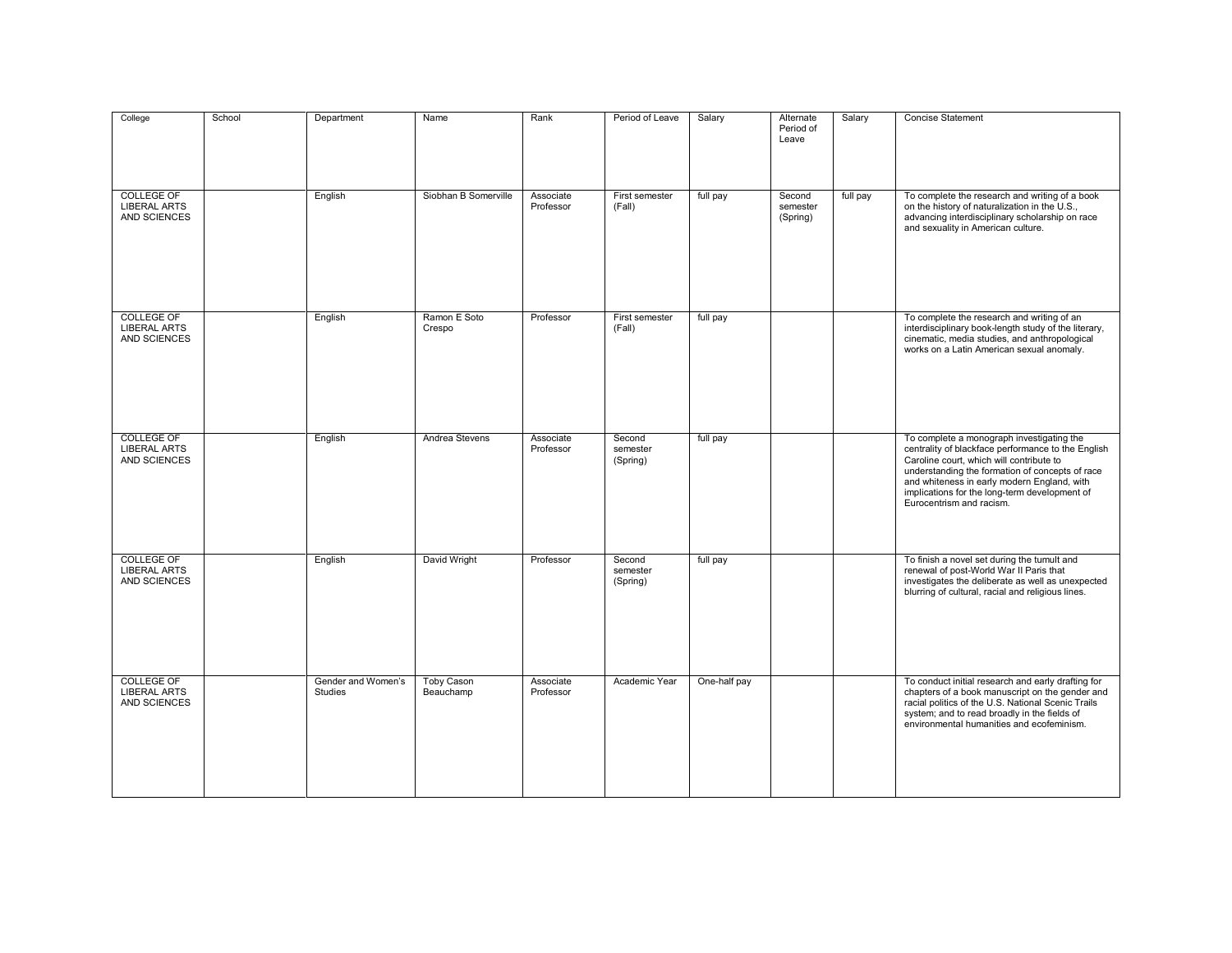| College                                                  | School | Department                           | Name                           | Rank                   | Period of Leave                | Salary       | Alternate<br>Period of<br>Leave | Salary   | <b>Concise Statement</b>                                                                                                                                                                                                                                                                                                   |
|----------------------------------------------------------|--------|--------------------------------------|--------------------------------|------------------------|--------------------------------|--------------|---------------------------------|----------|----------------------------------------------------------------------------------------------------------------------------------------------------------------------------------------------------------------------------------------------------------------------------------------------------------------------------|
| <b>COLLEGE OF</b><br><b>LIBERAL ARTS</b><br>AND SCIENCES |        | English                              | Siobhan B Somerville           | Associate<br>Professor | First semester<br>(Fall)       | full pay     | Second<br>semester<br>(Spring)  | full pay | To complete the research and writing of a book<br>on the history of naturalization in the U.S.,<br>advancing interdisciplinary scholarship on race<br>and sexuality in American culture.                                                                                                                                   |
| <b>COLLEGE OF</b><br><b>LIBERAL ARTS</b><br>AND SCIENCES |        | English                              | Ramon E Soto<br>Crespo         | Professor              | First semester<br>(Fall)       | full pay     |                                 |          | To complete the research and writing of an<br>interdisciplinary book-length study of the literary,<br>cinematic, media studies, and anthropological<br>works on a Latin American sexual anomaly.                                                                                                                           |
| <b>COLLEGE OF</b><br><b>LIBERAL ARTS</b><br>AND SCIENCES |        | English                              | Andrea Stevens                 | Associate<br>Professor | Second<br>semester<br>(Spring) | full pay     |                                 |          | To complete a monograph investigating the<br>centrality of blackface performance to the English<br>Caroline court, which will contribute to<br>understanding the formation of concepts of race<br>and whiteness in early modern England, with<br>implications for the long-term development of<br>Eurocentrism and racism. |
| <b>COLLEGE OF</b><br><b>LIBERAL ARTS</b><br>AND SCIENCES |        | English                              | David Wright                   | Professor              | Second<br>semester<br>(Spring) | full pay     |                                 |          | To finish a novel set during the tumult and<br>renewal of post-World War II Paris that<br>investigates the deliberate as well as unexpected<br>blurring of cultural, racial and religious lines.                                                                                                                           |
| <b>COLLEGE OF</b><br><b>LIBERAL ARTS</b><br>AND SCIENCES |        | Gender and Women's<br><b>Studies</b> | <b>Toby Cason</b><br>Beauchamp | Associate<br>Professor | Academic Year                  | One-half pay |                                 |          | To conduct initial research and early drafting for<br>chapters of a book manuscript on the gender and<br>racial politics of the U.S. National Scenic Trails<br>system; and to read broadly in the fields of<br>environmental humanities and ecofeminism.                                                                   |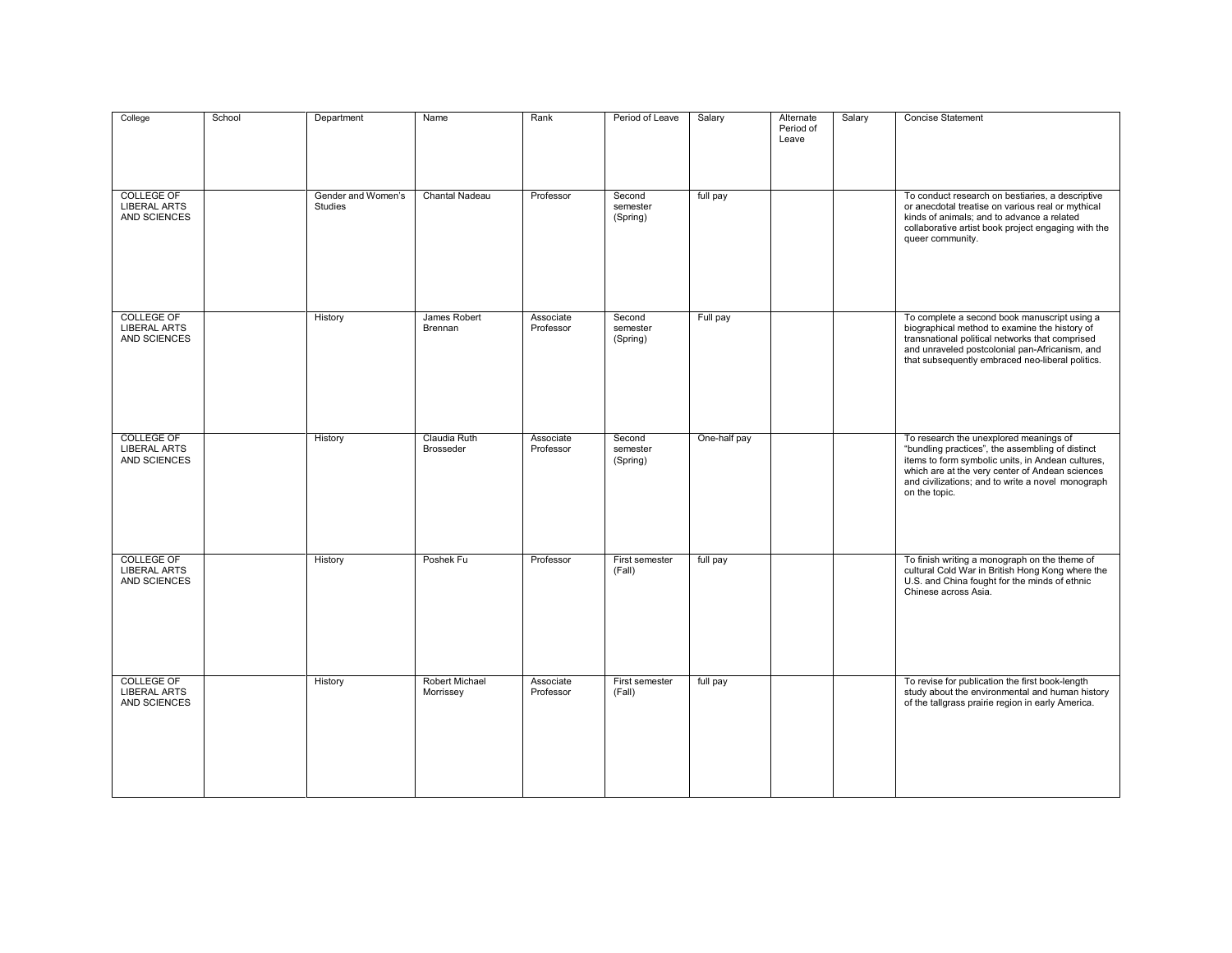| College                                                  | School | Department                           | Name                               | Rank                   | Period of Leave                | Salary       | Alternate<br>Period of<br>Leave | Salary | <b>Concise Statement</b>                                                                                                                                                                                                                                                 |
|----------------------------------------------------------|--------|--------------------------------------|------------------------------------|------------------------|--------------------------------|--------------|---------------------------------|--------|--------------------------------------------------------------------------------------------------------------------------------------------------------------------------------------------------------------------------------------------------------------------------|
| <b>COLLEGE OF</b><br><b>LIBERAL ARTS</b><br>AND SCIENCES |        | Gender and Women's<br><b>Studies</b> | <b>Chantal Nadeau</b>              | Professor              | Second<br>semester<br>(Spring) | full pay     |                                 |        | To conduct research on bestiaries, a descriptive<br>or anecdotal treatise on various real or mythical<br>kinds of animals; and to advance a related<br>collaborative artist book project engaging with the<br>queer community.                                           |
| <b>COLLEGE OF</b><br><b>LIBERAL ARTS</b><br>AND SCIENCES |        | History                              | James Robert<br>Brennan            | Associate<br>Professor | Second<br>semester<br>(Spring) | Full pay     |                                 |        | To complete a second book manuscript using a<br>biographical method to examine the history of<br>transnational political networks that comprised<br>and unraveled postcolonial pan-Africanism, and<br>that subsequently embraced neo-liberal politics.                   |
| <b>COLLEGE OF</b><br><b>LIBERAL ARTS</b><br>AND SCIENCES |        | History                              | Claudia Ruth<br><b>Brosseder</b>   | Associate<br>Professor | Second<br>semester<br>(Spring) | One-half pay |                                 |        | To research the unexplored meanings of<br>"bundling practices", the assembling of distinct<br>items to form symbolic units, in Andean cultures,<br>which are at the very center of Andean sciences<br>and civilizations; and to write a novel monograph<br>on the topic. |
| <b>COLLEGE OF</b><br><b>LIBERAL ARTS</b><br>AND SCIENCES |        | History                              | Poshek Fu                          | Professor              | First semester<br>(Fall)       | full pay     |                                 |        | To finish writing a monograph on the theme of<br>cultural Cold War in British Hong Kong where the<br>U.S. and China fought for the minds of ethnic<br>Chinese across Asia.                                                                                               |
| <b>COLLEGE OF</b><br><b>LIBERAL ARTS</b><br>AND SCIENCES |        | History                              | <b>Robert Michael</b><br>Morrissey | Associate<br>Professor | First semester<br>(Fall)       | full pay     |                                 |        | To revise for publication the first book-length<br>study about the environmental and human history<br>of the tallgrass prairie region in early America.                                                                                                                  |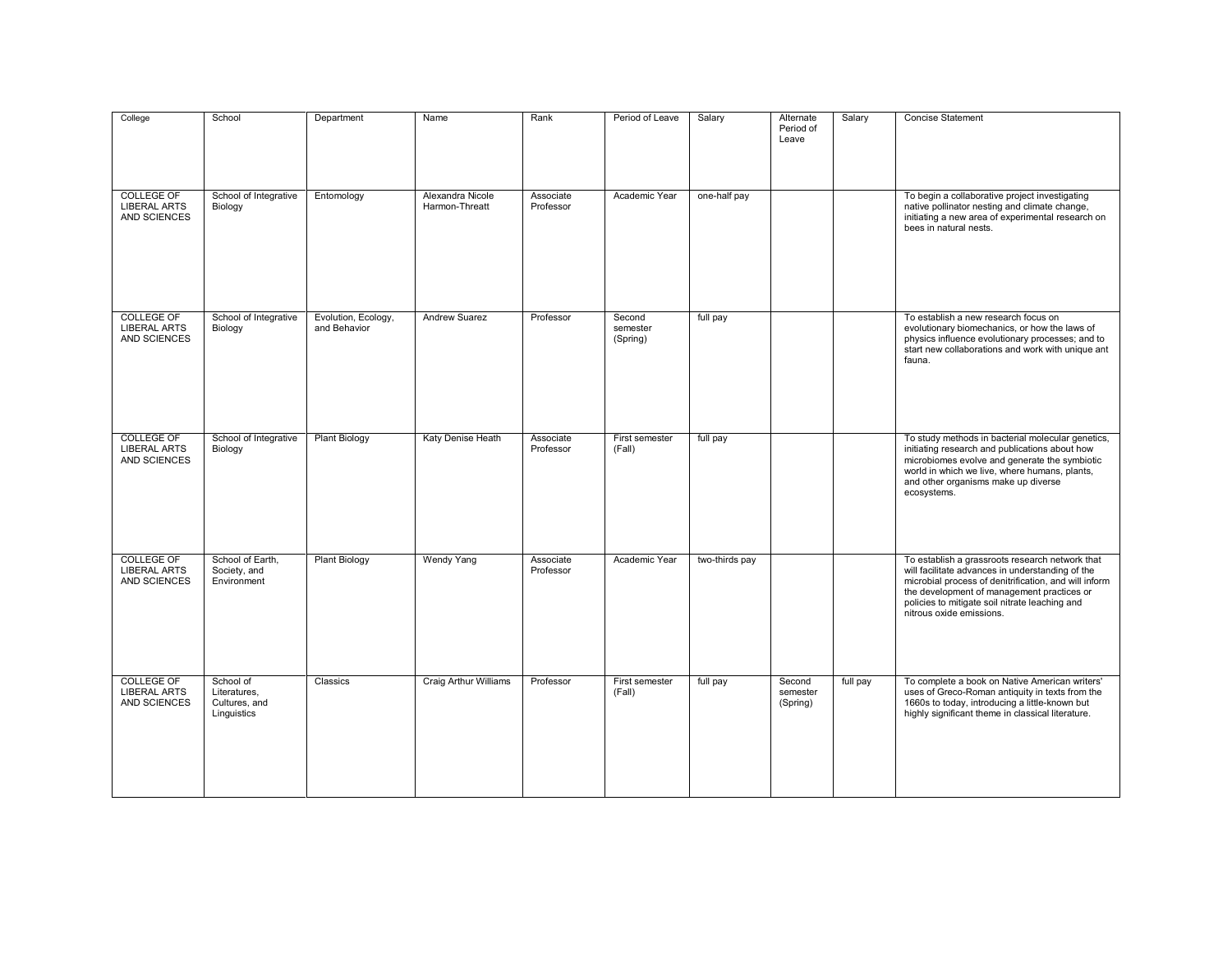| College                                                  | School                                                    | Department                          | Name                               | Rank                   | Period of Leave                | Salary         | Alternate<br>Period of<br>Leave | Salary   | <b>Concise Statement</b>                                                                                                                                                                                                                                                                 |
|----------------------------------------------------------|-----------------------------------------------------------|-------------------------------------|------------------------------------|------------------------|--------------------------------|----------------|---------------------------------|----------|------------------------------------------------------------------------------------------------------------------------------------------------------------------------------------------------------------------------------------------------------------------------------------------|
| <b>COLLEGE OF</b><br><b>LIBERAL ARTS</b><br>AND SCIENCES | School of Integrative<br>Biology                          | Entomology                          | Alexandra Nicole<br>Harmon-Threatt | Associate<br>Professor | Academic Year                  | one-half pay   |                                 |          | To begin a collaborative project investigating<br>native pollinator nesting and climate change,<br>initiating a new area of experimental research on<br>bees in natural nests.                                                                                                           |
| <b>COLLEGE OF</b><br><b>LIBERAL ARTS</b><br>AND SCIENCES | School of Integrative<br>Biology                          | Evolution, Ecology,<br>and Behavior | <b>Andrew Suarez</b>               | Professor              | Second<br>semester<br>(Spring) | full pay       |                                 |          | To establish a new research focus on<br>evolutionary biomechanics, or how the laws of<br>physics influence evolutionary processes; and to<br>start new collaborations and work with unique ant<br>fauna.                                                                                 |
| <b>COLLEGE OF</b><br><b>LIBERAL ARTS</b><br>AND SCIENCES | School of Integrative<br>Biology                          | <b>Plant Biology</b>                | Katy Denise Heath                  | Associate<br>Professor | First semester<br>(Fall)       | full pay       |                                 |          | To study methods in bacterial molecular genetics,<br>initiating research and publications about how<br>microbiomes evolve and generate the symbiotic<br>world in which we live, where humans, plants,<br>and other organisms make up diverse<br>ecosystems.                              |
| <b>COLLEGE OF</b><br><b>LIBERAL ARTS</b><br>AND SCIENCES | School of Earth,<br>Society, and<br>Environment           | <b>Plant Biology</b>                | <b>Wendy Yang</b>                  | Associate<br>Professor | Academic Year                  | two-thirds pay |                                 |          | To establish a grassroots research network that<br>will facilitate advances in understanding of the<br>microbial process of denitrification, and will inform<br>the development of management practices or<br>policies to mitigate soil nitrate leaching and<br>nitrous oxide emissions. |
| <b>COLLEGE OF</b><br><b>LIBERAL ARTS</b><br>AND SCIENCES | School of<br>Literatures,<br>Cultures, and<br>Linguistics | Classics                            | <b>Craig Arthur Williams</b>       | Professor              | First semester<br>(Fall)       | full pay       | Second<br>semester<br>(Spring)  | full pay | To complete a book on Native American writers'<br>uses of Greco-Roman antiquity in texts from the<br>1660s to today, introducing a little-known but<br>highly significant theme in classical literature.                                                                                 |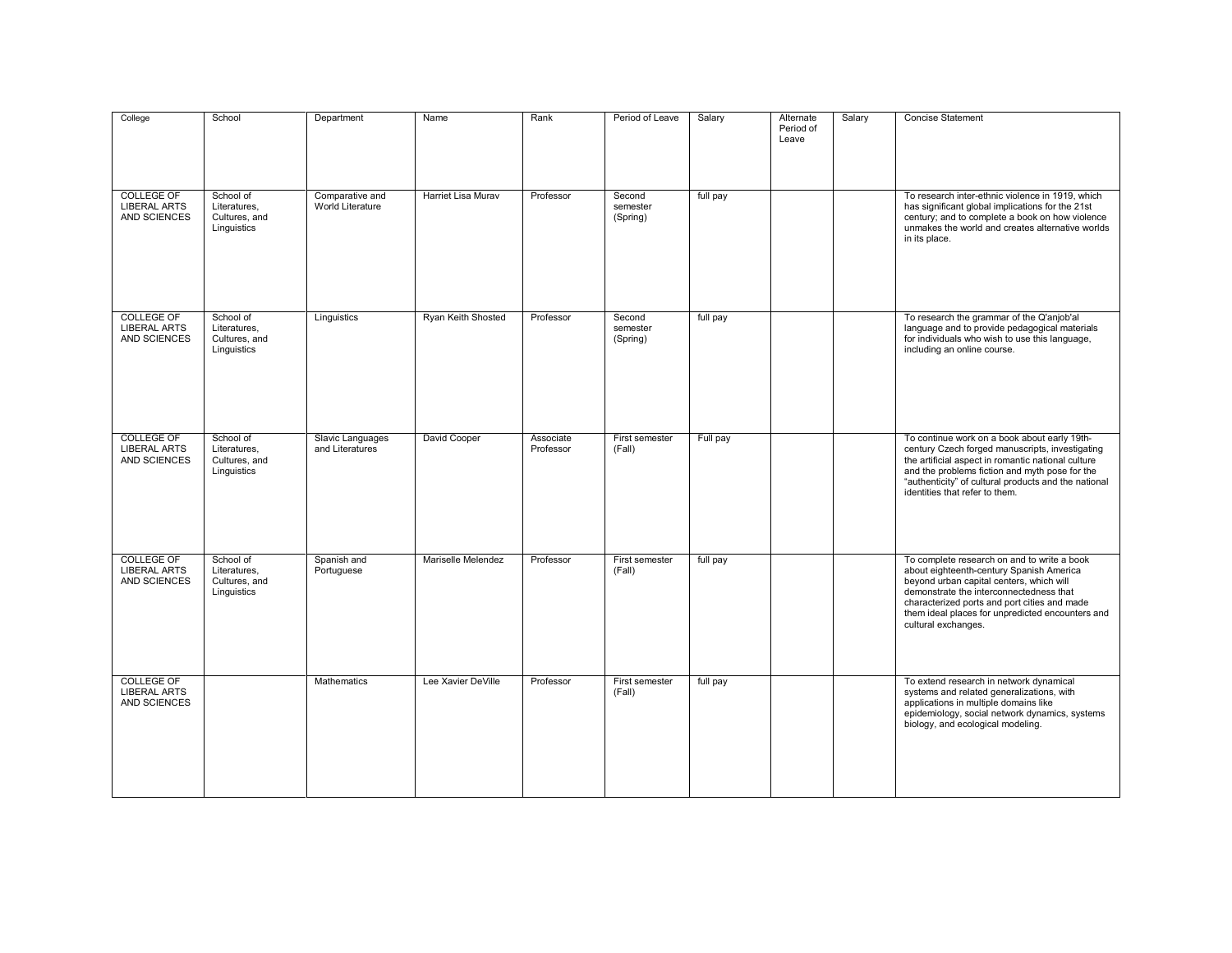| College                                                  | School                                                    | Department                          | Name                      | Rank                   | Period of Leave                | Salary   | Alternate<br>Period of<br>Leave | Salary | <b>Concise Statement</b>                                                                                                                                                                                                                                                                                  |
|----------------------------------------------------------|-----------------------------------------------------------|-------------------------------------|---------------------------|------------------------|--------------------------------|----------|---------------------------------|--------|-----------------------------------------------------------------------------------------------------------------------------------------------------------------------------------------------------------------------------------------------------------------------------------------------------------|
| <b>COLLEGE OF</b><br><b>LIBERAL ARTS</b><br>AND SCIENCES | School of<br>Literatures,<br>Cultures, and<br>Linguistics | Comparative and<br>World Literature | <b>Harriet Lisa Murav</b> | Professor              | Second<br>semester<br>(Spring) | full pay |                                 |        | To research inter-ethnic violence in 1919, which<br>has significant global implications for the 21st<br>century; and to complete a book on how violence<br>unmakes the world and creates alternative worlds<br>in its place.                                                                              |
| <b>COLLEGE OF</b><br><b>LIBERAL ARTS</b><br>AND SCIENCES | School of<br>Literatures.<br>Cultures, and<br>Linguistics | Linguistics                         | Ryan Keith Shosted        | Professor              | Second<br>semester<br>(Spring) | full pay |                                 |        | To research the grammar of the Q'anjob'al<br>language and to provide pedagogical materials<br>for individuals who wish to use this language,<br>including an online course.                                                                                                                               |
| <b>COLLEGE OF</b><br><b>LIBERAL ARTS</b><br>AND SCIENCES | School of<br>Literatures,<br>Cultures, and<br>Linguistics | Slavic Languages<br>and Literatures | David Cooper              | Associate<br>Professor | First semester<br>(Fall)       | Full pay |                                 |        | To continue work on a book about early 19th-<br>century Czech forged manuscripts, investigating<br>the artificial aspect in romantic national culture<br>and the problems fiction and myth pose for the<br>"authenticity" of cultural products and the national<br>identities that refer to them.         |
| <b>COLLEGE OF</b><br><b>LIBERAL ARTS</b><br>AND SCIENCES | School of<br>Literatures,<br>Cultures, and<br>Linguistics | Spanish and<br>Portuguese           | Mariselle Melendez        | Professor              | First semester<br>(Fall)       | full pay |                                 |        | To complete research on and to write a book<br>about eighteenth-century Spanish America<br>beyond urban capital centers, which will<br>demonstrate the interconnectedness that<br>characterized ports and port cities and made<br>them ideal places for unpredicted encounters and<br>cultural exchanges. |
| <b>COLLEGE OF</b><br><b>LIBERAL ARTS</b><br>AND SCIENCES |                                                           | Mathematics                         | Lee Xavier DeVille        | Professor              | First semester<br>(Fall)       | full pay |                                 |        | To extend research in network dynamical<br>systems and related generalizations, with<br>applications in multiple domains like<br>epidemiology, social network dynamics, systems<br>biology, and ecological modeling.                                                                                      |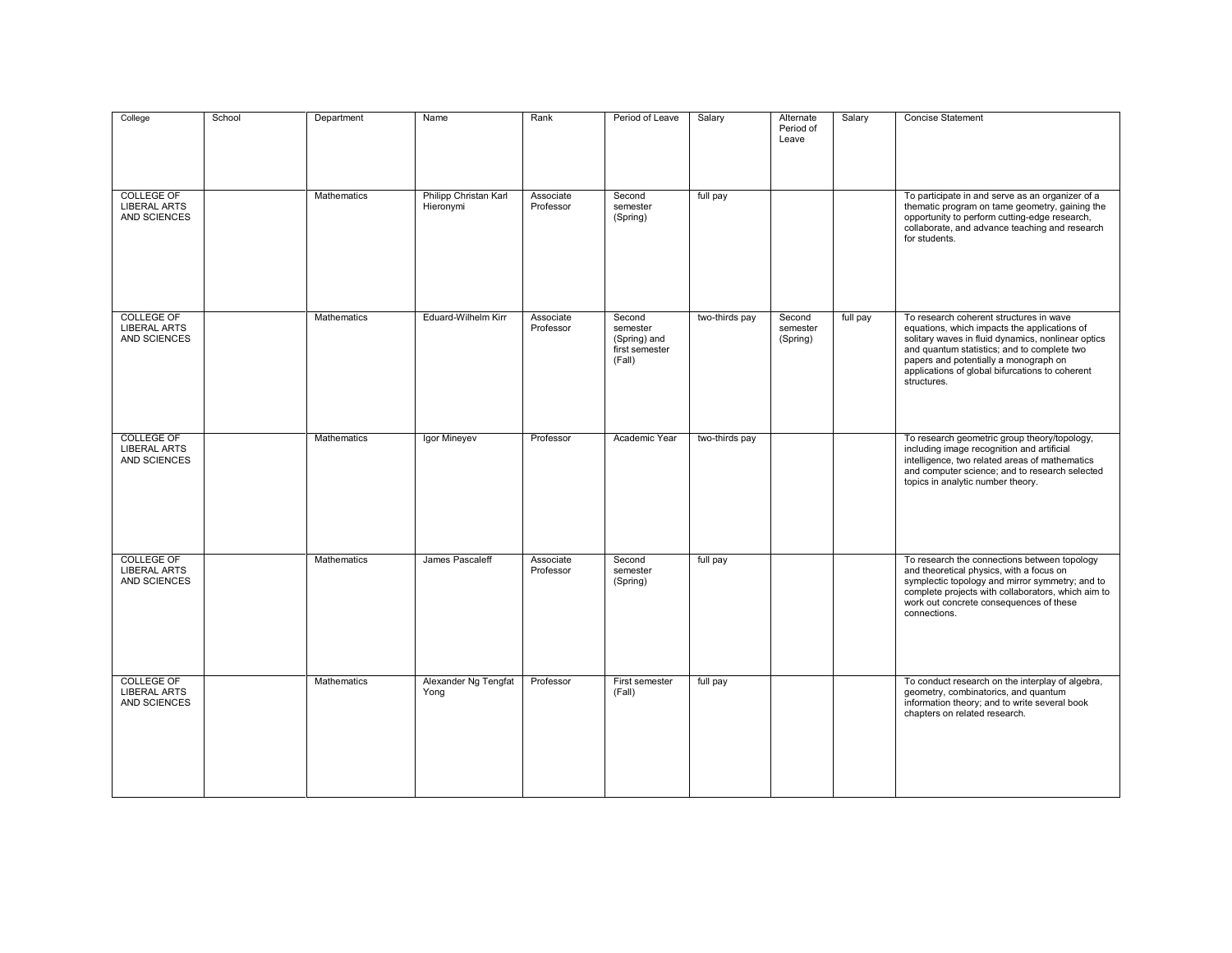| College                                                  | School | Department         | Name                               | Rank                   | Period of Leave                                                | Salary         | Alternate<br>Period of<br>Leave | Salary   | Concise Statement                                                                                                                                                                                                                                                                                       |
|----------------------------------------------------------|--------|--------------------|------------------------------------|------------------------|----------------------------------------------------------------|----------------|---------------------------------|----------|---------------------------------------------------------------------------------------------------------------------------------------------------------------------------------------------------------------------------------------------------------------------------------------------------------|
| <b>COLLEGE OF</b><br><b>LIBERAL ARTS</b><br>AND SCIENCES |        | <b>Mathematics</b> | Philipp Christan Karl<br>Hieronymi | Associate<br>Professor | Second<br>semester<br>(Spring)                                 | full pay       |                                 |          | To participate in and serve as an organizer of a<br>thematic program on tame geometry, gaining the<br>opportunity to perform cutting-edge research,<br>collaborate, and advance teaching and research<br>for students.                                                                                  |
| <b>COLLEGE OF</b><br><b>LIBERAL ARTS</b><br>AND SCIENCES |        | <b>Mathematics</b> | Eduard-Wilhelm Kirr                | Associate<br>Professor | Second<br>semester<br>(Spring) and<br>first semester<br>(Fall) | two-thirds pay | Second<br>semester<br>(Spring)  | full pay | To research coherent structures in wave<br>equations, which impacts the applications of<br>solitary waves in fluid dynamics, nonlinear optics<br>and quantum statistics; and to complete two<br>papers and potentially a monograph on<br>applications of global bifurcations to coherent<br>structures. |
| <b>COLLEGE OF</b><br><b>LIBERAL ARTS</b><br>AND SCIENCES |        | <b>Mathematics</b> | Igor Mineyev                       | Professor              | Academic Year                                                  | two-thirds pay |                                 |          | To research geometric group theory/topology,<br>including image recognition and artificial<br>intelligence, two related areas of mathematics<br>and computer science; and to research selected<br>topics in analytic number theory.                                                                     |
| <b>COLLEGE OF</b><br><b>LIBERAL ARTS</b><br>AND SCIENCES |        | Mathematics        | James Pascaleff                    | Associate<br>Professor | Second<br>semester<br>(Spring)                                 | full pay       |                                 |          | To research the connections between topology<br>and theoretical physics, with a focus on<br>symplectic topology and mirror symmetry; and to<br>complete projects with collaborators, which aim to<br>work out concrete consequences of these<br>connections.                                            |
| <b>COLLEGE OF</b><br><b>LIBERAL ARTS</b><br>AND SCIENCES |        | Mathematics        | Alexander Ng Tengfat<br>Yong       | Professor              | First semester<br>(Fall)                                       | full pay       |                                 |          | To conduct research on the interplay of algebra,<br>geometry, combinatorics, and quantum<br>information theory; and to write several book<br>chapters on related research.                                                                                                                              |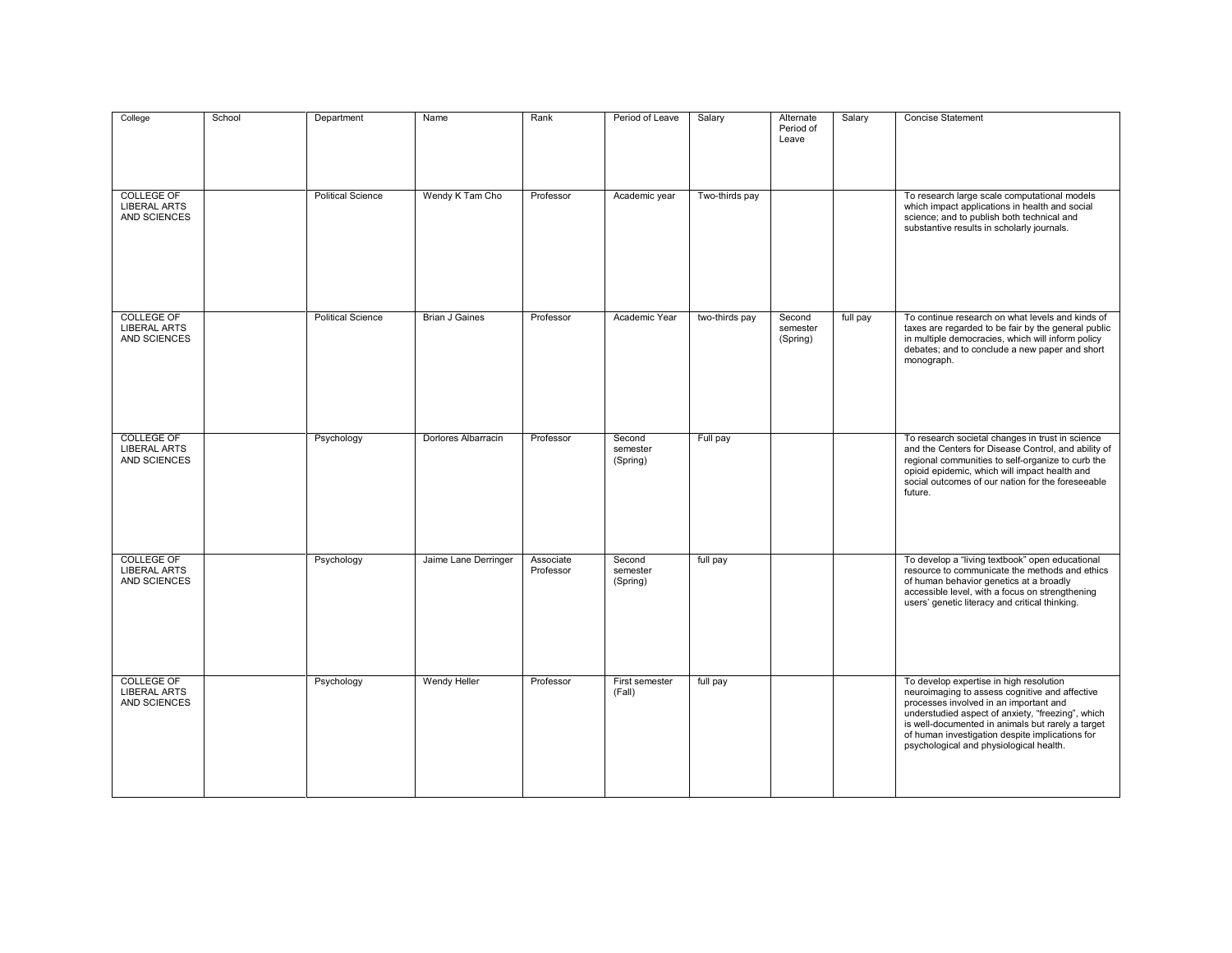| College                                                  | School | Department               | Name                  | Rank                   | Period of Leave                | Salary         | Alternate<br>Period of<br>Leave | Salary   | Concise Statement                                                                                                                                                                                                                                                                                                                           |
|----------------------------------------------------------|--------|--------------------------|-----------------------|------------------------|--------------------------------|----------------|---------------------------------|----------|---------------------------------------------------------------------------------------------------------------------------------------------------------------------------------------------------------------------------------------------------------------------------------------------------------------------------------------------|
| <b>COLLEGE OF</b><br><b>LIBERAL ARTS</b><br>AND SCIENCES |        | <b>Political Science</b> | Wendy K Tam Cho       | Professor              | Academic year                  | Two-thirds pay |                                 |          | To research large scale computational models<br>which impact applications in health and social<br>science; and to publish both technical and<br>substantive results in scholarly journals.                                                                                                                                                  |
| <b>COLLEGE OF</b><br><b>LIBERAL ARTS</b><br>AND SCIENCES |        | <b>Political Science</b> | <b>Brian J Gaines</b> | Professor              | Academic Year                  | two-thirds pay | Second<br>semester<br>(Spring)  | full pay | To continue research on what levels and kinds of<br>taxes are regarded to be fair by the general public<br>in multiple democracies, which will inform policy<br>debates; and to conclude a new paper and short<br>monograph.                                                                                                                |
| <b>COLLEGE OF</b><br><b>LIBERAL ARTS</b><br>AND SCIENCES |        | Psychology               | Dorlores Albarracin   | Professor              | Second<br>semester<br>(Spring) | Full pay       |                                 |          | To research societal changes in trust in science<br>and the Centers for Disease Control, and ability of<br>regional communities to self-organize to curb the<br>opioid epidemic, which will impact health and<br>social outcomes of our nation for the foreseeable<br>future.                                                               |
| <b>COLLEGE OF</b><br><b>LIBERAL ARTS</b><br>AND SCIENCES |        | Psychology               | Jaime Lane Derringer  | Associate<br>Professor | Second<br>semester<br>(Spring) | full pay       |                                 |          | To develop a "living textbook" open educational<br>resource to communicate the methods and ethics<br>of human behavior genetics at a broadly<br>accessible level, with a focus on strengthening<br>users' genetic literacy and critical thinking.                                                                                           |
| <b>COLLEGE OF</b><br><b>LIBERAL ARTS</b><br>AND SCIENCES |        | Psychology               | <b>Wendy Heller</b>   | Professor              | First semester<br>(Fall)       | full pay       |                                 |          | To develop expertise in high resolution<br>neuroimaging to assess cognitive and affective<br>processes involved in an important and<br>understudied aspect of anxiety, "freezing", which<br>is well-documented in animals but rarely a target<br>of human investigation despite implications for<br>psychological and physiological health. |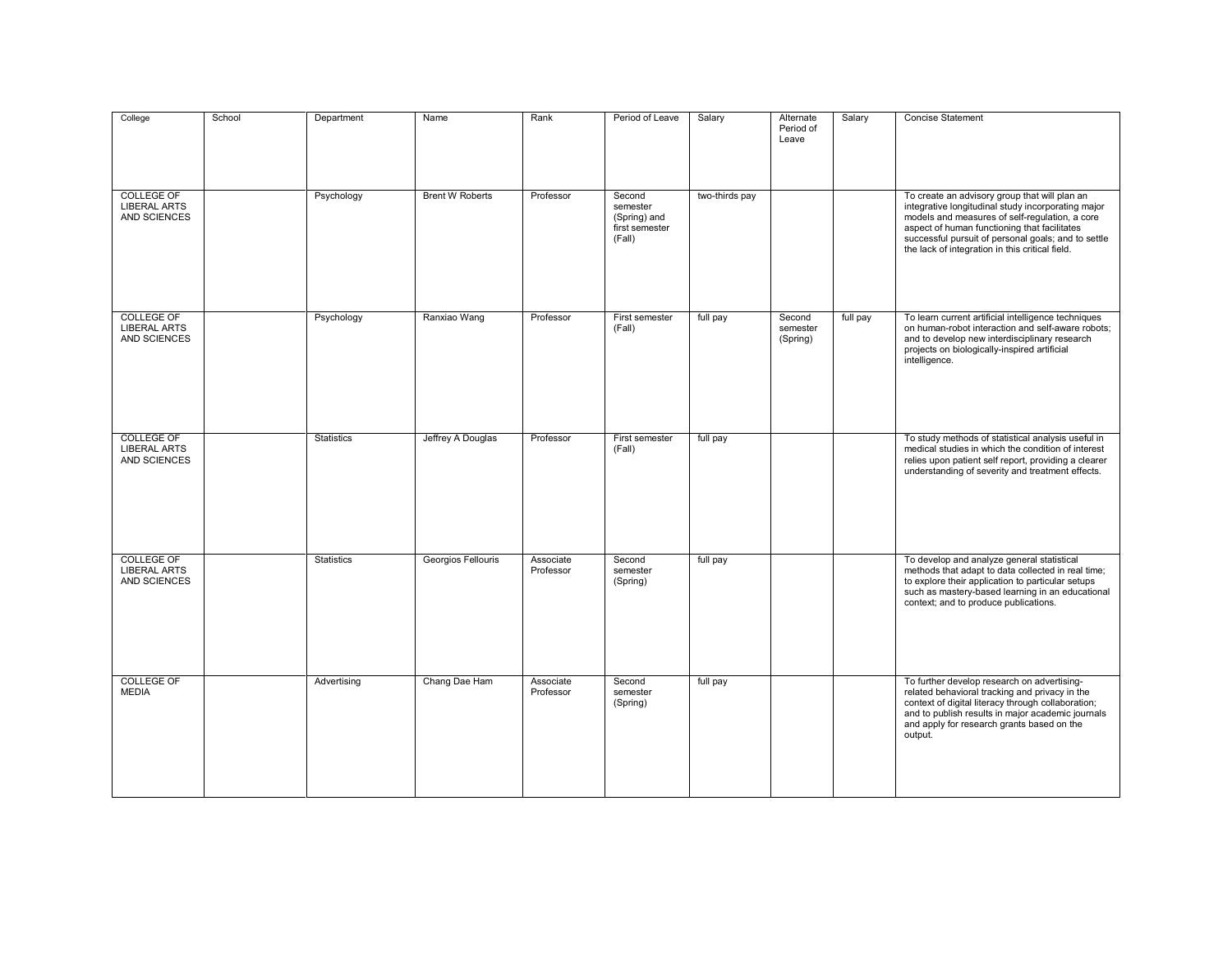| College                                                  | School | Department        | Name                   | Rank                   | Period of Leave                                                | Salary         | Alternate<br>Period of<br>Leave | Salary   | Concise Statement                                                                                                                                                                                                                                                                                               |
|----------------------------------------------------------|--------|-------------------|------------------------|------------------------|----------------------------------------------------------------|----------------|---------------------------------|----------|-----------------------------------------------------------------------------------------------------------------------------------------------------------------------------------------------------------------------------------------------------------------------------------------------------------------|
| <b>COLLEGE OF</b><br><b>LIBERAL ARTS</b><br>AND SCIENCES |        | Psychology        | <b>Brent W Roberts</b> | Professor              | Second<br>semester<br>(Spring) and<br>first semester<br>(Fall) | two-thirds pay |                                 |          | To create an advisory group that will plan an<br>integrative longitudinal study incorporating major<br>models and measures of self-regulation, a core<br>aspect of human functioning that facilitates<br>successful pursuit of personal goals; and to settle<br>the lack of integration in this critical field. |
| <b>COLLEGE OF</b><br><b>LIBERAL ARTS</b><br>AND SCIENCES |        | Psychology        | Ranxiao Wang           | Professor              | First semester<br>(Fall)                                       | full pay       | Second<br>semester<br>(Spring)  | full pay | To learn current artificial intelligence techniques<br>on human-robot interaction and self-aware robots:<br>and to develop new interdisciplinary research<br>projects on biologically-inspired artificial<br>intelligence.                                                                                      |
| <b>COLLEGE OF</b><br><b>LIBERAL ARTS</b><br>AND SCIENCES |        | <b>Statistics</b> | Jeffrey A Douglas      | Professor              | First semester<br>(Fall)                                       | full pay       |                                 |          | To study methods of statistical analysis useful in<br>medical studies in which the condition of interest<br>relies upon patient self report, providing a clearer<br>understanding of severity and treatment effects.                                                                                            |
| <b>COLLEGE OF</b><br><b>LIBERAL ARTS</b><br>AND SCIENCES |        | <b>Statistics</b> | Georgios Fellouris     | Associate<br>Professor | Second<br>semester<br>(Spring)                                 | full pay       |                                 |          | To develop and analyze general statistical<br>methods that adapt to data collected in real time;<br>to explore their application to particular setups<br>such as mastery-based learning in an educational<br>context; and to produce publications.                                                              |
| <b>COLLEGE OF</b><br><b>MEDIA</b>                        |        | Advertising       | Chang Dae Ham          | Associate<br>Professor | Second<br>semester<br>(Spring)                                 | full pay       |                                 |          | To further develop research on advertising-<br>related behavioral tracking and privacy in the<br>context of digital literacy through collaboration;<br>and to publish results in major academic journals<br>and apply for research grants based on the<br>output.                                               |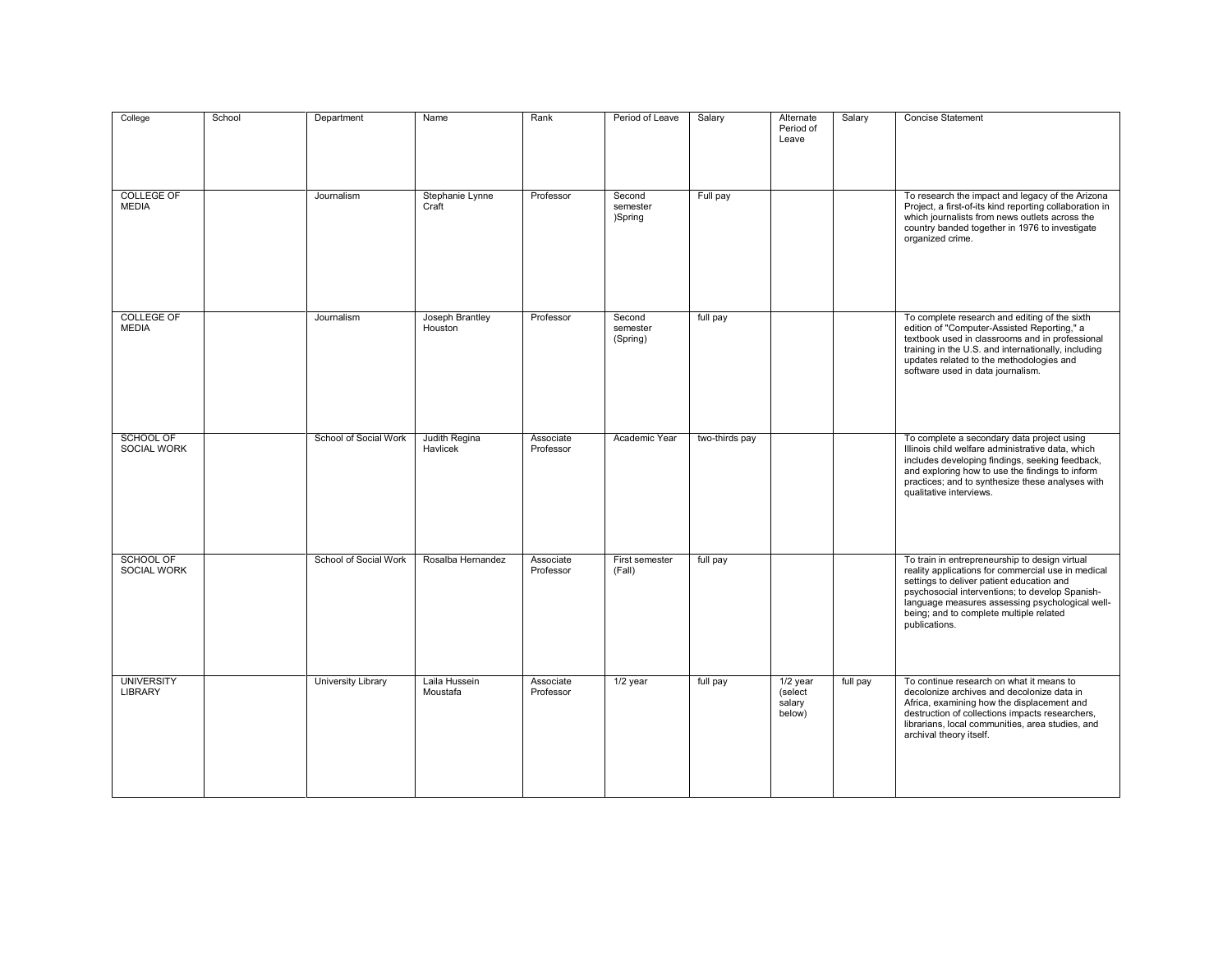| College                                | School | Department                | Name                       | Rank                   | Period of Leave                | Salary         | Alternate<br>Period of<br>Leave           | Salary   | Concise Statement                                                                                                                                                                                                                                                                                                   |
|----------------------------------------|--------|---------------------------|----------------------------|------------------------|--------------------------------|----------------|-------------------------------------------|----------|---------------------------------------------------------------------------------------------------------------------------------------------------------------------------------------------------------------------------------------------------------------------------------------------------------------------|
| <b>COLLEGE OF</b><br><b>MEDIA</b>      |        | Journalism                | Stephanie Lynne<br>Craft   | Professor              | Second<br>semester<br>)Spring  | Full pay       |                                           |          | To research the impact and legacy of the Arizona<br>Project, a first-of-its kind reporting collaboration in<br>which journalists from news outlets across the<br>country banded together in 1976 to investigate<br>organized crime.                                                                                 |
| <b>COLLEGE OF</b><br><b>MEDIA</b>      |        | Journalism                | Joseph Brantley<br>Houston | Professor              | Second<br>semester<br>(Spring) | full pay       |                                           |          | To complete research and editing of the sixth<br>edition of "Computer-Assisted Reporting," a<br>textbook used in classrooms and in professional<br>training in the U.S. and internationally, including<br>updates related to the methodologies and<br>software used in data journalism.                             |
| <b>SCHOOL OF</b><br>SOCIAL WORK        |        | School of Social Work     | Judith Regina<br>Havlicek  | Associate<br>Professor | Academic Year                  | two-thirds pay |                                           |          | To complete a secondary data project using<br>Illinois child welfare administrative data, which<br>includes developing findings, seeking feedback,<br>and exploring how to use the findings to inform<br>practices; and to synthesize these analyses with<br>qualitative interviews.                                |
| <b>SCHOOL OF</b><br><b>SOCIAL WORK</b> |        | School of Social Work     | Rosalba Hernandez          | Associate<br>Professor | First semester<br>(Fall)       | full pay       |                                           |          | To train in entrepreneurship to design virtual<br>reality applications for commercial use in medical<br>settings to deliver patient education and<br>psychosocial interventions; to develop Spanish-<br>language measures assessing psychological well-<br>being; and to complete multiple related<br>publications. |
| <b>UNIVERSITY</b><br><b>LIBRARY</b>    |        | <b>University Library</b> | Laila Hussein<br>Moustafa  | Associate<br>Professor | $1/2$ year                     | full pay       | $1/2$ year<br>(select<br>salary<br>below) | full pay | To continue research on what it means to<br>decolonize archives and decolonize data in<br>Africa, examining how the displacement and<br>destruction of collections impacts researchers,<br>librarians, local communities, area studies, and<br>archival theory itself.                                              |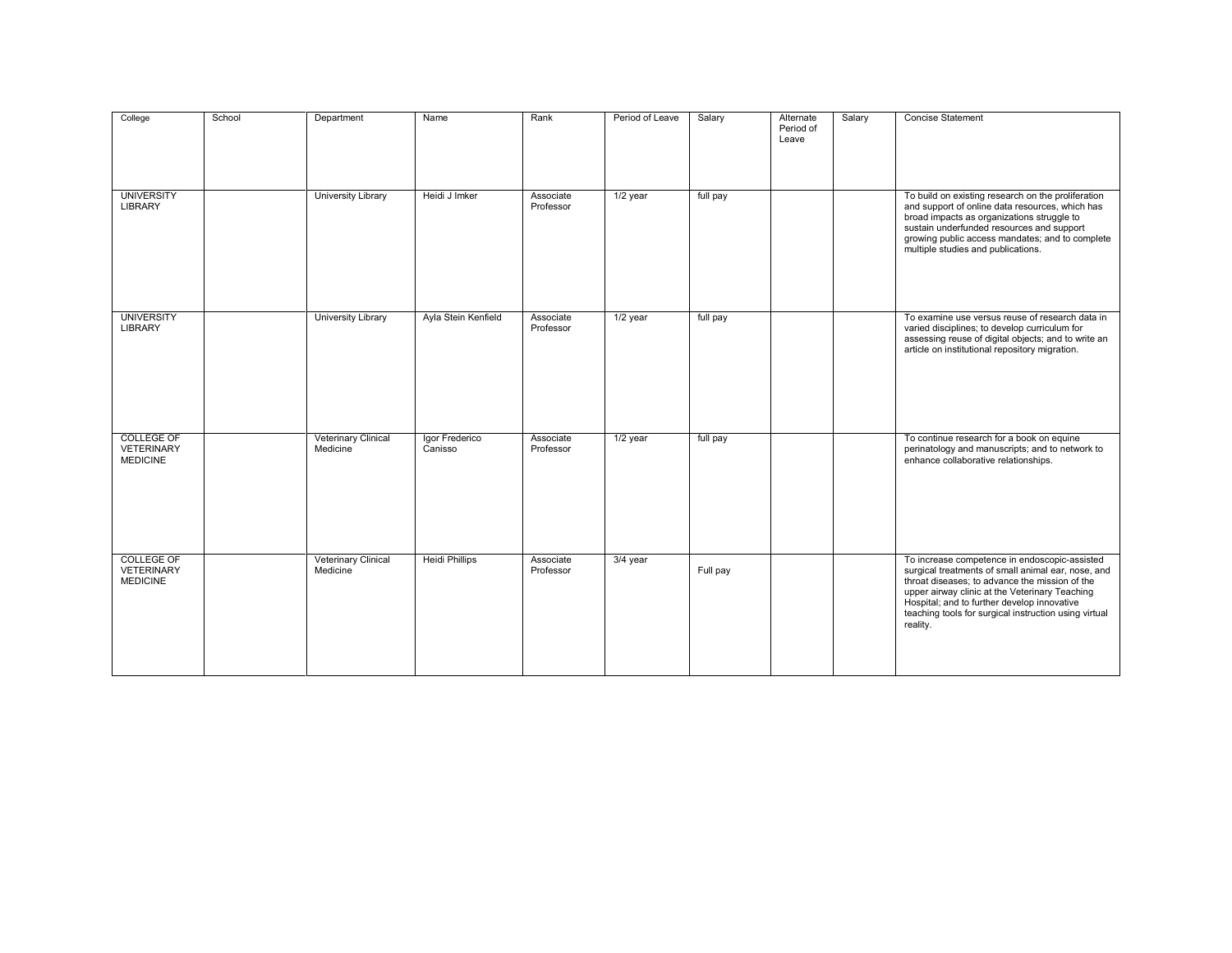| College                                                   | School | Department                             | Name                      | Rank                   | Period of Leave | Salary   | Alternate<br>Period of<br>Leave | Salary | <b>Concise Statement</b>                                                                                                                                                                                                                                                                                                    |
|-----------------------------------------------------------|--------|----------------------------------------|---------------------------|------------------------|-----------------|----------|---------------------------------|--------|-----------------------------------------------------------------------------------------------------------------------------------------------------------------------------------------------------------------------------------------------------------------------------------------------------------------------------|
| <b>UNIVERSITY</b><br><b>LIBRARY</b>                       |        | University Library                     | Heidi J Imker             | Associate<br>Professor | $1/2$ year      | full pay |                                 |        | To build on existing research on the proliferation<br>and support of online data resources, which has<br>broad impacts as organizations struggle to<br>sustain underfunded resources and support<br>growing public access mandates; and to complete<br>multiple studies and publications.                                   |
| <b>UNIVERSITY</b><br><b>LIBRARY</b>                       |        | <b>University Library</b>              | Ayla Stein Kenfield       | Associate<br>Professor | $1/2$ year      | full pay |                                 |        | To examine use versus reuse of research data in<br>varied disciplines; to develop curriculum for<br>assessing reuse of digital objects; and to write an<br>article on institutional repository migration.                                                                                                                   |
| <b>COLLEGE OF</b><br><b>VETERINARY</b><br><b>MEDICINE</b> |        | <b>Veterinary Clinical</b><br>Medicine | Igor Frederico<br>Canisso | Associate<br>Professor | 1/2 year        | full pay |                                 |        | To continue research for a book on equine<br>perinatology and manuscripts; and to network to<br>enhance collaborative relationships.                                                                                                                                                                                        |
| <b>COLLEGE OF</b><br><b>VETERINARY</b><br><b>MEDICINE</b> |        | Veterinary Clinical<br>Medicine        | <b>Heidi Phillips</b>     | Associate<br>Professor | 3/4 year        | Full pay |                                 |        | To increase competence in endoscopic-assisted<br>surgical treatments of small animal ear, nose, and<br>throat diseases; to advance the mission of the<br>upper airway clinic at the Veterinary Teaching<br>Hospital; and to further develop innovative<br>teaching tools for surgical instruction using virtual<br>reality. |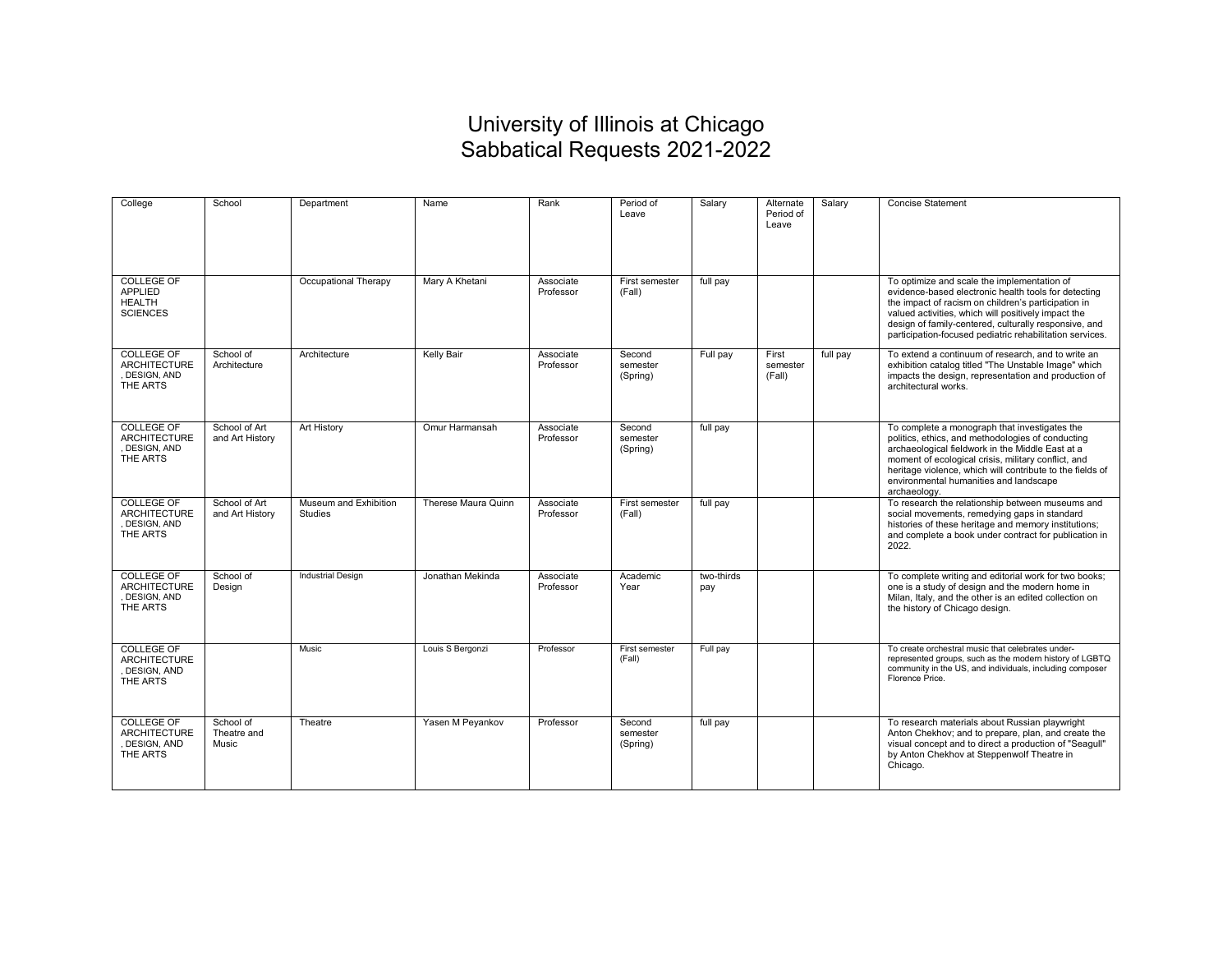## University of Illinois at Chicago Sabbatical Requests 2021-2022

| College                                                                 | School                            | Department                              | Name                | Rank                   | Period of<br>Leave             | Salary            | Alternate<br>Period of<br>Leave | Salary   | <b>Concise Statement</b>                                                                                                                                                                                                                                                                                                               |
|-------------------------------------------------------------------------|-----------------------------------|-----------------------------------------|---------------------|------------------------|--------------------------------|-------------------|---------------------------------|----------|----------------------------------------------------------------------------------------------------------------------------------------------------------------------------------------------------------------------------------------------------------------------------------------------------------------------------------------|
| <b>COLLEGE OF</b><br><b>APPLIED</b><br><b>HEALTH</b><br><b>SCIENCES</b> |                                   | Occupational Therapy                    | Mary A Khetani      | Associate<br>Professor | First semester<br>(Fall)       | full pay          |                                 |          | To optimize and scale the implementation of<br>evidence-based electronic health tools for detecting<br>the impact of racism on children's participation in<br>valued activities, which will positively impact the<br>design of family-centered, culturally responsive, and<br>participation-focused pediatric rehabilitation services. |
| <b>COLLEGE OF</b><br><b>ARCHITECTURE</b><br>DESIGN, AND<br>THE ARTS     | School of<br>Architecture         | Architecture                            | <b>Kelly Bair</b>   | Associate<br>Professor | Second<br>semester<br>(Spring) | Full pay          | First<br>semester<br>(Fall)     | full pay | To extend a continuum of research, and to write an<br>exhibition catalog titled "The Unstable Image" which<br>impacts the design, representation and production of<br>architectural works.                                                                                                                                             |
| <b>COLLEGE OF</b><br><b>ARCHITECTURE</b><br>DESIGN, AND<br>THE ARTS     | School of Art<br>and Art History  | Art History                             | Omur Harmansah      | Associate<br>Professor | Second<br>semester<br>(Spring) | full pay          |                                 |          | To complete a monograph that investigates the<br>politics, ethics, and methodologies of conducting<br>archaeological fieldwork in the Middle East at a<br>moment of ecological crisis, military conflict, and<br>heritage violence, which will contribute to the fields of<br>environmental humanities and landscape<br>archaeology.   |
| <b>COLLEGE OF</b><br><b>ARCHITECTURE</b><br>DESIGN, AND<br>THE ARTS     | School of Art<br>and Art History  | Museum and Exhibition<br><b>Studies</b> | Therese Maura Quinn | Associate<br>Professor | First semester<br>(Fall)       | full pay          |                                 |          | To research the relationship between museums and<br>social movements, remedying gaps in standard<br>histories of these heritage and memory institutions;<br>and complete a book under contract for publication in<br>2022.                                                                                                             |
| <b>COLLEGE OF</b><br><b>ARCHITECTURE</b><br>DESIGN, AND<br>THE ARTS     | School of<br>Design               | <b>Industrial Design</b>                | Jonathan Mekinda    | Associate<br>Professor | Academic<br>Year               | two-thirds<br>pay |                                 |          | To complete writing and editorial work for two books;<br>one is a study of design and the modern home in<br>Milan, Italy, and the other is an edited collection on<br>the history of Chicago design.                                                                                                                                   |
| <b>COLLEGE OF</b><br><b>ARCHITECTURE</b><br>DESIGN, AND<br>THE ARTS     |                                   | Music                                   | Louis S Bergonzi    | Professor              | First semester<br>(Fall)       | Full pay          |                                 |          | To create orchestral music that celebrates under-<br>represented groups, such as the modern history of LGBTQ<br>community in the US, and individuals, including composer<br>Florence Price.                                                                                                                                            |
| COLLEGE OF<br><b>ARCHITECTURE</b><br>DESIGN, AND<br>THE ARTS            | School of<br>Theatre and<br>Music | Theatre                                 | Yasen M Pevankov    | Professor              | Second<br>semester<br>(Spring) | full pay          |                                 |          | To research materials about Russian playwright<br>Anton Chekhov; and to prepare, plan, and create the<br>visual concept and to direct a production of "Seagull"<br>by Anton Chekhov at Steppenwolf Theatre in<br>Chicago.                                                                                                              |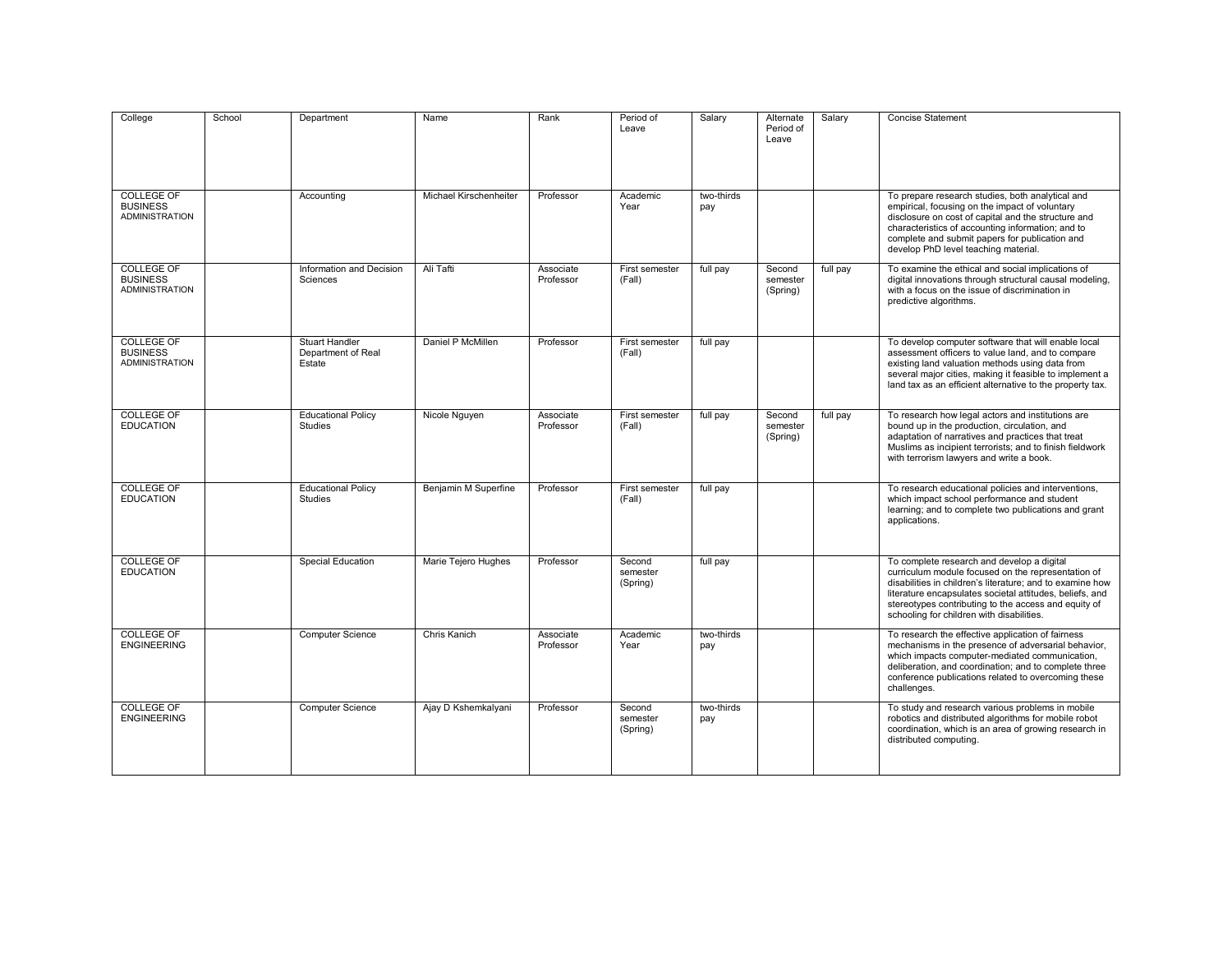| College                                                       | School | Department                                            | Name                   | Rank                   | Period of<br>Leave             | Salary            | Alternate<br>Period of<br>Leave | Salary   | <b>Concise Statement</b>                                                                                                                                                                                                                                                                                                       |
|---------------------------------------------------------------|--------|-------------------------------------------------------|------------------------|------------------------|--------------------------------|-------------------|---------------------------------|----------|--------------------------------------------------------------------------------------------------------------------------------------------------------------------------------------------------------------------------------------------------------------------------------------------------------------------------------|
| <b>COLLEGE OF</b><br><b>BUSINESS</b><br><b>ADMINISTRATION</b> |        | Accounting                                            | Michael Kirschenheiter | Professor              | Academic<br>Year               | two-thirds<br>pay |                                 |          | To prepare research studies, both analytical and<br>empirical, focusing on the impact of voluntary<br>disclosure on cost of capital and the structure and<br>characteristics of accounting information; and to<br>complete and submit papers for publication and<br>develop PhD level teaching material.                       |
| COLLEGE OF<br><b>BUSINESS</b><br><b>ADMINISTRATION</b>        |        | Information and Decision<br>Sciences                  | Ali Tafti              | Associate<br>Professor | First semester<br>(Fall)       | full pay          | Second<br>semester<br>(Spring)  | full pay | To examine the ethical and social implications of<br>digital innovations through structural causal modeling,<br>with a focus on the issue of discrimination in<br>predictive algorithms.                                                                                                                                       |
| <b>COLLEGE OF</b><br><b>BUSINESS</b><br><b>ADMINISTRATION</b> |        | <b>Stuart Handler</b><br>Department of Real<br>Estate | Daniel P McMillen      | Professor              | First semester<br>(Fall)       | full pay          |                                 |          | To develop computer software that will enable local<br>assessment officers to value land, and to compare<br>existing land valuation methods using data from<br>several major cities, making it feasible to implement a<br>land tax as an efficient alternative to the property tax.                                            |
| <b>COLLEGE OF</b><br><b>EDUCATION</b>                         |        | <b>Educational Policy</b><br><b>Studies</b>           | Nicole Nguyen          | Associate<br>Professor | First semester<br>(Fall)       | full pay          | Second<br>semester<br>(Spring)  | full pay | To research how legal actors and institutions are<br>bound up in the production, circulation, and<br>adaptation of narratives and practices that treat<br>Muslims as incipient terrorists; and to finish fieldwork<br>with terrorism lawyers and write a book.                                                                 |
| COLLEGE OF<br><b>EDUCATION</b>                                |        | <b>Educational Policy</b><br>Studies                  | Benjamin M Superfine   | Professor              | First semester<br>(Fall)       | full pay          |                                 |          | To research educational policies and interventions,<br>which impact school performance and student<br>learning; and to complete two publications and grant<br>applications.                                                                                                                                                    |
| <b>COLLEGE OF</b><br><b>EDUCATION</b>                         |        | <b>Special Education</b>                              | Marie Tejero Hughes    | Professor              | Second<br>semester<br>(Spring) | full pay          |                                 |          | To complete research and develop a digital<br>curriculum module focused on the representation of<br>disabilities in children's literature; and to examine how<br>literature encapsulates societal attitudes, beliefs, and<br>stereotypes contributing to the access and equity of<br>schooling for children with disabilities. |
| <b>COLLEGE OF</b><br><b>ENGINEERING</b>                       |        | <b>Computer Science</b>                               | Chris Kanich           | Associate<br>Professor | Academic<br>Year               | two-thirds<br>pay |                                 |          | To research the effective application of fairness<br>mechanisms in the presence of adversarial behavior,<br>which impacts computer-mediated communication,<br>deliberation, and coordination; and to complete three<br>conference publications related to overcoming these<br>challenges.                                      |
| <b>COLLEGE OF</b><br><b>ENGINEERING</b>                       |        | <b>Computer Science</b>                               | Ajay D Kshemkalyani    | Professor              | Second<br>semester<br>(Spring) | two-thirds<br>pay |                                 |          | To study and research various problems in mobile<br>robotics and distributed algorithms for mobile robot<br>coordination, which is an area of growing research in<br>distributed computing.                                                                                                                                    |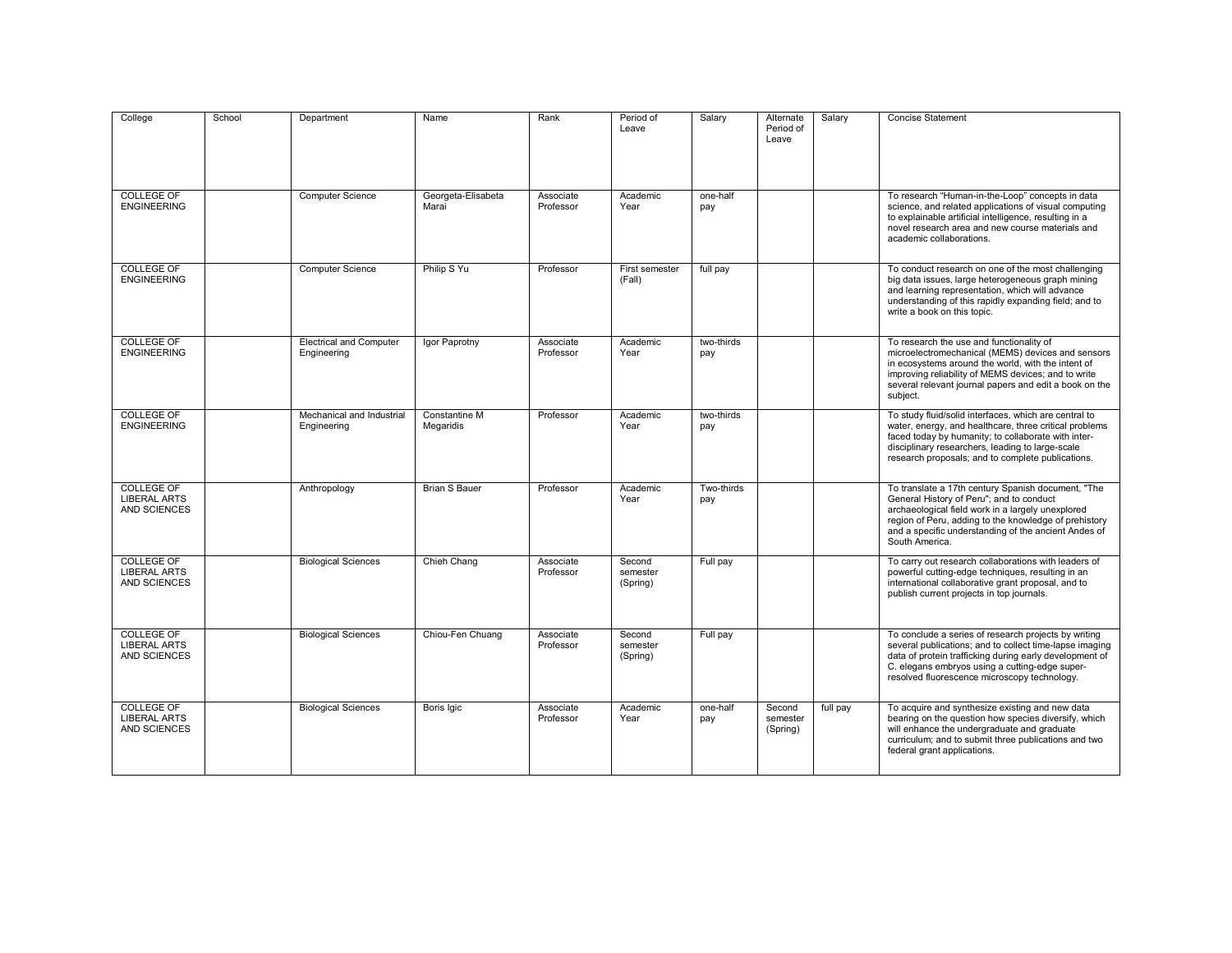| College                                                  | School | Department                                    | Name                        | Rank                   | Period of<br>Leave             | Salary            | Alternate<br>Period of<br>Leave | Salary   | <b>Concise Statement</b>                                                                                                                                                                                                                                                               |
|----------------------------------------------------------|--------|-----------------------------------------------|-----------------------------|------------------------|--------------------------------|-------------------|---------------------------------|----------|----------------------------------------------------------------------------------------------------------------------------------------------------------------------------------------------------------------------------------------------------------------------------------------|
| <b>COLLEGE OF</b><br><b>ENGINEERING</b>                  |        | <b>Computer Science</b>                       | Georgeta-Elisabeta<br>Marai | Associate<br>Professor | Academic<br>Year               | one-half<br>pay   |                                 |          | To research "Human-in-the-Loop" concepts in data<br>science, and related applications of visual computing<br>to explainable artificial intelligence, resulting in a<br>novel research area and new course materials and<br>academic collaborations.                                    |
| COLLEGE OF<br><b>ENGINEERING</b>                         |        | <b>Computer Science</b>                       | Philip S Yu                 | Professor              | First semester<br>(Fall)       | full pay          |                                 |          | To conduct research on one of the most challenging<br>big data issues, large heterogeneous graph mining<br>and learning representation, which will advance<br>understanding of this rapidly expanding field; and to<br>write a book on this topic.                                     |
| <b>COLLEGE OF</b><br><b>ENGINEERING</b>                  |        | <b>Electrical and Computer</b><br>Engineering | Igor Paprotny               | Associate<br>Professor | Academic<br>Year               | two-thirds<br>pay |                                 |          | To research the use and functionality of<br>microelectromechanical (MEMS) devices and sensors<br>in ecosystems around the world, with the intent of<br>improving reliability of MEMS devices; and to write<br>several relevant journal papers and edit a book on the<br>subject.       |
| <b>COLLEGE OF</b><br><b>ENGINEERING</b>                  |        | Mechanical and Industrial<br>Engineering      | Constantine M<br>Megaridis  | Professor              | Academic<br>Year               | two-thirds<br>pay |                                 |          | To study fluid/solid interfaces, which are central to<br>water, energy, and healthcare, three critical problems<br>faced today by humanity; to collaborate with inter-<br>disciplinary researchers, leading to large-scale<br>research proposals; and to complete publications.        |
| COLLEGE OF<br><b>LIBERAL ARTS</b><br><b>AND SCIENCES</b> |        | Anthropology                                  | <b>Brian S Bauer</b>        | Professor              | Academic<br>Year               | Two-thirds<br>pay |                                 |          | To translate a 17th century Spanish document, "The<br>General History of Peru"; and to conduct<br>archaeological field work in a largely unexplored<br>region of Peru, adding to the knowledge of prehistory<br>and a specific understanding of the ancient Andes of<br>South America. |
| <b>COLLEGE OF</b><br><b>LIBERAL ARTS</b><br>AND SCIENCES |        | <b>Biological Sciences</b>                    | Chieh Chang                 | Associate<br>Professor | Second<br>semester<br>(Spring) | Full pay          |                                 |          | To carry out research collaborations with leaders of<br>powerful cutting-edge techniques, resulting in an<br>international collaborative grant proposal, and to<br>publish current projects in top journals.                                                                           |
| <b>COLLEGE OF</b><br><b>LIBERAL ARTS</b><br>AND SCIENCES |        | <b>Biological Sciences</b>                    | Chiou-Fen Chuang            | Associate<br>Professor | Second<br>semester<br>(Spring) | Full pay          |                                 |          | To conclude a series of research projects by writing<br>several publications; and to collect time-lapse imaging<br>data of protein trafficking during early development of<br>C. elegans embryos using a cutting-edge super-<br>resolved fluorescence microscopy technology.           |
| COLLEGE OF<br><b>LIBERAL ARTS</b><br><b>AND SCIENCES</b> |        | <b>Biological Sciences</b>                    | Boris Igic                  | Associate<br>Professor | Academic<br>Year               | one-half<br>pay   | Second<br>semester<br>(Spring)  | full pay | To acquire and synthesize existing and new data<br>bearing on the question how species diversify, which<br>will enhance the undergraduate and graduate<br>curriculum; and to submit three publications and two<br>federal grant applications.                                          |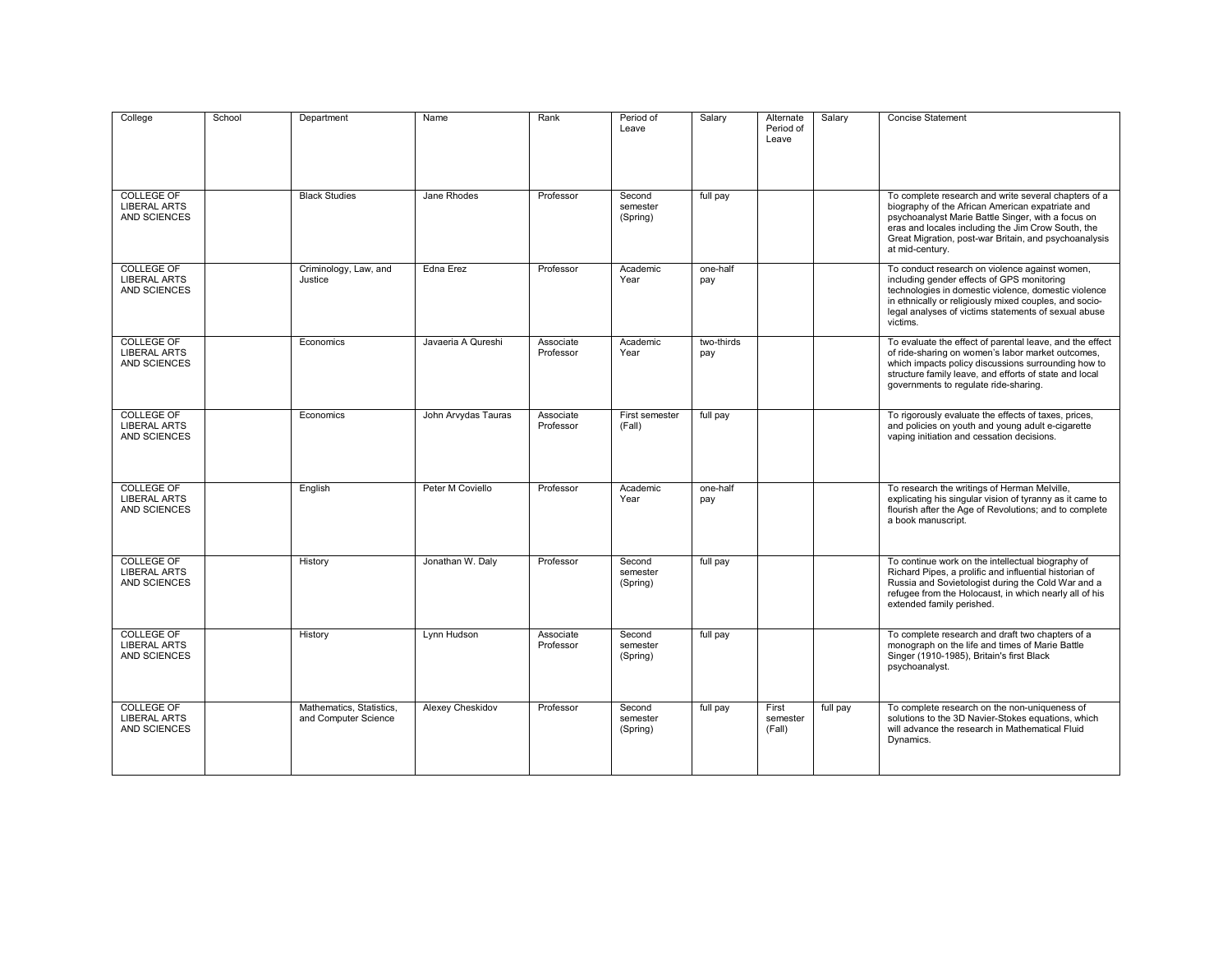| College                                                         | School | Department                                       | Name                | Rank                   | Period of<br>Leave             | Salary            | Alternate<br>Period of<br>Leave | Salary   | <b>Concise Statement</b>                                                                                                                                                                                                                                                                         |
|-----------------------------------------------------------------|--------|--------------------------------------------------|---------------------|------------------------|--------------------------------|-------------------|---------------------------------|----------|--------------------------------------------------------------------------------------------------------------------------------------------------------------------------------------------------------------------------------------------------------------------------------------------------|
| <b>COLLEGE OF</b><br><b>LIBERAL ARTS</b><br><b>AND SCIENCES</b> |        | <b>Black Studies</b>                             | Jane Rhodes         | Professor              | Second<br>semester<br>(Spring) | full pay          |                                 |          | To complete research and write several chapters of a<br>biography of the African American expatriate and<br>psychoanalyst Marie Battle Singer, with a focus on<br>eras and locales including the Jim Crow South, the<br>Great Migration, post-war Britain, and psychoanalysis<br>at mid-century. |
| <b>COLLEGE OF</b><br><b>LIBERAL ARTS</b><br><b>AND SCIENCES</b> |        | Criminology, Law, and<br>Justice                 | Edna Erez           | Professor              | Academic<br>Year               | one-half<br>pay   |                                 |          | To conduct research on violence against women,<br>including gender effects of GPS monitoring<br>technologies in domestic violence, domestic violence<br>in ethnically or religiously mixed couples, and socio-<br>legal analyses of victims statements of sexual abuse<br>victims.               |
| <b>COLLEGE OF</b><br><b>LIBERAL ARTS</b><br><b>AND SCIENCES</b> |        | Economics                                        | Javaeria A Qureshi  | Associate<br>Professor | Academic<br>Year               | two-thirds<br>pay |                                 |          | To evaluate the effect of parental leave, and the effect<br>of ride-sharing on women's labor market outcomes,<br>which impacts policy discussions surrounding how to<br>structure family leave, and efforts of state and local<br>governments to regulate ride-sharing.                          |
| <b>COLLEGE OF</b><br><b>LIBERAL ARTS</b><br><b>AND SCIENCES</b> |        | Economics                                        | John Arvydas Tauras | Associate<br>Professor | First semester<br>(Fall)       | full pay          |                                 |          | To rigorously evaluate the effects of taxes, prices,<br>and policies on youth and young adult e-cigarette<br>vaping initiation and cessation decisions.                                                                                                                                          |
| <b>COLLEGE OF</b><br><b>LIBERAL ARTS</b><br><b>AND SCIENCES</b> |        | English                                          | Peter M Coviello    | Professor              | Academic<br>Year               | one-half<br>pay   |                                 |          | To research the writings of Herman Melville,<br>explicating his singular vision of tyranny as it came to<br>flourish after the Age of Revolutions; and to complete<br>a book manuscript.                                                                                                         |
| <b>COLLEGE OF</b><br><b>LIBERAL ARTS</b><br>AND SCIENCES        |        | History                                          | Jonathan W. Daly    | Professor              | Second<br>semester<br>(Spring) | full pay          |                                 |          | To continue work on the intellectual biography of<br>Richard Pipes, a prolific and influential historian of<br>Russia and Sovietologist during the Cold War and a<br>refugee from the Holocaust, in which nearly all of his<br>extended family perished.                                         |
| <b>COLLEGE OF</b><br><b>LIBERAL ARTS</b><br><b>AND SCIENCES</b> |        | History                                          | Lynn Hudson         | Associate<br>Professor | Second<br>semester<br>(Spring) | full pay          |                                 |          | To complete research and draft two chapters of a<br>monograph on the life and times of Marie Battle<br>Singer (1910-1985), Britain's first Black<br>psychoanalyst.                                                                                                                               |
| <b>COLLEGE OF</b><br><b>LIBERAL ARTS</b><br><b>AND SCIENCES</b> |        | Mathematics, Statistics,<br>and Computer Science | Alexey Cheskidov    | Professor              | Second<br>semester<br>(Spring) | full pay          | First<br>semester<br>(Fall)     | full pay | To complete research on the non-uniqueness of<br>solutions to the 3D Navier-Stokes equations, which<br>will advance the research in Mathematical Fluid<br>Dynamics.                                                                                                                              |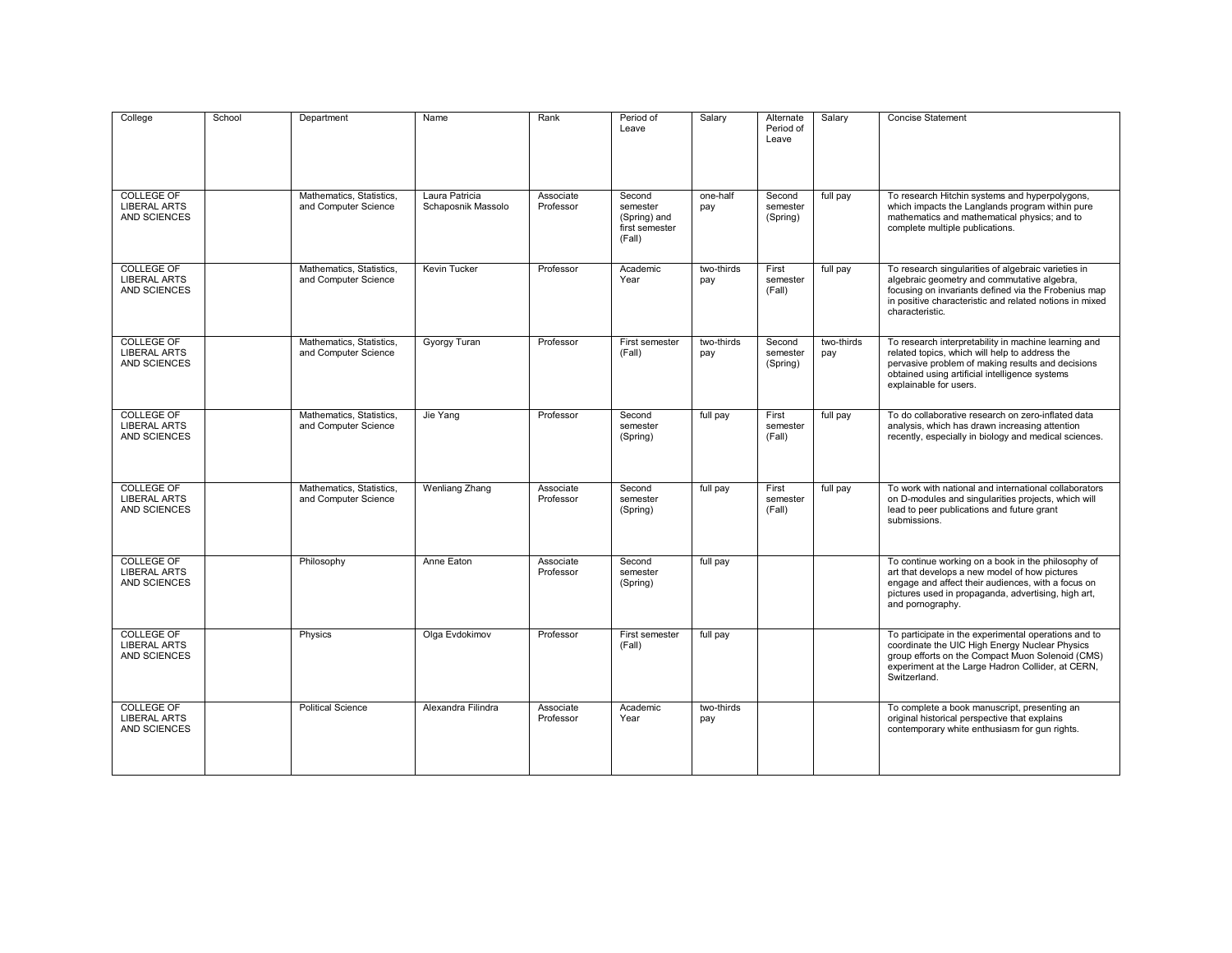| College                                                         | School | Department                                       | Name                                 | Rank                   | Period of<br>Leave                                             | Salary            | Alternate<br>Period of<br>Leave | Salary            | <b>Concise Statement</b>                                                                                                                                                                                                                 |
|-----------------------------------------------------------------|--------|--------------------------------------------------|--------------------------------------|------------------------|----------------------------------------------------------------|-------------------|---------------------------------|-------------------|------------------------------------------------------------------------------------------------------------------------------------------------------------------------------------------------------------------------------------------|
| <b>COLLEGE OF</b><br><b>LIBERAL ARTS</b><br><b>AND SCIENCES</b> |        | Mathematics, Statistics,<br>and Computer Science | Laura Patricia<br>Schaposnik Massolo | Associate<br>Professor | Second<br>semester<br>(Spring) and<br>first semester<br>(Fall) | one-half<br>pay   | Second<br>semester<br>(Spring)  | full pay          | To research Hitchin systems and hyperpolygons,<br>which impacts the Langlands program within pure<br>mathematics and mathematical physics; and to<br>complete multiple publications.                                                     |
| COLLEGE OF<br><b>LIBERAL ARTS</b><br>AND SCIENCES               |        | Mathematics, Statistics,<br>and Computer Science | Kevin Tucker                         | Professor              | Academic<br>Year                                               | two-thirds<br>pay | First<br>semester<br>(Fall)     | full pay          | To research singularities of algebraic varieties in<br>algebraic geometry and commutative algebra,<br>focusing on invariants defined via the Frobenius map<br>in positive characteristic and related notions in mixed<br>characteristic. |
| <b>COLLEGE OF</b><br><b>LIBERAL ARTS</b><br>AND SCIENCES        |        | Mathematics, Statistics,<br>and Computer Science | <b>Gyorgy Turan</b>                  | Professor              | First semester<br>(Fall)                                       | two-thirds<br>pay | Second<br>semester<br>(Spring)  | two-thirds<br>pay | To research interpretability in machine learning and<br>related topics, which will help to address the<br>pervasive problem of making results and decisions<br>obtained using artificial intelligence systems<br>explainable for users.  |
| <b>COLLEGE OF</b><br><b>LIBERAL ARTS</b><br>AND SCIENCES        |        | Mathematics, Statistics,<br>and Computer Science | Jie Yang                             | Professor              | Second<br>semester<br>(Spring)                                 | full pay          | First<br>semester<br>(Fall)     | full pay          | To do collaborative research on zero-inflated data<br>analysis, which has drawn increasing attention<br>recently, especially in biology and medical sciences.                                                                            |
| COLLEGE OF<br><b>LIBERAL ARTS</b><br><b>AND SCIENCES</b>        |        | Mathematics, Statistics,<br>and Computer Science | Wenliang Zhang                       | Associate<br>Professor | Second<br>semester<br>(Spring)                                 | full pay          | First<br>semester<br>(Fall)     | full pay          | To work with national and international collaborators<br>on D-modules and singularities projects, which will<br>lead to peer publications and future grant<br>submissions.                                                               |
| <b>COLLEGE OF</b><br><b>LIBERAL ARTS</b><br>AND SCIENCES        |        | Philosophy                                       | Anne Eaton                           | Associate<br>Professor | Second<br>semester<br>(Spring)                                 | full pay          |                                 |                   | To continue working on a book in the philosophy of<br>art that develops a new model of how pictures<br>engage and affect their audiences, with a focus on<br>pictures used in propaganda, advertising, high art,<br>and pornography.     |
| <b>COLLEGE OF</b><br><b>LIBERAL ARTS</b><br>AND SCIENCES        |        | Physics                                          | Olga Evdokimov                       | Professor              | First semester<br>(Fall)                                       | full pay          |                                 |                   | To participate in the experimental operations and to<br>coordinate the UIC High Energy Nuclear Physics<br>group efforts on the Compact Muon Solenoid (CMS)<br>experiment at the Large Hadron Collider, at CERN,<br>Switzerland.          |
| <b>COLLEGE OF</b><br><b>LIBERAL ARTS</b><br>AND SCIENCES        |        | <b>Political Science</b>                         | Alexandra Filindra                   | Associate<br>Professor | Academic<br>Year                                               | two-thirds<br>pay |                                 |                   | To complete a book manuscript, presenting an<br>original historical perspective that explains<br>contemporary white enthusiasm for gun rights.                                                                                           |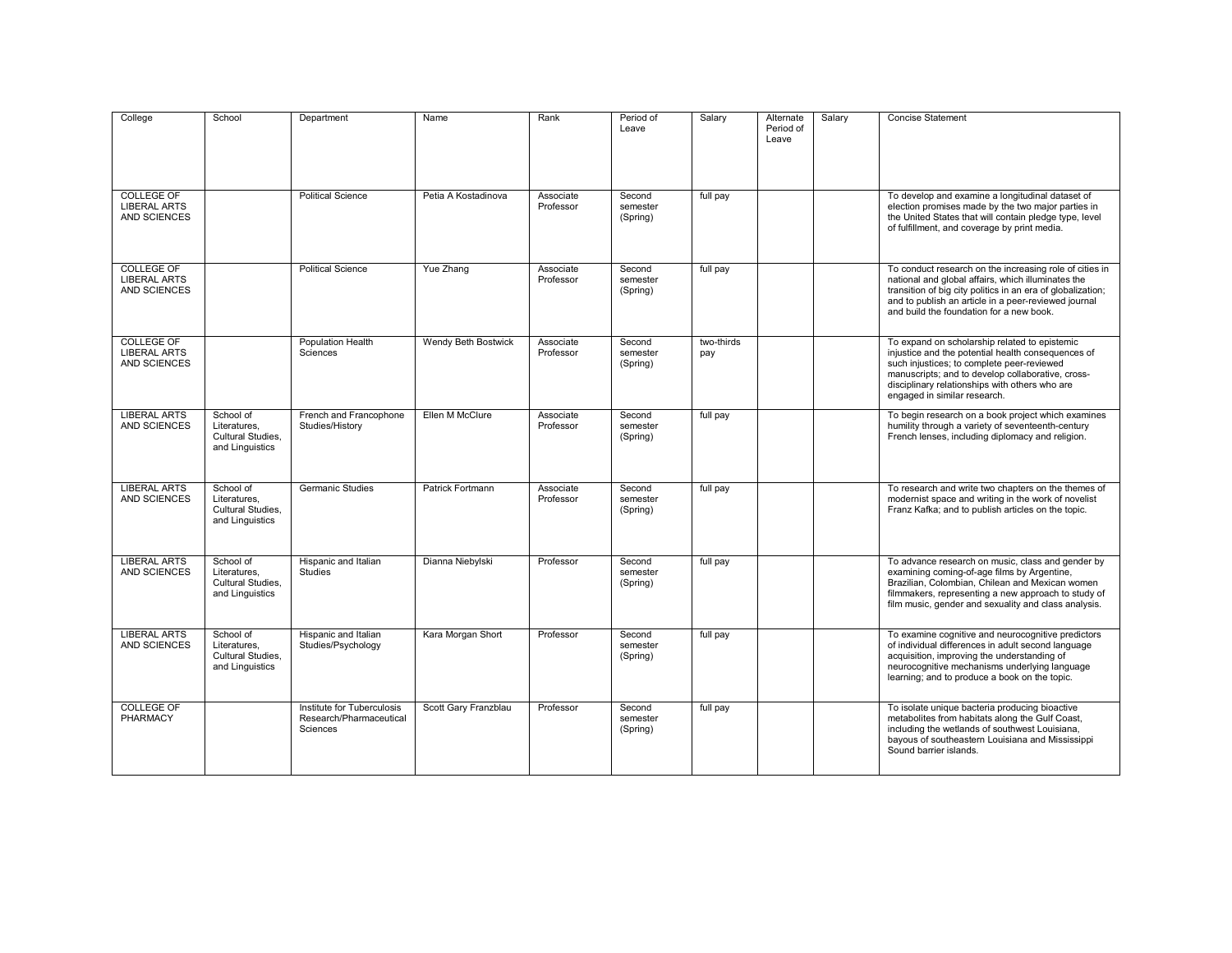| College                                                         | School                                                            | Department                                                        | Name                 | Rank                   | Period of<br>Leave             | Salary            | Alternate<br>Period of<br>Leave | Salary | <b>Concise Statement</b>                                                                                                                                                                                                                                                                 |
|-----------------------------------------------------------------|-------------------------------------------------------------------|-------------------------------------------------------------------|----------------------|------------------------|--------------------------------|-------------------|---------------------------------|--------|------------------------------------------------------------------------------------------------------------------------------------------------------------------------------------------------------------------------------------------------------------------------------------------|
| <b>COLLEGE OF</b><br><b>LIBERAL ARTS</b><br><b>AND SCIENCES</b> |                                                                   | <b>Political Science</b>                                          | Petia A Kostadinova  | Associate<br>Professor | Second<br>semester<br>(Spring) | full pay          |                                 |        | To develop and examine a longitudinal dataset of<br>election promises made by the two major parties in<br>the United States that will contain pledge type, level<br>of fulfillment, and coverage by print media.                                                                         |
| <b>COLLEGE OF</b><br><b>LIBERAL ARTS</b><br><b>AND SCIENCES</b> |                                                                   | <b>Political Science</b>                                          | Yue Zhang            | Associate<br>Professor | Second<br>semester<br>(Spring) | full pay          |                                 |        | To conduct research on the increasing role of cities in<br>national and global affairs, which illuminates the<br>transition of big city politics in an era of globalization;<br>and to publish an article in a peer-reviewed journal<br>and build the foundation for a new book.         |
| <b>COLLEGE OF</b><br><b>LIBERAL ARTS</b><br><b>AND SCIENCES</b> |                                                                   | <b>Population Health</b><br>Sciences                              | Wendy Beth Bostwick  | Associate<br>Professor | Second<br>semester<br>(Spring) | two-thirds<br>pay |                                 |        | To expand on scholarship related to epistemic<br>injustice and the potential health consequences of<br>such injustices; to complete peer-reviewed<br>manuscripts; and to develop collaborative, cross-<br>disciplinary relationships with others who are<br>engaged in similar research. |
| <b>LIBERAL ARTS</b><br><b>AND SCIENCES</b>                      | School of<br>Literatures.<br>Cultural Studies.<br>and Linguistics | French and Francophone<br>Studies/History                         | Ellen M McClure      | Associate<br>Professor | Second<br>semester<br>(Spring) | full pay          |                                 |        | To begin research on a book project which examines<br>humility through a variety of seventeenth-century<br>French lenses, including diplomacy and religion.                                                                                                                              |
| <b>LIBERAL ARTS</b><br>AND SCIENCES                             | School of<br>Literatures.<br>Cultural Studies.<br>and Linguistics | <b>Germanic Studies</b>                                           | Patrick Fortmann     | Associate<br>Professor | Second<br>semester<br>(Spring) | full pay          |                                 |        | To research and write two chapters on the themes of<br>modernist space and writing in the work of novelist<br>Franz Kafka; and to publish articles on the topic.                                                                                                                         |
| <b>LIBERAL ARTS</b><br><b>AND SCIENCES</b>                      | School of<br>Literatures.<br>Cultural Studies,<br>and Linguistics | Hispanic and Italian<br><b>Studies</b>                            | Dianna Niebylski     | Professor              | Second<br>semester<br>(Spring) | full pay          |                                 |        | To advance research on music, class and gender by<br>examining coming-of-age films by Argentine,<br>Brazilian, Colombian, Chilean and Mexican women<br>filmmakers, representing a new approach to study of<br>film music, gender and sexuality and class analysis.                       |
| <b>LIBERAL ARTS</b><br><b>AND SCIENCES</b>                      | School of<br>Literatures.<br>Cultural Studies.<br>and Linguistics | Hispanic and Italian<br>Studies/Psychology                        | Kara Morgan Short    | Professor              | Second<br>semester<br>(Spring) | full pay          |                                 |        | To examine cognitive and neurocognitive predictors<br>of individual differences in adult second language<br>acquisition, improving the understanding of<br>neurocognitive mechanisms underlying language<br>learning; and to produce a book on the topic.                                |
| <b>COLLEGE OF</b><br><b>PHARMACY</b>                            |                                                                   | Institute for Tuberculosis<br>Research/Pharmaceutical<br>Sciences | Scott Garv Franzblau | Professor              | Second<br>semester<br>(Spring) | full pay          |                                 |        | To isolate unique bacteria producing bioactive<br>metabolites from habitats along the Gulf Coast,<br>including the wetlands of southwest Louisiana,<br>bayous of southeastern Louisiana and Mississippi<br>Sound barrier islands.                                                        |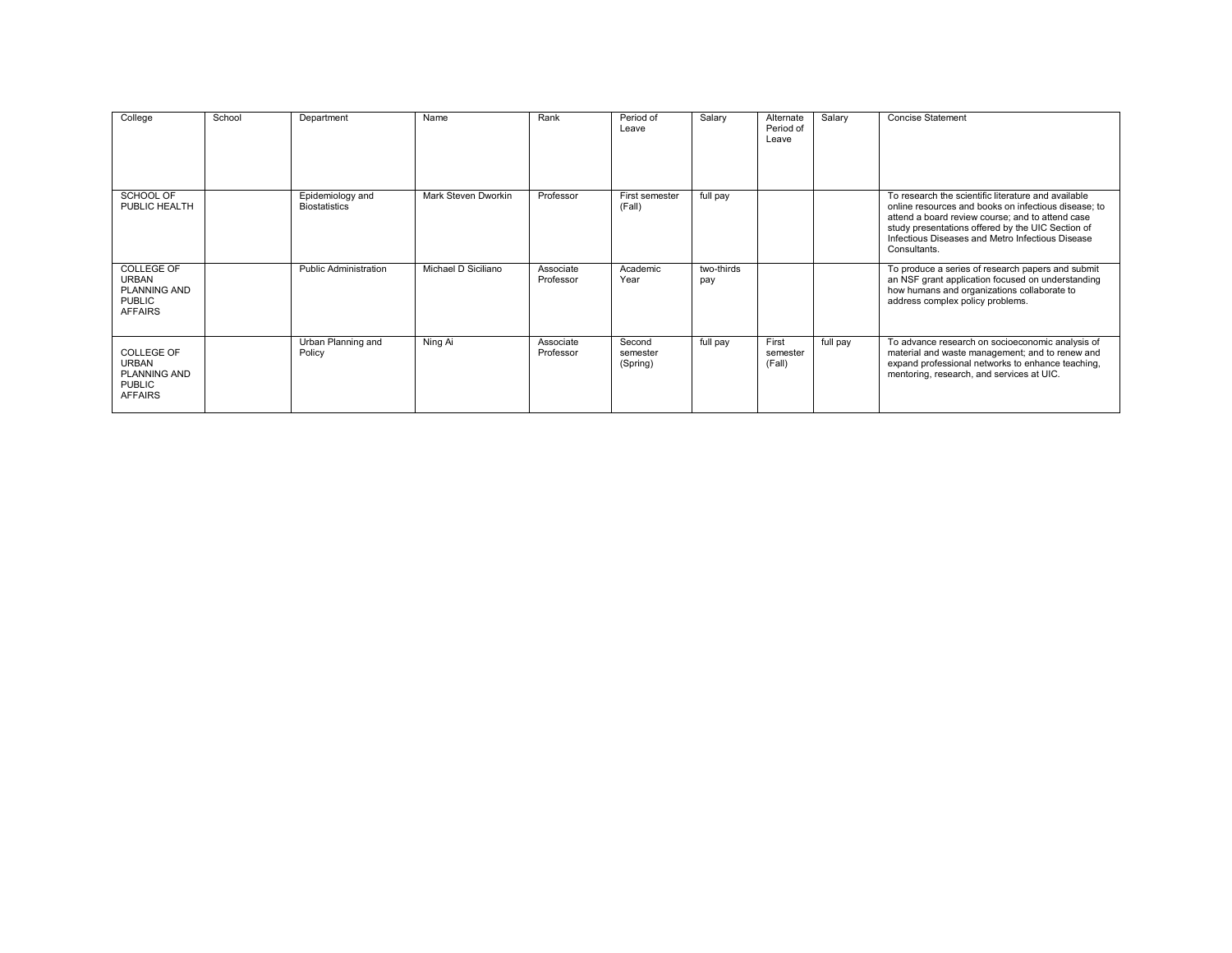| College                                                                                     | School | Department                               | Name                | Rank                   | Period of<br>Leave             | Salary            | Alternate<br>Period of<br>Leave | Salary   | <b>Concise Statement</b>                                                                                                                                                                                                                                                                 |
|---------------------------------------------------------------------------------------------|--------|------------------------------------------|---------------------|------------------------|--------------------------------|-------------------|---------------------------------|----------|------------------------------------------------------------------------------------------------------------------------------------------------------------------------------------------------------------------------------------------------------------------------------------------|
| SCHOOL OF<br>PUBLIC HEALTH                                                                  |        | Epidemiology and<br><b>Biostatistics</b> | Mark Steven Dworkin | Professor              | First semester<br>(Fall)       | full pay          |                                 |          | To research the scientific literature and available<br>online resources and books on infectious disease; to<br>attend a board review course; and to attend case<br>study presentations offered by the UIC Section of<br>Infectious Diseases and Metro Infectious Disease<br>Consultants. |
| COLLEGE OF<br><b>URBAN</b><br><b>PLANNING AND</b><br><b>PUBLIC</b><br><b>AFFAIRS</b>        |        | <b>Public Administration</b>             | Michael D Siciliano | Associate<br>Professor | Academic<br>Year               | two-thirds<br>pay |                                 |          | To produce a series of research papers and submit<br>an NSF grant application focused on understanding<br>how humans and organizations collaborate to<br>address complex policy problems.                                                                                                |
| <b>COLLEGE OF</b><br><b>URBAN</b><br><b>PLANNING AND</b><br><b>PUBLIC</b><br><b>AFFAIRS</b> |        | Urban Planning and<br>Policy             | Ning Ai             | Associate<br>Professor | Second<br>semester<br>(Spring) | full pay          | First<br>semester<br>(Fall)     | full pay | To advance research on socioeconomic analysis of<br>material and waste management; and to renew and<br>expand professional networks to enhance teaching,<br>mentoring, research, and services at UIC.                                                                                    |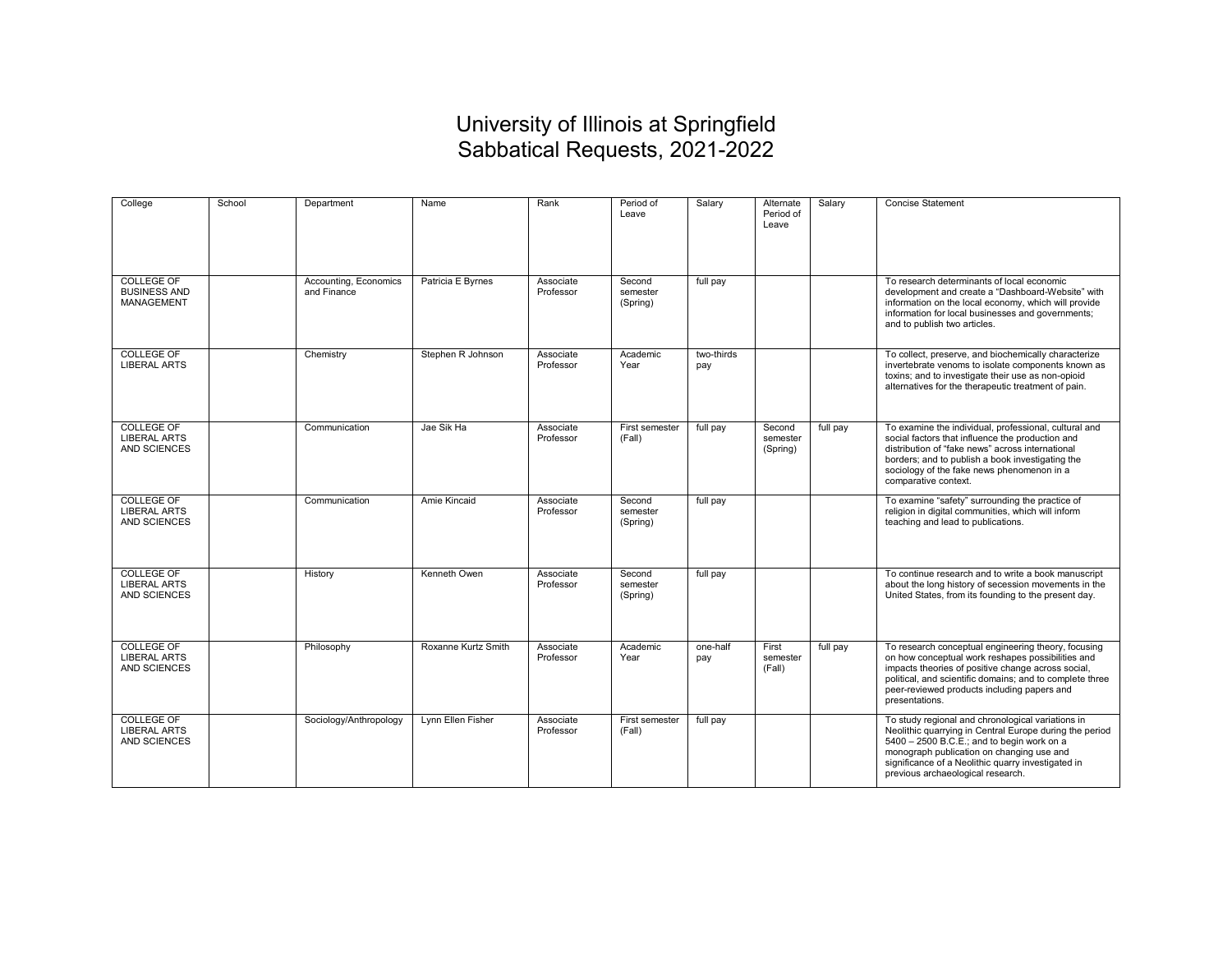## University of Illinois at Springfield Sabbatical Requests, 2021-2022

| College                                                         | School | Department                           | Name                | Rank                   | Period of<br>Leave             | Salary            | Alternate<br>Period of<br>Leave | Salary   | <b>Concise Statement</b>                                                                                                                                                                                                                                                                           |
|-----------------------------------------------------------------|--------|--------------------------------------|---------------------|------------------------|--------------------------------|-------------------|---------------------------------|----------|----------------------------------------------------------------------------------------------------------------------------------------------------------------------------------------------------------------------------------------------------------------------------------------------------|
| <b>COLLEGE OF</b><br><b>BUSINESS AND</b><br><b>MANAGEMENT</b>   |        | Accounting, Economics<br>and Finance | Patricia E Byrnes   | Associate<br>Professor | Second<br>semester<br>(Spring) | full pay          |                                 |          | To research determinants of local economic<br>development and create a "Dashboard-Website" with<br>information on the local economy, which will provide<br>information for local businesses and governments;<br>and to publish two articles.                                                       |
| <b>COLLEGE OF</b><br><b>LIBERAL ARTS</b>                        |        | Chemistry                            | Stephen R Johnson   | Associate<br>Professor | Academic<br>Year               | two-thirds<br>pay |                                 |          | To collect, preserve, and biochemically characterize<br>invertebrate venoms to isolate components known as<br>toxins; and to investigate their use as non-opioid<br>alternatives for the therapeutic treatment of pain.                                                                            |
| <b>COLLEGE OF</b><br><b>LIBERAL ARTS</b><br><b>AND SCIENCES</b> |        | Communication                        | Jae Sik Ha          | Associate<br>Professor | First semester<br>(Fall)       | full pay          | Second<br>semester<br>(Spring)  | full pay | To examine the individual, professional, cultural and<br>social factors that influence the production and<br>distribution of "fake news" across international<br>borders; and to publish a book investigating the<br>sociology of the fake news phenomenon in a<br>comparative context.            |
| <b>COLLEGE OF</b><br><b>LIBERAL ARTS</b><br>AND SCIENCES        |        | Communication                        | Amie Kincaid        | Associate<br>Professor | Second<br>semester<br>(Spring) | full pay          |                                 |          | To examine "safety" surrounding the practice of<br>religion in digital communities, which will inform<br>teaching and lead to publications.                                                                                                                                                        |
| <b>COLLEGE OF</b><br><b>LIBERAL ARTS</b><br><b>AND SCIENCES</b> |        | History                              | Kenneth Owen        | Associate<br>Professor | Second<br>semester<br>(Spring) | full pay          |                                 |          | To continue research and to write a book manuscript<br>about the long history of secession movements in the<br>United States, from its founding to the present day.                                                                                                                                |
| <b>COLLEGE OF</b><br><b>LIBERAL ARTS</b><br><b>AND SCIENCES</b> |        | Philosophy                           | Roxanne Kurtz Smith | Associate<br>Professor | Academic<br>Year               | one-half<br>pay   | First<br>semester<br>(Fall)     | full pay | To research conceptual engineering theory, focusing<br>on how conceptual work reshapes possibilities and<br>impacts theories of positive change across social,<br>political, and scientific domains; and to complete three<br>peer-reviewed products including papers and<br>presentations.        |
| <b>COLLEGE OF</b><br><b>LIBERAL ARTS</b><br><b>AND SCIENCES</b> |        | Sociology/Anthropology               | Lynn Ellen Fisher   | Associate<br>Professor | First semester<br>(Fall)       | full pay          |                                 |          | To study regional and chronological variations in<br>Neolithic quarrying in Central Europe during the period<br>5400 - 2500 B.C.E.; and to begin work on a<br>monograph publication on changing use and<br>significance of a Neolithic quarry investigated in<br>previous archaeological research. |